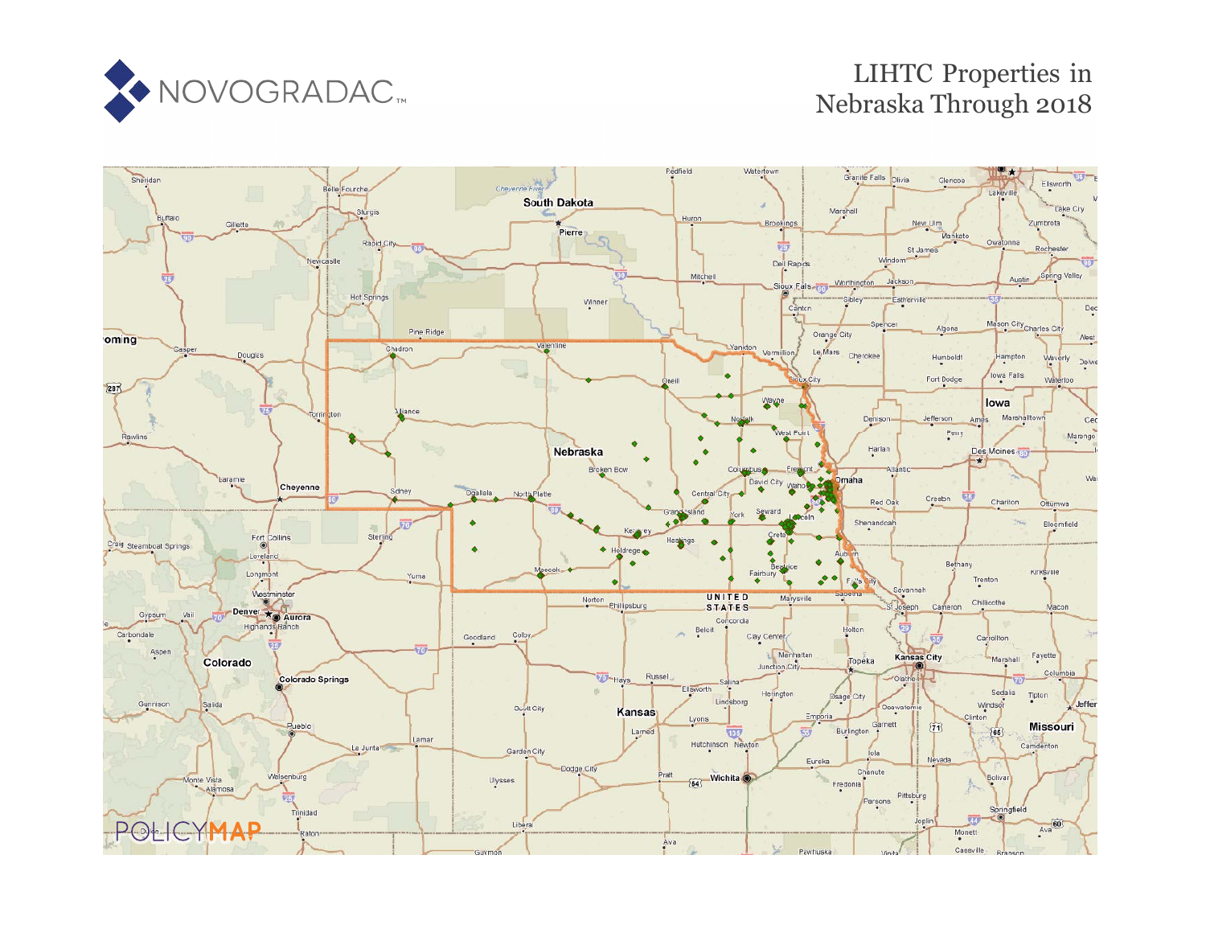

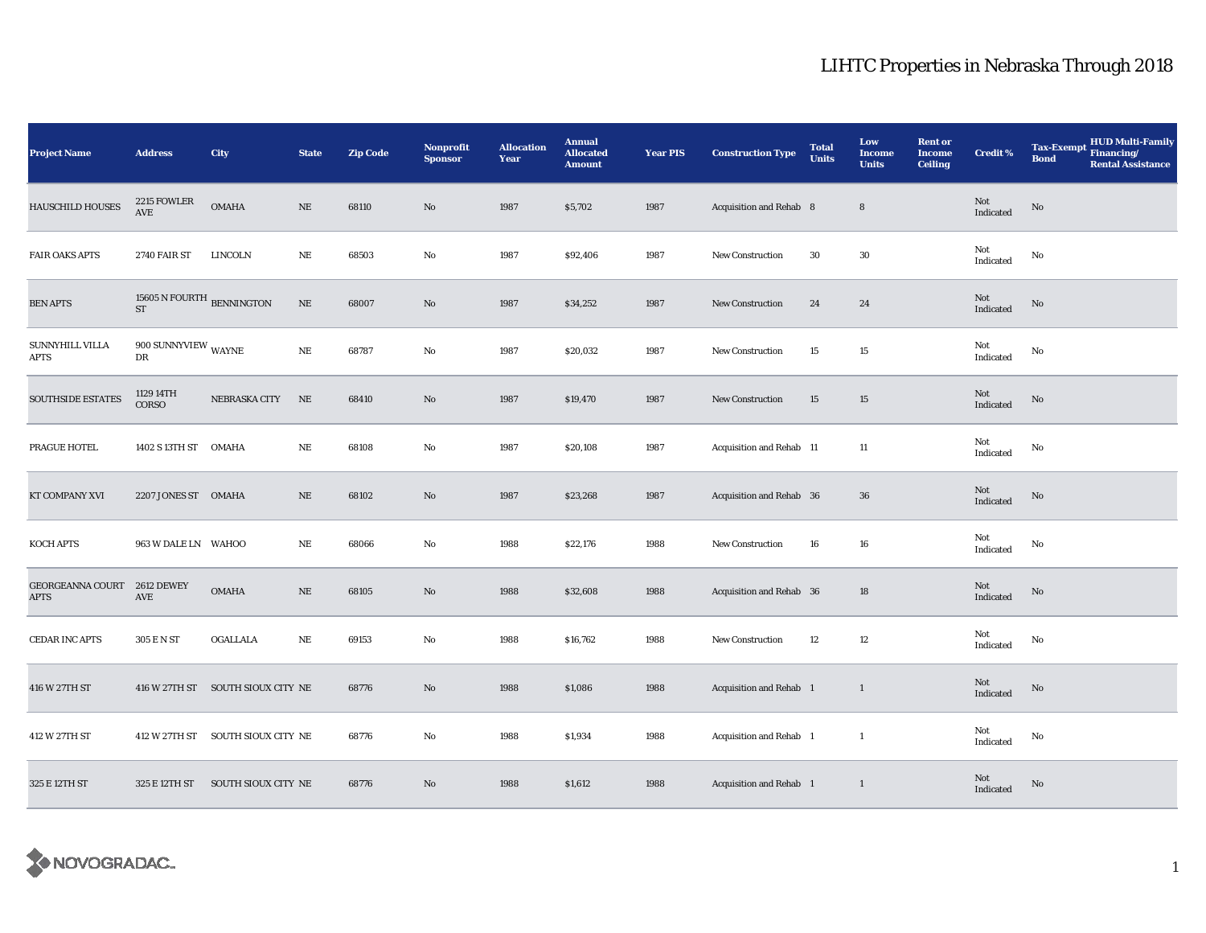| Project Name             | <b>Address</b>                                            | City                              | <b>State</b> | <b>Zip Code</b> | Nonprofit<br><b>Sponsor</b> | <b>Allocation</b><br>Year | <b>Annual</b><br><b>Allocated</b><br><b>Amount</b> | <b>Year PIS</b> | <b>Construction Type</b> | <b>Total</b><br><b>Units</b> | Low<br><b>Income</b><br><b>Units</b> | <b>Rent or</b><br><b>Income</b><br><b>Ceiling</b> | <b>Credit %</b>  | HUD Multi-Family<br>Financing/<br><b>Tax-Exempt</b><br><b>Bond</b><br><b>Rental Assistance</b> |
|--------------------------|-----------------------------------------------------------|-----------------------------------|--------------|-----------------|-----------------------------|---------------------------|----------------------------------------------------|-----------------|--------------------------|------------------------------|--------------------------------------|---------------------------------------------------|------------------|------------------------------------------------------------------------------------------------|
| <b>HAUSCHILD HOUSES</b>  | 2215 FOWLER<br>$\operatorname{AVE}$                       | <b>OMAHA</b>                      | $\rm NE$     | 68110           | No                          | 1987                      | \$5,702                                            | 1987            | Acquisition and Rehab 8  |                              | $\bf 8$                              |                                                   | Not<br>Indicated | No                                                                                             |
| <b>FAIR OAKS APTS</b>    | <b>2740 FAIR ST</b>                                       | <b>LINCOLN</b>                    | $\rm NE$     | 68503           | No                          | 1987                      | \$92,406                                           | 1987            | <b>New Construction</b>  | 30                           | 30                                   |                                                   | Not<br>Indicated | No                                                                                             |
| <b>BEN APTS</b>          | 15605 N FOURTH $_{\rm BENNINGTON}$<br>$\operatorname{ST}$ |                                   | $\rm NE$     | 68007           | $\rm No$                    | 1987                      | \$34,252                                           | 1987            | <b>New Construction</b>  | 24                           | 24                                   |                                                   | Not<br>Indicated | $\rm No$                                                                                       |
| SUNNYHILL VILLA<br>APTS  | 900 SUNNYVIEW WAYNE<br>DR                                 |                                   | $\rm{NE}$    | 68787           | No                          | 1987                      | \$20,032                                           | 1987            | New Construction         | 15                           | 15                                   |                                                   | Not<br>Indicated | No                                                                                             |
| SOUTHSIDE ESTATES        | 1129 14TH<br>CORSO                                        | NEBRASKA CITY                     | NE           | 68410           | No                          | 1987                      | \$19,470                                           | 1987            | New Construction         | 15                           | 15                                   |                                                   | Not<br>Indicated | No                                                                                             |
| PRAGUE HOTEL             | 1402 S 13TH ST OMAHA                                      |                                   | NE           | 68108           | No                          | 1987                      | \$20,108                                           | 1987            | Acquisition and Rehab 11 |                              | 11                                   |                                                   | Not<br>Indicated | No                                                                                             |
| KT COMPANY XVI           | 2207 JONES ST OMAHA                                       |                                   | $\rm NE$     | 68102           | No                          | 1987                      | \$23,268                                           | 1987            | Acquisition and Rehab 36 |                              | 36                                   |                                                   | Not<br>Indicated | $\mathbf{N}\mathbf{o}$                                                                         |
| KOCH APTS                | 963 W DALE LN WAHOO                                       |                                   | NE           | 68066           | No                          | 1988                      | \$22,176                                           | 1988            | New Construction         | 16                           | 16                                   |                                                   | Not<br>Indicated | No                                                                                             |
| GEORGEANNA COURT<br>APTS | <b>2612 DEWEY</b><br>AVE                                  | $\mathbf{OMAHA}$                  | $\rm NE$     | 68105           | No                          | 1988                      | \$32,608                                           | 1988            | Acquisition and Rehab 36 |                              | 18                                   |                                                   | Not<br>Indicated | $\rm No$                                                                                       |
| <b>CEDAR INC APTS</b>    | 305 E N ST                                                | OGALLALA                          | NE           | 69153           | No                          | 1988                      | \$16,762                                           | 1988            | New Construction         | 12                           | 12                                   |                                                   | Not<br>Indicated | No                                                                                             |
| 416 W 27TH ST            | 416 W 27TH ST                                             | SOUTH SIOUX CITY NE               |              | 68776           | No                          | 1988                      | \$1,086                                            | 1988            | Acquisition and Rehab 1  |                              | 1                                    |                                                   | Not<br>Indicated | No                                                                                             |
| 412 W 27TH ST            |                                                           | 412 W 27TH ST SOUTH SIOUX CITY NE |              | 68776           | No                          | 1988                      | \$1,934                                            | 1988            | Acquisition and Rehab 1  |                              | $\mathbf{1}$                         |                                                   | Not<br>Indicated | No                                                                                             |
| 325 E 12TH ST            | 325 E 12TH ST                                             | SOUTH SIOUX CITY NE               |              | 68776           | No                          | 1988                      | \$1,612                                            | 1988            | Acquisition and Rehab 1  |                              | $\mathbf{1}$                         |                                                   | Not<br>Indicated | No                                                                                             |

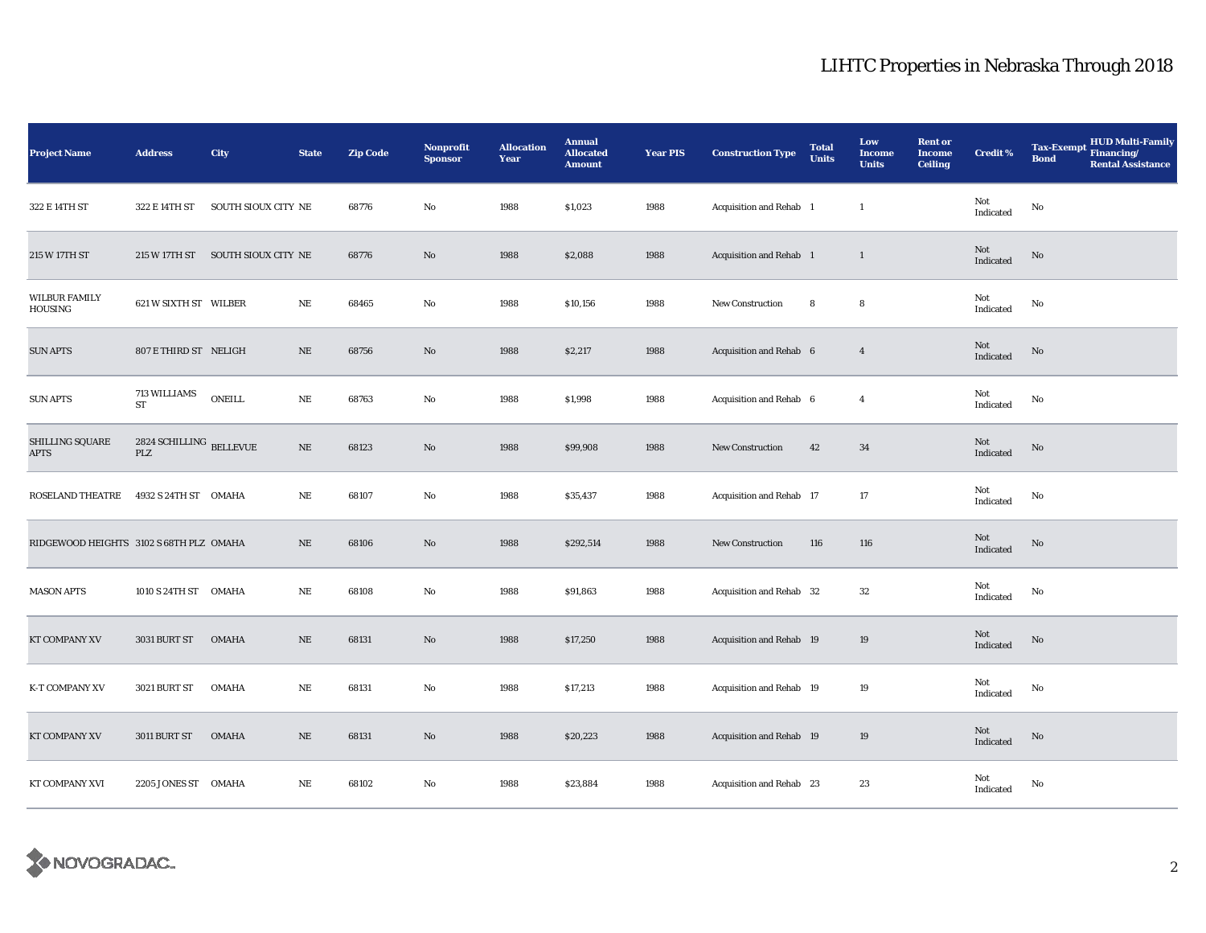| <b>Project Name</b>                     | <b>Address</b>                        | City                              | <b>State</b> | <b>Zip Code</b> | Nonprofit<br><b>Sponsor</b> | <b>Allocation</b><br>Year | <b>Annual</b><br><b>Allocated</b><br><b>Amount</b> | <b>Year PIS</b> | <b>Construction Type</b>        | <b>Total</b><br><b>Units</b> | Low<br><b>Income</b><br><b>Units</b> | <b>Rent or</b><br><b>Income</b><br><b>Ceiling</b> | <b>Credit %</b>  | HUD Multi-Family<br>Financing/<br><b>Tax-Exempt</b><br><b>Bond</b><br><b>Rental Assistance</b> |
|-----------------------------------------|---------------------------------------|-----------------------------------|--------------|-----------------|-----------------------------|---------------------------|----------------------------------------------------|-----------------|---------------------------------|------------------------------|--------------------------------------|---------------------------------------------------|------------------|------------------------------------------------------------------------------------------------|
| 322 E 14TH ST                           | 322 E 14TH ST                         | SOUTH SIOUX CITY NE               |              | 68776           | No                          | 1988                      | \$1,023                                            | 1988            | Acquisition and Rehab 1         |                              | $\mathbf{1}$                         |                                                   | Not<br>Indicated | No                                                                                             |
| 215 W 17TH ST                           |                                       | 215 W 17TH ST SOUTH SIOUX CITY NE |              | 68776           | No                          | 1988                      | \$2,088                                            | 1988            | Acquisition and Rehab 1         |                              | $\mathbf{1}$                         |                                                   | Not<br>Indicated | No                                                                                             |
| WILBUR FAMILY<br>HOUSING                | 621 W SIXTH ST WILBER                 |                                   | NE           | 68465           | No                          | 1988                      | \$10,156                                           | 1988            | <b>New Construction</b>         | 8                            | 8                                    |                                                   | Not<br>Indicated | No                                                                                             |
| <b>SUN APTS</b>                         | 807 E THIRD ST NELIGH                 |                                   | $\rm NE$     | 68756           | No                          | 1988                      | \$2,217                                            | 1988            | Acquisition and Rehab 6         |                              | $\overline{4}$                       |                                                   | Not<br>Indicated | No                                                                                             |
| <b>SUN APTS</b>                         | 713 WILLIAMS<br>$\operatorname{ST}$   | <b>ONEILL</b>                     | $\rm NE$     | 68763           | No                          | 1988                      | \$1,998                                            | 1988            | Acquisition and Rehab 6         |                              | $\overline{4}$                       |                                                   | Not<br>Indicated | No                                                                                             |
| SHILLING SQUARE<br><b>APTS</b>          | 2824 SCHILLING BELLEVUE<br><b>PLZ</b> |                                   | $\rm NE$     | 68123           | No                          | 1988                      | \$99,908                                           | 1988            | <b>New Construction</b>         | 42                           | 34                                   |                                                   | Not<br>Indicated | $\rm No$                                                                                       |
| ROSELAND THEATRE                        | 4932 S 24TH ST OMAHA                  |                                   | NE           | 68107           | No                          | 1988                      | \$35,437                                           | 1988            | Acquisition and Rehab 17        |                              | 17                                   |                                                   | Not<br>Indicated | No                                                                                             |
| RIDGEWOOD HEIGHTS 3102 S 68TH PLZ OMAHA |                                       |                                   | $\rm NE$     | 68106           | No                          | 1988                      | \$292,514                                          | 1988            | <b>New Construction</b>         | 116                          | 116                                  |                                                   | Not<br>Indicated | No                                                                                             |
| <b>MASON APTS</b>                       | 1010 S 24TH ST OMAHA                  |                                   | NE           | 68108           | $\mathbf{No}$               | 1988                      | \$91,863                                           | 1988            | Acquisition and Rehab 32        |                              | $32\,$                               |                                                   | Not<br>Indicated | No                                                                                             |
| KT COMPANY XV                           | 3031 BURT ST                          | <b>OMAHA</b>                      | $\rm NE$     | 68131           | No                          | 1988                      | \$17,250                                           | 1988            | <b>Acquisition and Rehab 19</b> |                              | $19\,$                               |                                                   | Not<br>Indicated | $\mathbf{N}\mathbf{o}$                                                                         |
| K-T COMPANY XV                          | <b>3021 BURT ST</b>                   | <b>OMAHA</b>                      | $\rm NE$     | 68131           | No                          | 1988                      | \$17,213                                           | 1988            | Acquisition and Rehab 19        |                              | 19                                   |                                                   | Not<br>Indicated | No                                                                                             |
| KT COMPANY XV                           | 3011 BURT ST                          | <b>OMAHA</b>                      | NE           | 68131           | No                          | 1988                      | \$20,223                                           | 1988            | <b>Acquisition and Rehab 19</b> |                              | 19                                   |                                                   | Not<br>Indicated | No                                                                                             |
| KT COMPANY XVI                          | 2205 JONES ST OMAHA                   |                                   | NE           | 68102           | No                          | 1988                      | \$23,884                                           | 1988            | Acquisition and Rehab 23        |                              | 23                                   |                                                   | Not<br>Indicated | No                                                                                             |

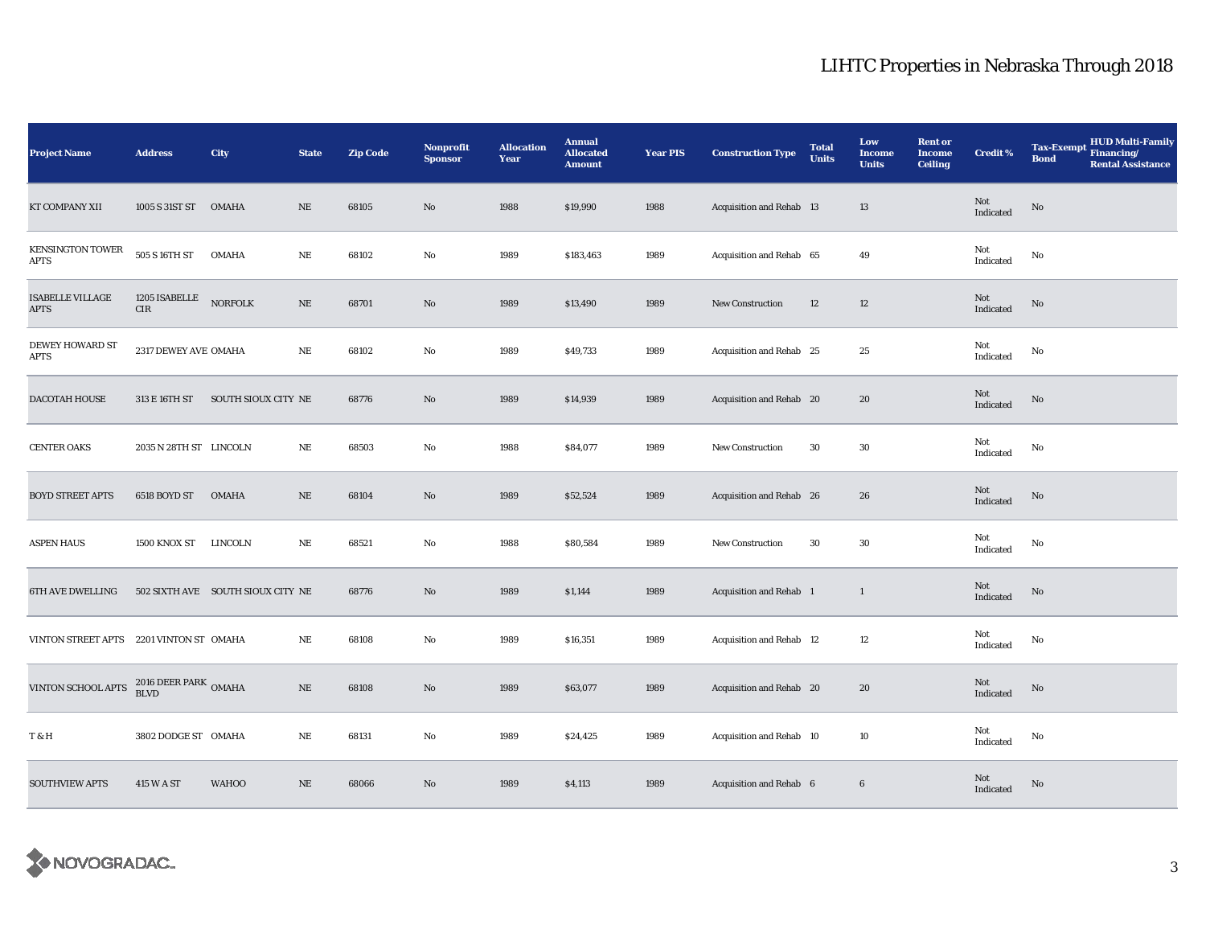| <b>Project Name</b>                     | <b>Address</b>                   | City                              | <b>State</b> | <b>Zip Code</b> | Nonprofit<br><b>Sponsor</b> | <b>Allocation</b><br>Year | <b>Annual</b><br><b>Allocated</b><br><b>Amount</b> | <b>Year PIS</b> | <b>Construction Type</b> | <b>Total</b><br><b>Units</b> | Low<br><b>Income</b><br><b>Units</b> | <b>Rent or</b><br><b>Income</b><br><b>Ceiling</b> | <b>Credit %</b>                            | <b>HUD Multi-Family</b><br><b>Tax-Exempt</b><br>Financing/<br><b>Bond</b><br><b>Rental Assistance</b> |
|-----------------------------------------|----------------------------------|-----------------------------------|--------------|-----------------|-----------------------------|---------------------------|----------------------------------------------------|-----------------|--------------------------|------------------------------|--------------------------------------|---------------------------------------------------|--------------------------------------------|-------------------------------------------------------------------------------------------------------|
| KT COMPANY XII                          | 1005 S 31ST ST                   | <b>OMAHA</b>                      | $\rm NE$     | 68105           | No                          | 1988                      | \$19,990                                           | 1988            | Acquisition and Rehab 13 |                              | 13                                   |                                                   | Not<br>Indicated                           | No                                                                                                    |
| <b>KENSINGTON TOWER</b><br>APTS         | 505 S 16TH ST                    | <b>OMAHA</b>                      | $\rm{NE}$    | 68102           | No                          | 1989                      | \$183,463                                          | 1989            | Acquisition and Rehab 65 |                              | 49                                   |                                                   | Not<br>Indicated                           | $\mathbf{No}$                                                                                         |
| <b>ISABELLE VILLAGE</b><br><b>APTS</b>  | 1205 ISABELLE<br>CIR             | <b>NORFOLK</b>                    | $\rm NE$     | 68701           | $\mathbf{N}\mathbf{o}$      | 1989                      | \$13,490                                           | 1989            | <b>New Construction</b>  | 12                           | $12\,$                               |                                                   | $\operatorname{\mathsf{Not}}$<br>Indicated | $\rm No$                                                                                              |
| <b>DEWEY HOWARD ST</b><br><b>APTS</b>   | 2317 DEWEY AVE OMAHA             |                                   | $\rm NE$     | 68102           | No                          | 1989                      | \$49,733                                           | 1989            | Acquisition and Rehab 25 |                              | 25                                   |                                                   | Not<br>Indicated                           | $\mathbf{No}$                                                                                         |
| DACOTAH HOUSE                           | 313 E 16TH ST                    | SOUTH SIOUX CITY NE               |              | 68776           | $\mathbf{N}\mathbf{o}$      | 1989                      | \$14,939                                           | 1989            | Acquisition and Rehab 20 |                              | 20                                   |                                                   | Not<br>Indicated                           | $\rm No$                                                                                              |
| <b>CENTER OAKS</b>                      | 2035 N 28TH ST LINCOLN           |                                   | NE           | 68503           | No                          | 1988                      | \$84,077                                           | 1989            | <b>New Construction</b>  | 30                           | 30                                   |                                                   | Not<br>Indicated                           | $\mathbf{No}$                                                                                         |
| <b>BOYD STREET APTS</b>                 | 6518 BOYD ST                     | <b>OMAHA</b>                      | $\rm NE$     | 68104           | $\mathbf{N}\mathbf{o}$      | 1989                      | \$52,524                                           | 1989            | Acquisition and Rehab 26 |                              | 26                                   |                                                   | Not<br>Indicated                           | No                                                                                                    |
| <b>ASPEN HAUS</b>                       | 1500 KNOX ST                     | LINCOLN                           | $\rm NE$     | 68521           | No                          | 1988                      | \$80,584                                           | 1989            | <b>New Construction</b>  | 30                           | 30                                   |                                                   | Not<br>Indicated                           | No                                                                                                    |
| 6TH AVE DWELLING                        |                                  | 502 SIXTH AVE SOUTH SIOUX CITY NE |              | 68776           | No                          | 1989                      | \$1,144                                            | 1989            | Acquisition and Rehab 1  |                              | $\mathbf{1}$                         |                                                   | Not<br>Indicated                           | $\rm No$                                                                                              |
| VINTON STREET APTS 2201 VINTON ST OMAHA |                                  |                                   | NE           | 68108           | No                          | 1989                      | \$16,351                                           | 1989            | Acquisition and Rehab 12 |                              | 12                                   |                                                   | Not<br>Indicated                           | $\mathbf{No}$                                                                                         |
| VINTON SCHOOL APTS                      | $2016$ DEER PARK $\,$ OMAHA BLVD |                                   | $\rm NE$     | 68108           | No                          | 1989                      | \$63,077                                           | 1989            | Acquisition and Rehab 20 |                              | 20                                   |                                                   | Not<br>Indicated                           | No                                                                                                    |
| <b>T&amp;H</b>                          | 3802 DODGE ST OMAHA              |                                   | $\rm NE$     | 68131           | No                          | 1989                      | \$24,425                                           | 1989            | Acquisition and Rehab 10 |                              | 10                                   |                                                   | Not<br>Indicated                           | No                                                                                                    |
| <b>SOUTHVIEW APTS</b>                   | 415 W A ST                       | <b>WAHOO</b>                      | $\rm NE$     | 68066           | No                          | 1989                      | \$4,113                                            | 1989            | Acquisition and Rehab 6  |                              | $6\phantom{.}6$                      |                                                   | Not<br>Indicated                           | No                                                                                                    |

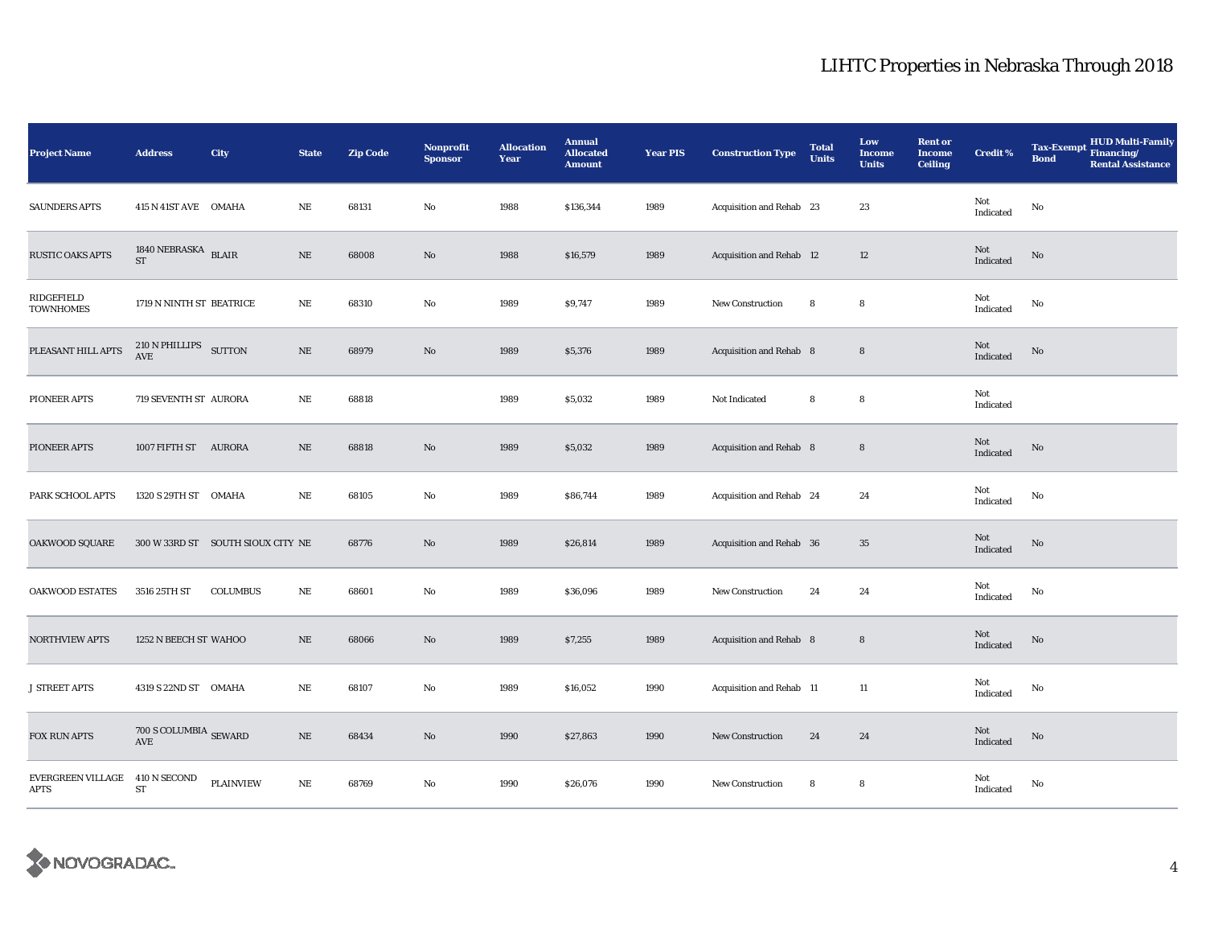| <b>Project Name</b>                    | <b>Address</b>                                                     | City                              | <b>State</b> | <b>Zip Code</b> | Nonprofit<br><b>Sponsor</b> | <b>Allocation</b><br>Year | <b>Annual</b><br><b>Allocated</b><br><b>Amount</b> | <b>Year PIS</b> | <b>Construction Type</b>        | <b>Total</b><br><b>Units</b> | Low<br><b>Income</b><br><b>Units</b> | <b>Rent or</b><br><b>Income</b><br><b>Ceiling</b> | <b>Credit %</b>  | HUD Multi-Family<br>Financing/<br><b>Tax-Exempt</b><br><b>Bond</b><br><b>Rental Assistance</b> |
|----------------------------------------|--------------------------------------------------------------------|-----------------------------------|--------------|-----------------|-----------------------------|---------------------------|----------------------------------------------------|-----------------|---------------------------------|------------------------------|--------------------------------------|---------------------------------------------------|------------------|------------------------------------------------------------------------------------------------|
| <b>SAUNDERS APTS</b>                   | 415 N 41ST AVE OMAHA                                               |                                   | $\rm NE$     | 68131           | $\mathbf {No}$              | 1988                      | \$136,344                                          | 1989            | Acquisition and Rehab 23        |                              | 23                                   |                                                   | Not<br>Indicated | $\mathbf{No}$                                                                                  |
| <b>RUSTIC OAKS APTS</b>                | 1840 NEBRASKA BLAIR<br>$\operatorname{ST}$                         |                                   | $\rm NE$     | 68008           | $\mathbf{N}\mathbf{o}$      | 1988                      | \$16,579                                           | 1989            | <b>Acquisition and Rehab</b> 12 |                              | 12                                   |                                                   | Not<br>Indicated | $\rm No$                                                                                       |
| RIDGEFIELD<br><b>TOWNHOMES</b>         | 1719 N NINTH ST BEATRICE                                           |                                   | $\rm NE$     | 68310           | No                          | 1989                      | \$9,747                                            | 1989            | New Construction                | 8                            | 8                                    |                                                   | Not<br>Indicated | No                                                                                             |
| PLEASANT HILL APTS                     | 210 N PHILLIPS SUTTON<br>AVE                                       |                                   | $\rm NE$     | 68979           | $\mathbf{N}\mathbf{o}$      | 1989                      | \$5,376                                            | 1989            | Acquisition and Rehab 8         |                              | $\bf 8$                              |                                                   | Not<br>Indicated | No                                                                                             |
| PIONEER APTS                           | 719 SEVENTH ST AURORA                                              |                                   | NE           | 68818           |                             | 1989                      | \$5,032                                            | 1989            | Not Indicated                   | 8                            | 8                                    |                                                   | Not<br>Indicated |                                                                                                |
| PIONEER APTS                           | 1007 FIFTH ST AURORA                                               |                                   | $\rm NE$     | 68818           | $\rm No$                    | 1989                      | \$5,032                                            | 1989            | Acquisition and Rehab 8         |                              | $\bf8$                               |                                                   | Not<br>Indicated | No                                                                                             |
| PARK SCHOOL APTS                       | 1320 S 29TH ST OMAHA                                               |                                   | NE           | 68105           | No                          | 1989                      | \$86,744                                           | 1989            | Acquisition and Rehab 24        |                              | 24                                   |                                                   | Not<br>Indicated | $\mathbf{No}$                                                                                  |
| OAKWOOD SQUARE                         |                                                                    | 300 W 33RD ST SOUTH SIOUX CITY NE |              | 68776           | $\mathbf{No}$               | 1989                      | \$26,814                                           | 1989            | Acquisition and Rehab 36        |                              | $35\,$                               |                                                   | Not<br>Indicated | $\rm No$                                                                                       |
| <b>OAKWOOD ESTATES</b>                 | 3516 25TH ST                                                       | <b>COLUMBUS</b>                   | $\rm NE$     | 68601           | $\rm No$                    | 1989                      | \$36,096                                           | 1989            | <b>New Construction</b>         | 24                           | 24                                   |                                                   | Not<br>Indicated | $\mathbf{No}$                                                                                  |
| <b>NORTHVIEW APTS</b>                  | 1252 N BEECH ST WAHOO                                              |                                   | $\rm NE$     | 68066           | $\mathbf{N}\mathbf{o}$      | 1989                      | \$7,255                                            | 1989            | Acquisition and Rehab 8         |                              | $\bf8$                               |                                                   | Not<br>Indicated | $\rm No$                                                                                       |
| <b>J STREET APTS</b>                   | 4319 S 22ND ST OMAHA                                               |                                   | $_{\rm NE}$  | 68107           | No                          | 1989                      | \$16,052                                           | 1990            | Acquisition and Rehab 11        |                              | 11                                   |                                                   | Not<br>Indicated | No                                                                                             |
| FOX RUN APTS                           | $700$ S COLUMBIA $_{\mbox{\small SEWARD}}$<br>$\operatorname{AVE}$ |                                   | $\rm NE$     | 68434           | $\rm No$                    | 1990                      | \$27,863                                           | 1990            | <b>New Construction</b>         | 24                           | 24                                   |                                                   | Not<br>Indicated | No                                                                                             |
| EVERGREEN VILLAGE 410 N SECOND<br>APTS | ST                                                                 | <b>PLAINVIEW</b>                  | $\rm NE$     | 68769           | $\rm No$                    | 1990                      | \$26,076                                           | 1990            | New Construction                | 8                            | 8                                    |                                                   | Not<br>Indicated | $\mathbf{No}$                                                                                  |

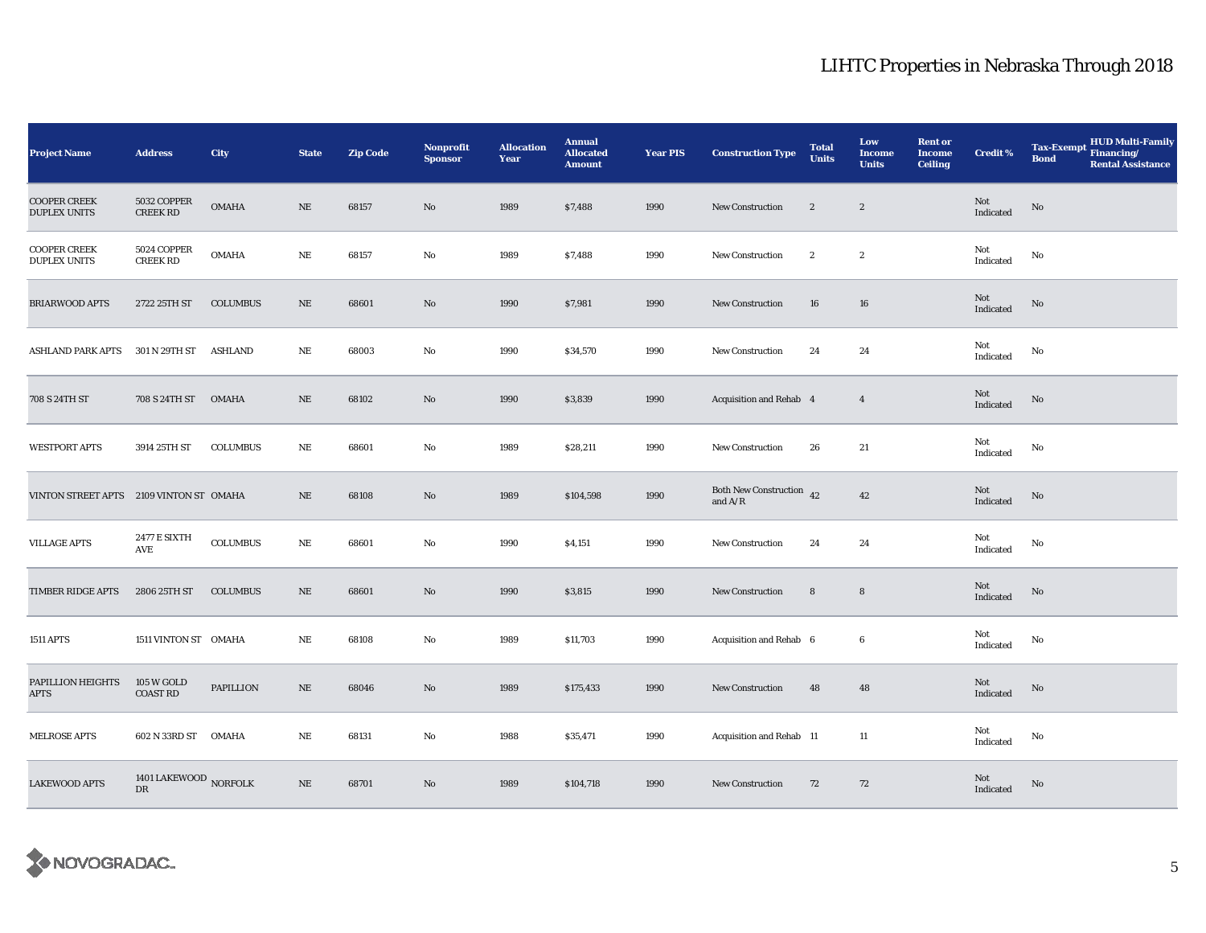| <b>Project Name</b>                        | <b>Address</b>                      | <b>City</b>      | <b>State</b> | <b>Zip Code</b> | Nonprofit<br><b>Sponsor</b> | <b>Allocation</b><br>Year | <b>Annual</b><br><b>Allocated</b><br><b>Amount</b> | <b>Year PIS</b> | <b>Construction Type</b>                   | <b>Total</b><br><b>Units</b> | Low<br><b>Income</b><br><b>Units</b> | <b>Rent or</b><br><b>Income</b><br><b>Ceiling</b> | <b>Credit %</b>  | <b>HUD Multi-Family</b><br><b>Tax-Exempt</b><br>Financing/<br><b>Bond</b><br><b>Rental Assistance</b> |
|--------------------------------------------|-------------------------------------|------------------|--------------|-----------------|-----------------------------|---------------------------|----------------------------------------------------|-----------------|--------------------------------------------|------------------------------|--------------------------------------|---------------------------------------------------|------------------|-------------------------------------------------------------------------------------------------------|
| <b>COOPER CREEK</b><br><b>DUPLEX UNITS</b> | 5032 COPPER<br><b>CREEK RD</b>      | <b>OMAHA</b>     | $\rm NE$     | 68157           | No                          | 1989                      | \$7,488                                            | 1990            | New Construction                           | $\boldsymbol{2}$             | $\boldsymbol{2}$                     |                                                   | Not<br>Indicated | $\rm No$                                                                                              |
| <b>COOPER CREEK</b><br><b>DUPLEX UNITS</b> | 5024 COPPER<br><b>CREEK RD</b>      | <b>OMAHA</b>     | NE           | 68157           | No                          | 1989                      | \$7,488                                            | 1990            | <b>New Construction</b>                    | $\boldsymbol{2}$             | $\boldsymbol{2}$                     |                                                   | Not<br>Indicated | No                                                                                                    |
| <b>BRIARWOOD APTS</b>                      | 2722 25TH ST                        | <b>COLUMBUS</b>  | $\rm NE$     | 68601           | No                          | 1990                      | \$7,981                                            | 1990            | <b>New Construction</b>                    | 16                           | ${\bf 16}$                           |                                                   | Not<br>Indicated | No                                                                                                    |
| <b>ASHLAND PARK APTS</b>                   | 301 N 29TH ST                       | ASHLAND          | NE           | 68003           | No                          | 1990                      | \$34,570                                           | 1990            | <b>New Construction</b>                    | 24                           | 24                                   |                                                   | Not<br>Indicated | No                                                                                                    |
| 708 S 24TH ST                              | 708 S 24TH ST                       | OMAHA            | NE           | 68102           | No                          | 1990                      | \$3,839                                            | 1990            | Acquisition and Rehab 4                    |                              | $\overline{4}$                       |                                                   | Not<br>Indicated | No                                                                                                    |
| <b>WESTPORT APTS</b>                       | 3914 25TH ST                        | <b>COLUMBUS</b>  | NE           | 68601           | No                          | 1989                      | \$28,211                                           | 1990            | New Construction                           | 26                           | 21                                   |                                                   | Not<br>Indicated | No                                                                                                    |
| VINTON STREET APTS 2109 VINTON ST OMAHA    |                                     |                  | $\rm NE$     | 68108           | No                          | 1989                      | \$104,598                                          | 1990            | Both New Construction $\,$ 42<br>and $A/R$ |                              | 42                                   |                                                   | Not<br>Indicated | $\rm No$                                                                                              |
| <b>VILLAGE APTS</b>                        | <b>2477 E SIXTH</b><br>AVE          | <b>COLUMBUS</b>  | $\rm NE$     | 68601           | No                          | 1990                      | \$4,151                                            | 1990            | <b>New Construction</b>                    | 24                           | $\bf 24$                             |                                                   | Not<br>Indicated | No                                                                                                    |
| TIMBER RIDGE APTS                          | 2806 25TH ST                        | <b>COLUMBUS</b>  | NE           | 68601           | No                          | 1990                      | \$3,815                                            | 1990            | <b>New Construction</b>                    | 8                            | 8                                    |                                                   | Not<br>Indicated | No                                                                                                    |
| <b>1511 APTS</b>                           | 1511 VINTON ST OMAHA                |                  | NE           | 68108           | No                          | 1989                      | \$11,703                                           | 1990            | Acquisition and Rehab 6                    |                              | 6                                    |                                                   | Not<br>Indicated | No                                                                                                    |
| PAPILLION HEIGHTS<br>APTS                  | 105 W GOLD<br><b>COAST RD</b>       | <b>PAPILLION</b> | $\rm NE$     | 68046           | No                          | 1989                      | \$175,433                                          | 1990            | <b>New Construction</b>                    | 48                           | 48                                   |                                                   | Not<br>Indicated | No                                                                                                    |
| <b>MELROSE APTS</b>                        | 602 N 33RD ST OMAHA                 |                  | $\rm NE$     | 68131           | No                          | 1988                      | \$35,471                                           | 1990            | Acquisition and Rehab 11                   |                              | 11                                   |                                                   | Not<br>Indicated | No                                                                                                    |
| <b>LAKEWOOD APTS</b>                       | 1401 LAKEWOOD NORFOLK<br>${\rm DR}$ |                  | $\rm NE$     | 68701           | No                          | 1989                      | \$104,718                                          | 1990            | <b>New Construction</b>                    | 72                           | 72                                   |                                                   | Not<br>Indicated | $\rm No$                                                                                              |

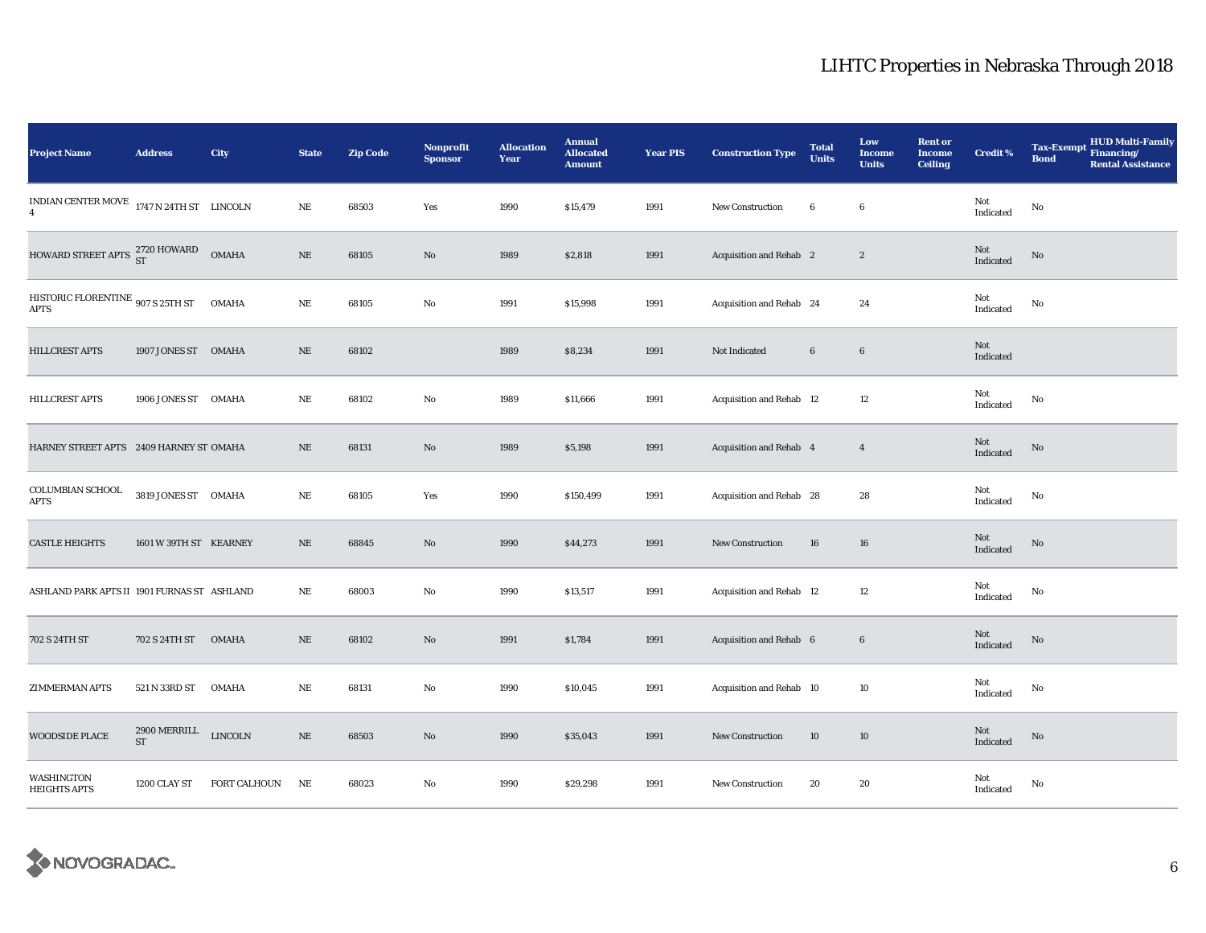| <b>Project Name</b>                                         | <b>Address</b>                      | City                | <b>State</b> | <b>Zip Code</b> | Nonprofit<br><b>Sponsor</b> | <b>Allocation</b><br>Year | <b>Annual</b><br><b>Allocated</b><br><b>Amount</b> | <b>Year PIS</b> | <b>Construction Type</b> | <b>Total</b><br><b>Units</b> | Low<br><b>Income</b><br><b>Units</b> | <b>Rent or</b><br><b>Income</b><br><b>Ceiling</b> | <b>Credit %</b>                       | HUD Multi-Family<br>Financing/<br><b>Tax-Exempt</b><br><b>Bond</b><br><b>Rental Assistance</b> |
|-------------------------------------------------------------|-------------------------------------|---------------------|--------------|-----------------|-----------------------------|---------------------------|----------------------------------------------------|-----------------|--------------------------|------------------------------|--------------------------------------|---------------------------------------------------|---------------------------------------|------------------------------------------------------------------------------------------------|
| INDIAN CENTER MOVE 1747 N 24TH ST LINCOLN<br>$\overline{4}$ |                                     |                     | $\rm NE$     | 68503           | Yes                         | 1990                      | \$15,479                                           | 1991            | New Construction         | 6                            | 6                                    |                                                   | Not<br>Indicated                      | $\mathbf{No}$                                                                                  |
| HOWARD STREET APTS 2720 HOWARD                              |                                     | <b>OMAHA</b>        | $\rm NE$     | 68105           | No                          | 1989                      | \$2,818                                            | 1991            | Acquisition and Rehab 2  |                              | $\boldsymbol{2}$                     |                                                   | Not<br>Indicated                      | $\rm No$                                                                                       |
| HISTORIC FLORENTINE 907 S 25TH ST<br><b>APTS</b>            |                                     | <b>OMAHA</b>        | $\rm NE$     | 68105           | No                          | 1991                      | \$15,998                                           | 1991            | Acquisition and Rehab 24 |                              | 24                                   |                                                   | Not<br>Indicated                      | $\mathbf{No}$                                                                                  |
| HILLCREST APTS                                              | 1907 JONES ST OMAHA                 |                     | $\rm NE$     | 68102           |                             | 1989                      | \$8,234                                            | 1991            | Not Indicated            | $6\phantom{.0}$              | $\bf 6$                              |                                                   | Not<br>Indicated                      |                                                                                                |
| HILLCREST APTS                                              | 1906 JONES ST OMAHA                 |                     | $\rm NE$     | 68102           | No                          | 1989                      | \$11,666                                           | 1991            | Acquisition and Rehab 12 |                              | 12                                   |                                                   | Not<br>Indicated                      | $\mathbf{No}$                                                                                  |
| HARNEY STREET APTS 2409 HARNEY ST OMAHA                     |                                     |                     | $\rm NE$     | 68131           | No                          | 1989                      | \$5,198                                            | 1991            | Acquisition and Rehab 4  |                              | $\overline{4}$                       |                                                   | $\operatorname{\bf Not}$<br>Indicated | $\rm No$                                                                                       |
| COLUMBIAN SCHOOL<br><b>APTS</b>                             | 3819 JONES ST OMAHA                 |                     | $\rm NE$     | 68105           | Yes                         | 1990                      | \$150,499                                          | 1991            | Acquisition and Rehab 28 |                              | 28                                   |                                                   | Not<br>Indicated                      | No                                                                                             |
| <b>CASTLE HEIGHTS</b>                                       | 1601 W 39TH ST KEARNEY              |                     | $\rm NE$     | 68845           | $\mathbf{No}$               | 1990                      | \$44,273                                           | 1991            | New Construction         | 16                           | 16                                   |                                                   | Not<br>Indicated                      | No                                                                                             |
| ASHLAND PARK APTS II 1901 FURNAS ST) ASHLAND                |                                     |                     | NE           | 68003           | No                          | 1990                      | \$13,517                                           | 1991            | Acquisition and Rehab 12 |                              | 12                                   |                                                   | Not<br>Indicated                      | $\mathbf{No}$                                                                                  |
| 702 S 24TH ST                                               | 702 S 24TH ST                       | <b>OMAHA</b>        | $\rm NE$     | 68102           | No                          | 1991                      | \$1,784                                            | 1991            | Acquisition and Rehab 6  |                              | $\bf 6$                              |                                                   | Not<br>Indicated                      | $\rm No$                                                                                       |
| <b>ZIMMERMAN APTS</b>                                       | 521 N 33RD ST                       | <b>OMAHA</b>        | $\rm NE$     | 68131           | No                          | 1990                      | \$10,045                                           | 1991            | Acquisition and Rehab 10 |                              | $10\,$                               |                                                   | Not<br>Indicated                      | $\mathbf{No}$                                                                                  |
| WOODSIDE PLACE                                              | 2900 MERRILL<br>$\operatorname{ST}$ | LINCOLN             | $\rm NE$     | 68503           | No                          | 1990                      | \$35,043                                           | 1991            | <b>New Construction</b>  | 10                           | 10                                   |                                                   | Not<br>Indicated                      | No                                                                                             |
| WASHINGTON<br><b>HEIGHTS APTS</b>                           | 1200 CLAY ST                        | <b>FORT CALHOUN</b> | NE           | 68023           | No                          | 1990                      | \$29,298                                           | 1991            | New Construction         | 20                           | 20                                   |                                                   | Not<br>Indicated                      | No                                                                                             |

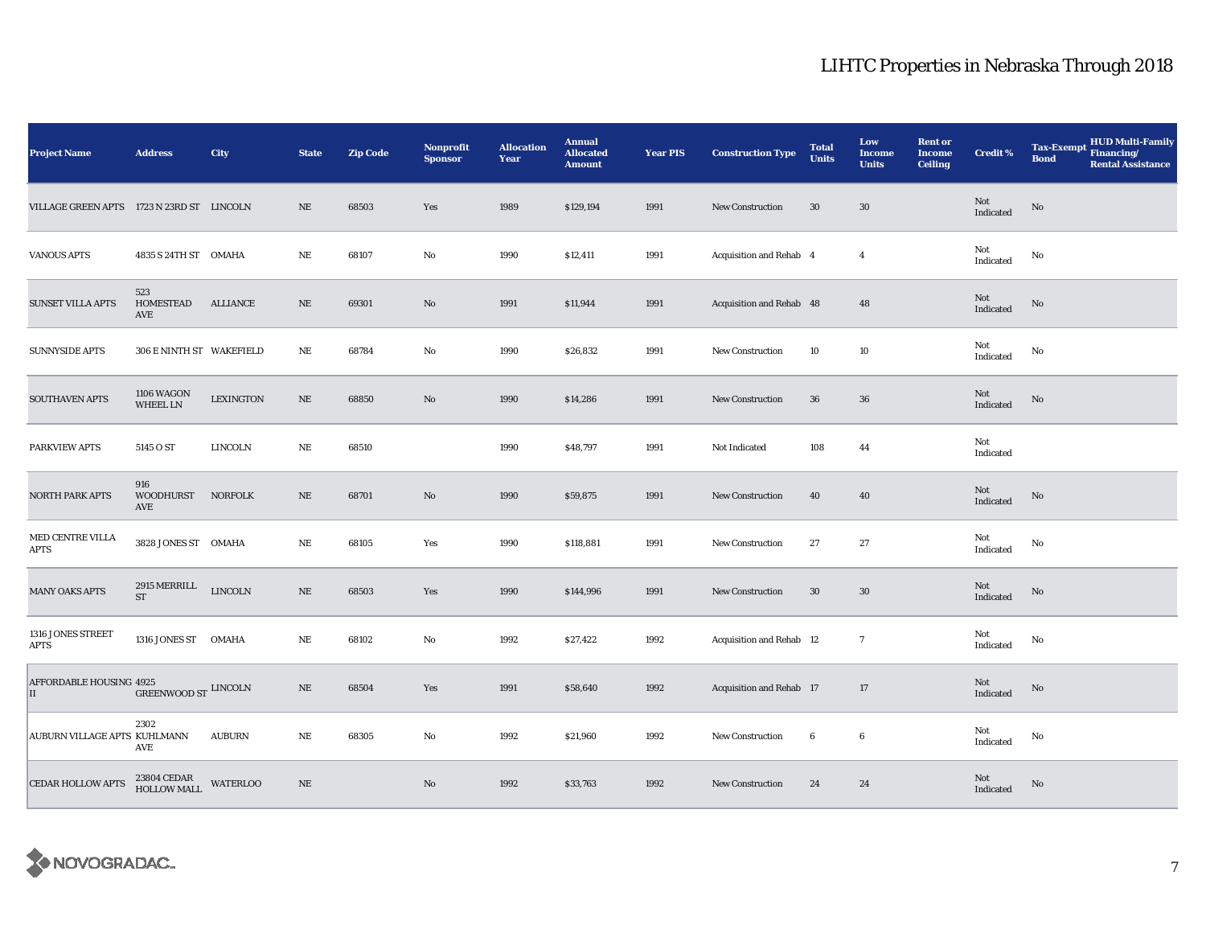| <b>Project Name</b>                       | <b>Address</b>                             | City             | <b>State</b> | <b>Zip Code</b> | Nonprofit<br><b>Sponsor</b> | <b>Allocation</b><br>Year | <b>Annual</b><br><b>Allocated</b><br><b>Amount</b> | <b>Year PIS</b> | <b>Construction Type</b>        | <b>Total</b><br><b>Units</b> | Low<br>Income<br><b>Units</b> | <b>Rent or</b><br><b>Income</b><br><b>Ceiling</b> | <b>Credit %</b>                            | HUD Multi-Family<br>Financing/<br><b>Tax-Exempt</b><br><b>Bond</b><br><b>Rental Assistance</b> |
|-------------------------------------------|--------------------------------------------|------------------|--------------|-----------------|-----------------------------|---------------------------|----------------------------------------------------|-----------------|---------------------------------|------------------------------|-------------------------------|---------------------------------------------------|--------------------------------------------|------------------------------------------------------------------------------------------------|
| VILLAGE GREEN APTS 1723 N 23RD ST LINCOLN |                                            |                  | NE           | 68503           | Yes                         | 1989                      | \$129,194                                          | 1991            | New Construction                | 30                           | $30\,$                        |                                                   | Not<br>Indicated                           | No                                                                                             |
| <b>VANOUS APTS</b>                        | 4835 S 24TH ST OMAHA                       |                  | $_{\rm NE}$  | 68107           | No                          | 1990                      | \$12,411                                           | 1991            | Acquisition and Rehab 4         |                              | $\overline{4}$                |                                                   | Not<br>$\operatorname{Indicated}$          | No                                                                                             |
| <b>SUNSET VILLA APTS</b>                  | 523<br>HOMESTEAD<br>AVE                    | ALLIANCE         | NE           | 69301           | No                          | 1991                      | \$11,944                                           | 1991            | Acquisition and Rehab 48        |                              | 48                            |                                                   | $\operatorname{\mathsf{Not}}$<br>Indicated | $\rm No$                                                                                       |
| <b>SUNNYSIDE APTS</b>                     | 306 E NINTH ST WAKEFIELD                   |                  | NE           | 68784           | No                          | 1990                      | \$26,832                                           | 1991            | New Construction                | 10                           | 10                            |                                                   | Not<br>Indicated                           | No                                                                                             |
| SOUTHAVEN APTS                            | 1106 WAGON<br><b>WHEEL LN</b>              | <b>LEXINGTON</b> | $\rm NE$     | 68850           | No                          | 1990                      | \$14,286                                           | 1991            | <b>New Construction</b>         | $36\,$                       | $36\,$                        |                                                   | Not<br>Indicated                           | No                                                                                             |
| PARKVIEW APTS                             | 5145 O ST                                  | LINCOLN          | $_{\rm NE}$  | 68510           |                             | 1990                      | \$48,797                                           | 1991            | Not Indicated                   | 108                          | 44                            |                                                   | Not<br>Indicated                           |                                                                                                |
| NORTH PARK APTS                           | 916<br><b>WOODHURST</b><br>AVE             | <b>NORFOLK</b>   | $\rm NE$     | 68701           | No                          | 1990                      | \$59,875                                           | 1991            | <b>New Construction</b>         | 40                           | 40                            |                                                   | Not<br>Indicated                           | $\mathbf{N}\mathbf{o}$                                                                         |
| MED CENTRE VILLA<br>APTS                  | 3828 JONES ST OMAHA                        |                  | $_{\rm NE}$  | 68105           | Yes                         | 1990                      | \$118,881                                          | 1991            | <b>New Construction</b>         | 27                           | 27                            |                                                   | Not<br>Indicated                           | No                                                                                             |
| <b>MANY OAKS APTS</b>                     | 2915 MERRILL<br>${\rm ST}$                 | <b>LINCOLN</b>   | $\rm NE$     | 68503           | Yes                         | 1990                      | \$144,996                                          | 1991            | New Construction                | $30\,$                       | $30\,$                        |                                                   | Not<br>Indicated                           | $\rm No$                                                                                       |
| 1316 JONES STREET<br>APTS                 | 1316 JONES ST OMAHA                        |                  | NE           | 68102           | No                          | 1992                      | \$27,422                                           | 1992            | <b>Acquisition and Rehab 12</b> |                              | $\mathbf{7}$                  |                                                   | Not<br>Indicated                           | No                                                                                             |
| AFFORDABLE HOUSING 4925<br>П              | GREENWOOD ST $\,$ LINCOLN                  |                  | $\rm NE$     | 68504           | Yes                         | 1991                      | \$58,640                                           | 1992            | Acquisition and Rehab 17        |                              | 17                            |                                                   | Not<br>Indicated                           | No                                                                                             |
| AUBURN VILLAGE APTS KUHLMANN              | 2302<br><b>AVE</b>                         | <b>AUBURN</b>    | $\rm NE$     | 68305           | No                          | 1992                      | \$21,960                                           | 1992            | <b>New Construction</b>         | 6                            | $\boldsymbol{6}$              |                                                   | Not<br>Indicated                           | No                                                                                             |
| <b>CEDAR HOLLOW APTS</b>                  | $23804$ CEDAR $$\tt WATERLOO$$ HOLLOW MALL |                  | NE           |                 | No                          | 1992                      | \$33,763                                           | 1992            | <b>New Construction</b>         | 24                           | 24                            |                                                   | Not<br>Indicated                           | No                                                                                             |

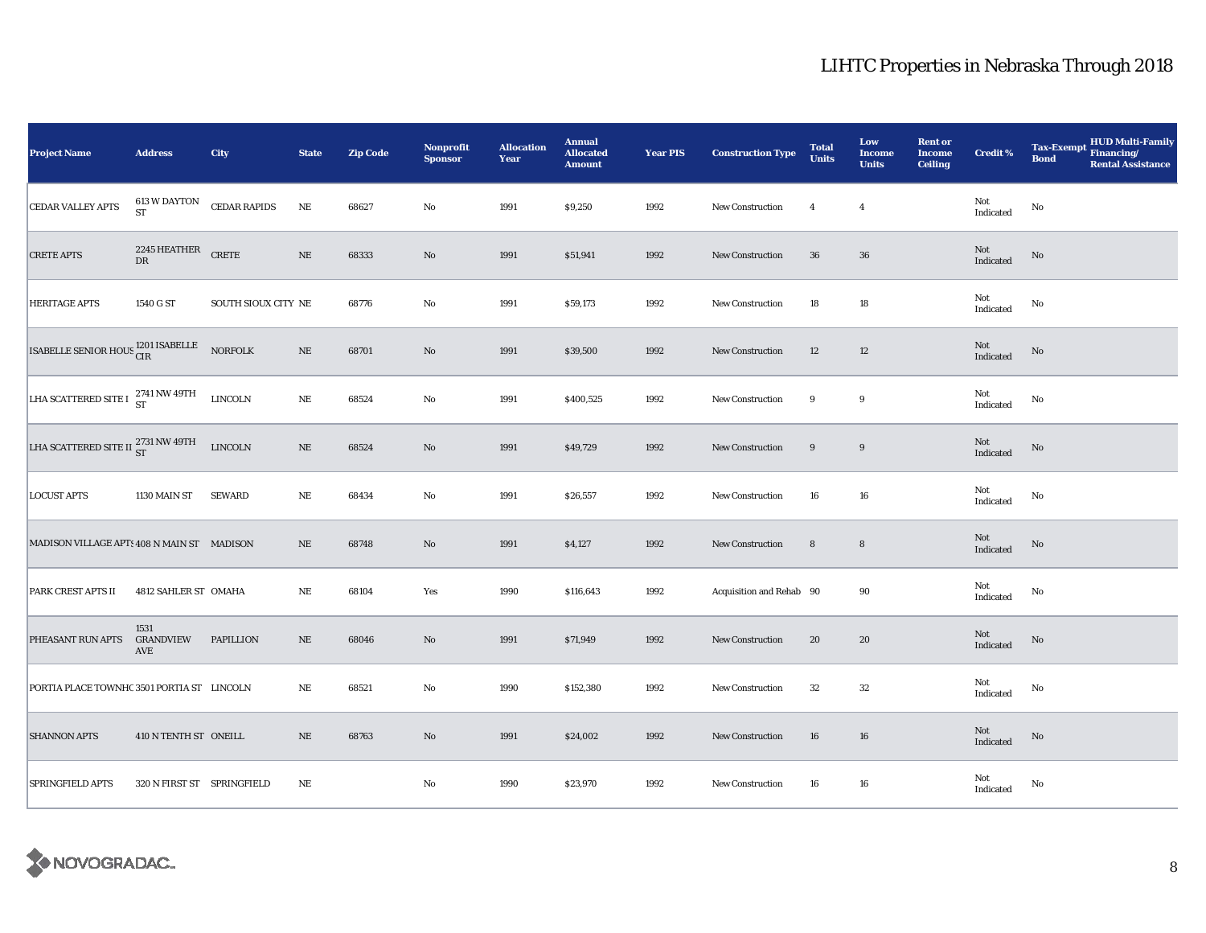| <b>Project Name</b>                              | <b>Address</b>                   | City                | <b>State</b> | <b>Zip Code</b> | Nonprofit<br><b>Sponsor</b> | <b>Allocation</b><br>Year | <b>Annual</b><br><b>Allocated</b><br><b>Amount</b> | <b>Year PIS</b> | <b>Construction Type</b> | <b>Total</b><br><b>Units</b> | Low<br><b>Income</b><br><b>Units</b> | <b>Rent or</b><br><b>Income</b><br><b>Ceiling</b> | <b>Credit %</b>                       | HUD Multi-Family<br>Financing/<br><b>Tax-Exempt</b><br><b>Bond</b><br><b>Rental Assistance</b> |
|--------------------------------------------------|----------------------------------|---------------------|--------------|-----------------|-----------------------------|---------------------------|----------------------------------------------------|-----------------|--------------------------|------------------------------|--------------------------------------|---------------------------------------------------|---------------------------------------|------------------------------------------------------------------------------------------------|
| <b>CEDAR VALLEY APTS</b>                         | <b>613 W DAYTON</b><br><b>ST</b> | <b>CEDAR RAPIDS</b> | $_{\rm NE}$  | 68627           | No                          | 1991                      | \$9,250                                            | 1992            | <b>New Construction</b>  | $\overline{4}$               | $\overline{4}$                       |                                                   | Not<br>Indicated                      | No                                                                                             |
| <b>CRETE APTS</b>                                |                                  |                     | $\rm NE$     | 68333           | $\rm No$                    | 1991                      | \$51,941                                           | 1992            | <b>New Construction</b>  | 36                           | ${\bf 36}$                           |                                                   | Not<br>Indicated                      | No                                                                                             |
| <b>HERITAGE APTS</b>                             | 1540 G ST                        | SOUTH SIOUX CITY NE |              | 68776           | $\mathbf{No}$               | 1991                      | \$59,173                                           | 1992            | <b>New Construction</b>  | 18                           | $18\,$                               |                                                   | Not<br>Indicated                      | No                                                                                             |
| ISABELLE SENIOR HOUS <sup>1201</sup> ISABELLE    |                                  | <b>NORFOLK</b>      | $\rm NE$     | 68701           | $\rm No$                    | 1991                      | \$39,500                                           | 1992            | New Construction         | 12                           | 12                                   |                                                   | Not<br>Indicated                      | No                                                                                             |
| LHA SCATTERED SITE I $^{2741}_{\rm ST}$ NW 49TH  |                                  | ${\rm LINCOLN}$     | $\rm NE$     | 68524           | No                          | 1991                      | \$400,525                                          | 1992            | New Construction         | 9                            | 9                                    |                                                   | Not<br>Indicated                      | No                                                                                             |
| LHA SCATTERED SITE II $^{2731}_{\rm ST}$ NW 49TH |                                  | LINCOLN             | $\rm NE$     | 68524           | $\rm No$                    | 1991                      | \$49,729                                           | 1992            | New Construction         | 9                            | 9                                    |                                                   | Not<br>Indicated                      | No                                                                                             |
| <b>LOCUST APTS</b>                               | 1130 MAIN ST                     | <b>SEWARD</b>       | NE           | 68434           | $\mathbf{No}$               | 1991                      | \$26,557                                           | 1992            | New Construction         | 16                           | ${\bf 16}$                           |                                                   | Not<br>Indicated                      | No                                                                                             |
| MADISON VILLAGE APTS 408 N MAIN ST MADISON       |                                  |                     | $\rm NE$     | 68748           | $\rm No$                    | 1991                      | \$4,127                                            | 1992            | <b>New Construction</b>  | $\bf 8$                      | $\bf8$                               |                                                   | Not<br>Indicated                      | No                                                                                             |
| PARK CREST APTS II                               | 4812 SAHLER ST OMAHA             |                     | $\rm{NE}$    | 68104           | Yes                         | 1990                      | \$116,643                                          | 1992            | Acquisition and Rehab 90 |                              | 90                                   |                                                   | Not<br>Indicated                      | No                                                                                             |
| PHEASANT RUN APTS                                | 1531<br>GRANDVIEW<br>AVE         | <b>PAPILLION</b>    | $\rm NE$     | 68046           | $\rm No$                    | 1991                      | \$71,949                                           | 1992            | <b>New Construction</b>  | 20                           | 20                                   |                                                   | Not<br>Indicated                      | $\mathbf{No}$                                                                                  |
| PORTIA PLACE TOWNHC 3501 PORTIA ST LINCOLN       |                                  |                     | NE           | 68521           | $\mathbf{No}$               | 1990                      | \$152,380                                          | 1992            | New Construction         | 32                           | 32                                   |                                                   | Not<br>Indicated                      | No                                                                                             |
| <b>SHANNON APTS</b>                              | 410 N TENTH ST ONEILL            |                     | $\rm NE$     | 68763           | $\rm No$                    | 1991                      | \$24,002                                           | 1992            | New Construction         | 16                           | 16                                   |                                                   | $\operatorname{\bf Not}$<br>Indicated | $\mathbf{No}$                                                                                  |
| <b>SPRINGFIELD APTS</b>                          | 320 N FIRST ST SPRINGFIELD       |                     | $\rm NE$     |                 | No                          | 1990                      | \$23,970                                           | 1992            | New Construction         | 16                           | 16                                   |                                                   | Not<br>Indicated                      | No                                                                                             |

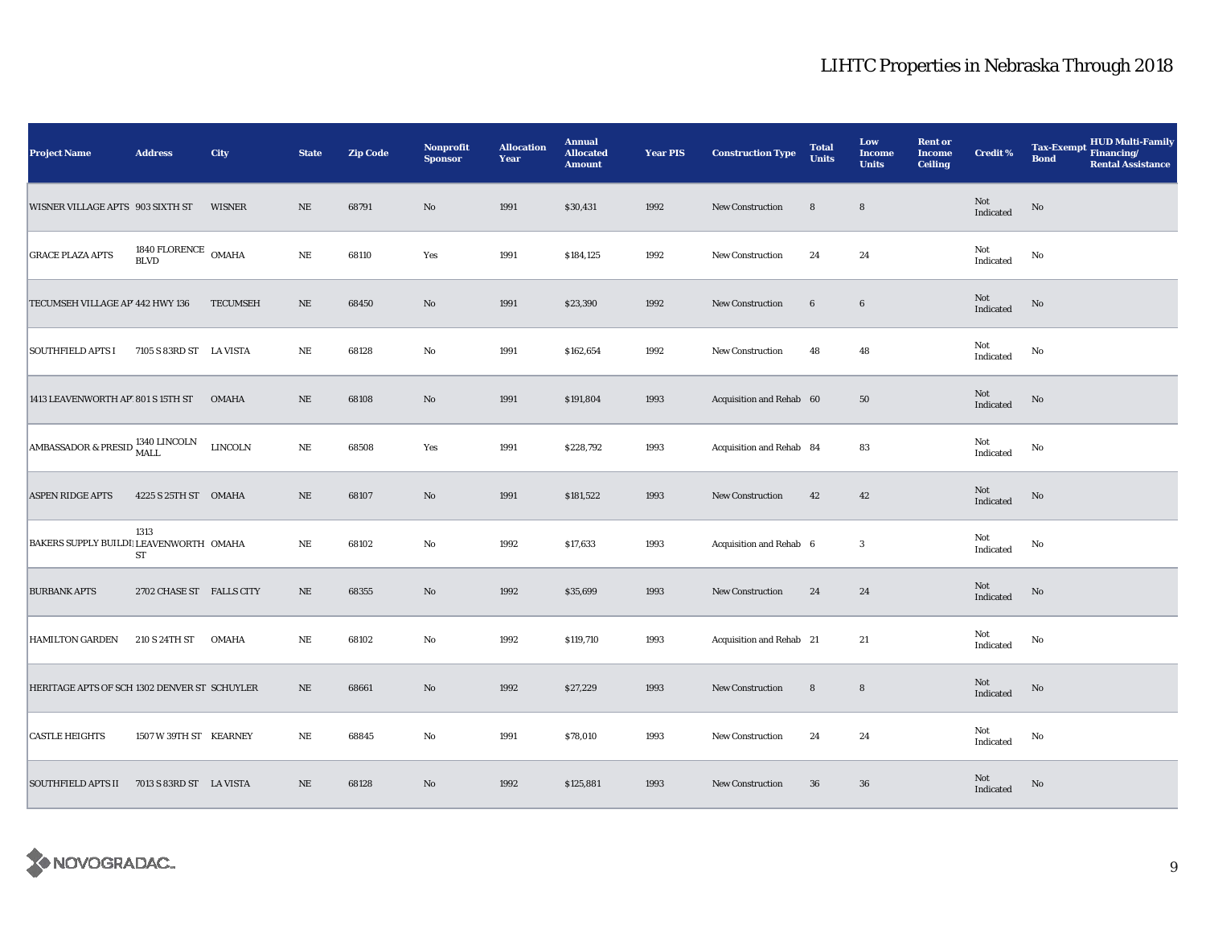| Project Name                                   | <b>Address</b>                     | City            | <b>State</b> | <b>Zip Code</b> | Nonprofit<br><b>Sponsor</b> | <b>Allocation</b><br>Year | <b>Annual</b><br><b>Allocated</b><br><b>Amount</b> | <b>Year PIS</b> | <b>Construction Type</b> | <b>Total</b><br><b>Units</b> | Low<br><b>Income</b><br><b>Units</b> | <b>Rent or</b><br><b>Income</b><br><b>Ceiling</b> | <b>Credit %</b>  | <b>HUD Multi-Family</b><br><b>Tax-Exempt</b><br>Financing/<br><b>Bond</b><br><b>Rental Assistance</b> |
|------------------------------------------------|------------------------------------|-----------------|--------------|-----------------|-----------------------------|---------------------------|----------------------------------------------------|-----------------|--------------------------|------------------------------|--------------------------------------|---------------------------------------------------|------------------|-------------------------------------------------------------------------------------------------------|
| WISNER VILLAGE APTS 903 SIXTH ST               |                                    | <b>WISNER</b>   | $\rm NE$     | 68791           | $\rm No$                    | 1991                      | \$30,431                                           | 1992            | New Construction         | $\bf8$                       | $\bf8$                               |                                                   | Not<br>Indicated | No                                                                                                    |
| <b>GRACE PLAZA APTS</b>                        | 1840 FLORENCE OMAHA<br><b>BLVD</b> |                 | $\rm NE$     | 68110           | Yes                         | 1991                      | \$184,125                                          | 1992            | <b>New Construction</b>  | 24                           | 24                                   |                                                   | Not<br>Indicated | No                                                                                                    |
| TECUMSEH VILLAGE AP' 442 HWY 136               |                                    | <b>TECUMSEH</b> | $\rm NE$     | 68450           | $\rm No$                    | 1991                      | \$23,390                                           | 1992            | New Construction         | $\bf 6$                      | $6\phantom{.0}$                      |                                                   | Not<br>Indicated | No                                                                                                    |
| <b>SOUTHFIELD APTS I</b>                       | 7105 S 83RD ST LA VISTA            |                 | NE           | 68128           | No                          | 1991                      | \$162,654                                          | 1992            | <b>New Construction</b>  | 48                           | 48                                   |                                                   | Not<br>Indicated | No                                                                                                    |
| 1413 LEAVENWORTH AP' 801 S 15TH ST             |                                    | <b>OMAHA</b>    | $\rm NE$     | 68108           | $\rm No$                    | 1991                      | \$191,804                                          | 1993            | Acquisition and Rehab 60 |                              | $50\,$                               |                                                   | Not<br>Indicated | No                                                                                                    |
| AMBASSADOR & PRESID $\frac{1340}{\text{MALL}}$ |                                    | <b>LINCOLN</b>  | $\rm NE$     | 68508           | Yes                         | 1991                      | \$228,792                                          | 1993            | Acquisition and Rehab 84 |                              | 83                                   |                                                   | Not<br>Indicated | No                                                                                                    |
| <b>ASPEN RIDGE APTS</b>                        | 4225 S 25TH ST OMAHA               |                 | $\rm NE$     | 68107           | No                          | 1991                      | \$181,522                                          | 1993            | New Construction         | 42                           | 42                                   |                                                   | Not<br>Indicated | No                                                                                                    |
| BAKERS SUPPLY BUILDI LEAVENWORTH OMAHA         | 1313<br>${\rm ST}$                 |                 | $\rm NE$     | 68102           | No                          | 1992                      | \$17,633                                           | 1993            | Acquisition and Rehab 6  |                              | $\boldsymbol{3}$                     |                                                   | Not<br>Indicated | No                                                                                                    |
| <b>BURBANK APTS</b>                            | 2702 CHASE ST FALLS CITY           |                 | $\rm NE$     | 68355           | $\mathbf{N}\mathbf{o}$      | 1992                      | \$35,699                                           | 1993            | <b>New Construction</b>  | 24                           | 24                                   |                                                   | Not<br>Indicated | $\mathbf{No}$                                                                                         |
| <b>HAMILTON GARDEN</b>                         | 210 S 24TH ST                      | <b>OMAHA</b>    | NE           | 68102           | No                          | 1992                      | \$119,710                                          | 1993            | Acquisition and Rehab 21 |                              | 21                                   |                                                   | Not<br>Indicated | No                                                                                                    |
| HERITAGE APTS OF SCH 1302 DENVER ST SCHUYLER   |                                    |                 | $\rm NE$     | 68661           | $\rm No$                    | 1992                      | \$27,229                                           | 1993            | New Construction         | $\bf8$                       | $\bf8$                               |                                                   | Not<br>Indicated | No                                                                                                    |
| <b>CASTLE HEIGHTS</b>                          | 1507 W 39TH ST KEARNEY             |                 | $\rm NE$     | 68845           | $\rm No$                    | 1991                      | \$78,010                                           | 1993            | New Construction         | 24                           | 24                                   |                                                   | Not<br>Indicated | No                                                                                                    |
| <b>SOUTHFIELD APTS II</b>                      | 7013 S 83RD ST LA VISTA            |                 | $\rm NE$     | 68128           | $\rm No$                    | 1992                      | \$125,881                                          | 1993            | <b>New Construction</b>  | 36                           | ${\bf 36}$                           |                                                   | Not<br>Indicated | No                                                                                                    |

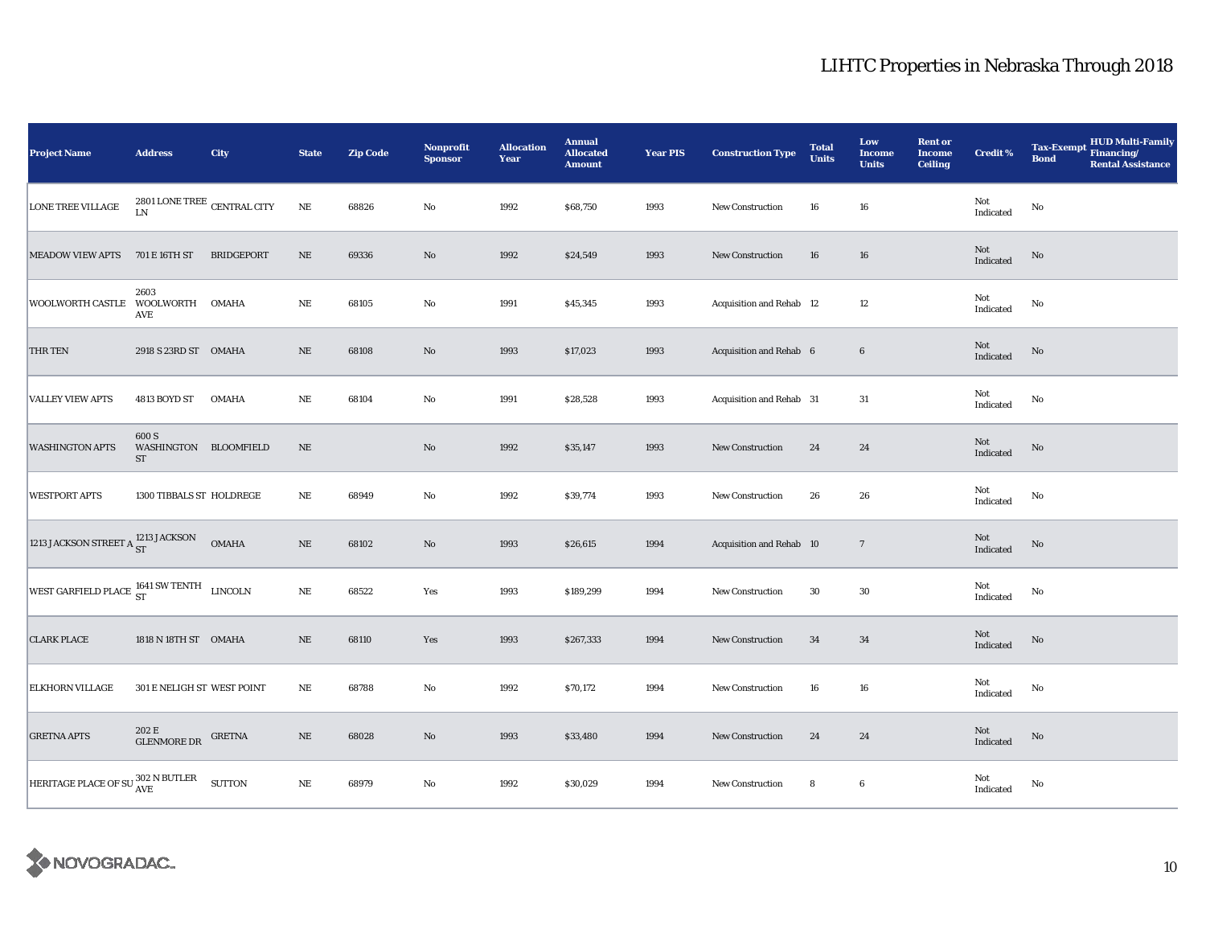| <b>Project Name</b>                                 | <b>Address</b>                               | <b>City</b>       | <b>State</b> | <b>Zip Code</b> | <b>Nonprofit</b><br><b>Sponsor</b> | <b>Allocation</b><br>Year | <b>Annual</b><br><b>Allocated</b><br><b>Amount</b> | <b>Year PIS</b> | <b>Construction Type</b> | <b>Total</b><br><b>Units</b> | Low<br><b>Income</b><br><b>Units</b> | <b>Rent or</b><br><b>Income</b><br><b>Ceiling</b> | Credit %                                   | HUD Multi-Family<br><b>Tax-Exempt</b><br>Financing/<br><b>Bond</b><br><b>Rental Assistance</b> |
|-----------------------------------------------------|----------------------------------------------|-------------------|--------------|-----------------|------------------------------------|---------------------------|----------------------------------------------------|-----------------|--------------------------|------------------------------|--------------------------------------|---------------------------------------------------|--------------------------------------------|------------------------------------------------------------------------------------------------|
| LONE TREE VILLAGE                                   | 2801 LONE TREE $\,$ CENTRAL CITY<br>LN       |                   | $\rm NE$     | 68826           | No                                 | 1992                      | \$68,750                                           | 1993            | New Construction         | 16                           | 16                                   |                                                   | Not<br>Indicated                           | No                                                                                             |
| <b>MEADOW VIEW APTS</b>                             | 701 E 16TH ST                                | <b>BRIDGEPORT</b> | $\rm NE$     | 69336           | $\rm No$                           | 1992                      | \$24,549                                           | 1993            | New Construction         | 16                           | 16                                   |                                                   | Not<br>Indicated                           | $\mathbf{No}$                                                                                  |
| WOOLWORTH CASTLE WOOLWORTH                          | 2603<br>AVE                                  | <b>OMAHA</b>      | $\rm NE$     | 68105           | $\rm No$                           | 1991                      | \$45,345                                           | 1993            | Acquisition and Rehab 12 |                              | 12                                   |                                                   | Not<br>Indicated                           | No                                                                                             |
| THR TEN                                             | 2918 S 23RD ST OMAHA                         |                   | $\rm NE$     | 68108           | No                                 | 1993                      | \$17,023                                           | 1993            | Acquisition and Rehab 6  |                              | $6\phantom{.}6$                      |                                                   | Not<br>Indicated                           | No                                                                                             |
| <b>VALLEY VIEW APTS</b>                             | 4813 BOYD ST                                 | <b>OMAHA</b>      | $\rm NE$     | 68104           | No                                 | 1991                      | \$28,528                                           | 1993            | Acquisition and Rehab 31 |                              | 31                                   |                                                   | Not<br>Indicated                           | No                                                                                             |
| <b>WASHINGTON APTS</b>                              | 600 S<br>WASHINGTON BLOOMFIELD<br>${\rm ST}$ |                   | $\rm NE$     |                 | $\mathbf{No}$                      | 1992                      | \$35,147                                           | 1993            | New Construction         | 24                           | 24                                   |                                                   | $\operatorname{\mathsf{Not}}$<br>Indicated | No                                                                                             |
| <b>WESTPORT APTS</b>                                | 1300 TIBBALS ST HOLDREGE                     |                   | $_{\rm NE}$  | 68949           | No                                 | 1992                      | \$39,774                                           | 1993            | New Construction         | 26                           | 26                                   |                                                   | Not<br>Indicated                           | No                                                                                             |
| 1213 JACKSON STREET A ST                            |                                              | <b>OMAHA</b>      | $\rm NE$     | 68102           | No                                 | 1993                      | \$26,615                                           | 1994            | Acquisition and Rehab 10 |                              | $\overline{7}$                       |                                                   | Not<br>Indicated                           | $\rm No$                                                                                       |
| WEST GARFIELD PLACE $^{1641}_{ST}$ SW TENTH LINCOLN |                                              |                   | $\rm NE$     | 68522           | Yes                                | 1993                      | \$189,299                                          | 1994            | <b>New Construction</b>  | 30                           | 30                                   |                                                   | Not<br>Indicated                           | No                                                                                             |
| <b>CLARK PLACE</b>                                  | 1818 N 18TH ST OMAHA                         |                   | $\rm NE$     | 68110           | Yes                                | 1993                      | \$267,333                                          | 1994            | New Construction         | 34                           | 34                                   |                                                   | Not<br>Indicated                           | No                                                                                             |
| ELKHORN VILLAGE                                     | 301 E NELIGH ST WEST POINT                   |                   | $\rm{NE}$    | 68788           | No                                 | 1992                      | \$70,172                                           | 1994            | New Construction         | 16                           | 16                                   |                                                   | Not<br>Indicated                           | $\mathbf{No}$                                                                                  |
| <b>GRETNA APTS</b>                                  | 202 E<br><b>GLENMORE DR</b>                  | GRETNA            | $\rm NE$     | 68028           | $\mathbf{No}$                      | 1993                      | \$33,480                                           | 1994            | New Construction         | 24                           | 24                                   |                                                   | Not<br>Indicated                           | No                                                                                             |
| HERITAGE PLACE OF SU <sup>302</sup> N BUTLER        |                                              | <b>SUTTON</b>     | $\rm NE$     | 68979           | No                                 | 1992                      | \$30,029                                           | 1994            | New Construction         | 8                            | $\boldsymbol{6}$                     |                                                   | Not<br>Indicated                           | No                                                                                             |

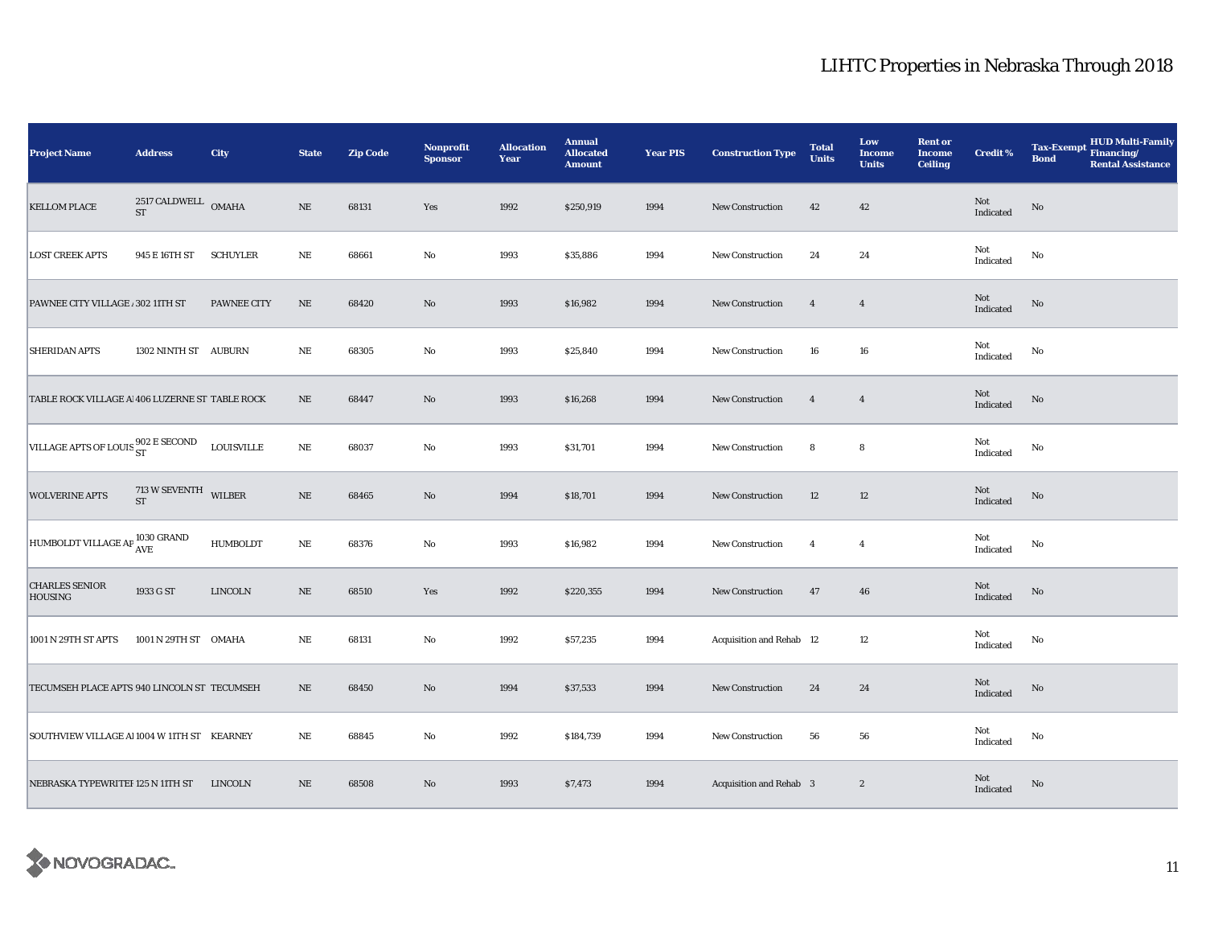| <b>Project Name</b>                            | <b>Address</b>                           | City               | <b>State</b> | <b>Zip Code</b> | Nonprofit<br><b>Sponsor</b> | <b>Allocation</b><br>Year | <b>Annual</b><br><b>Allocated</b><br><b>Amount</b> | <b>Year PIS</b> | <b>Construction Type</b>        | <b>Total</b><br><b>Units</b> | Low<br><b>Income</b><br><b>Units</b> | <b>Rent or</b><br><b>Income</b><br><b>Ceiling</b> | <b>Credit %</b>  | <b>HUD Multi-Family</b><br><b>Tax-Exempt</b><br>Financing/<br><b>Bond</b><br><b>Rental Assistance</b> |
|------------------------------------------------|------------------------------------------|--------------------|--------------|-----------------|-----------------------------|---------------------------|----------------------------------------------------|-----------------|---------------------------------|------------------------------|--------------------------------------|---------------------------------------------------|------------------|-------------------------------------------------------------------------------------------------------|
| <b>KELLOM PLACE</b>                            | 2517 CALDWELL OMAHA<br>ST                |                    | $\rm NE$     | 68131           | Yes                         | 1992                      | \$250,919                                          | 1994            | <b>New Construction</b>         | 42                           | 42                                   |                                                   | Not<br>Indicated | $\mathbf{N}\mathbf{o}$                                                                                |
| <b>LOST CREEK APTS</b>                         | 945 E 16TH ST                            | <b>SCHUYLER</b>    | NE           | 68661           | $\rm No$                    | 1993                      | \$35,886                                           | 1994            | <b>New Construction</b>         | 24                           | 24                                   |                                                   | Not<br>Indicated | No                                                                                                    |
| PAWNEE CITY VILLAGE . 302 11TH ST              |                                          | <b>PAWNEE CITY</b> | $\rm NE$     | 68420           | No                          | 1993                      | \$16,982                                           | 1994            | New Construction                | $\overline{4}$               | $\overline{4}$                       |                                                   | Not<br>Indicated | $\mathbf{N}\mathbf{o}$                                                                                |
| <b>SHERIDAN APTS</b>                           | 1302 NINTH ST AUBURN                     |                    | $_{\rm NE}$  | 68305           | $\rm No$                    | 1993                      | \$25,840                                           | 1994            | <b>New Construction</b>         | 16                           | 16                                   |                                                   | Not<br>Indicated | No                                                                                                    |
| TABLE ROCK VILLAGE A 406 LUZERNE ST TABLE ROCK |                                          |                    | $\rm NE$     | 68447           | $\rm\thinspace No$          | 1993                      | \$16,268                                           | 1994            | <b>New Construction</b>         | $\overline{4}$               | $\overline{4}$                       |                                                   | Not<br>Indicated | No                                                                                                    |
| VILLAGE APTS OF LOUIS ST                       |                                          | <b>LOUISVILLE</b>  | $\rm NE$     | 68037           | $\mathbf{No}$               | 1993                      | \$31,701                                           | 1994            | New Construction                | 8                            | 8                                    |                                                   | Not<br>Indicated | No                                                                                                    |
| <b>WOLVERINE APTS</b>                          | $713$ W SEVENTH $\_$ WILBER<br><b>ST</b> |                    | $\rm NE$     | 68465           | No                          | 1994                      | \$18,701                                           | 1994            | New Construction                | 12                           | 12                                   |                                                   | Not<br>Indicated | No                                                                                                    |
| HUMBOLDT VILLAGE AP 1030 GRAND                 |                                          | HUMBOLDT           | $\rm NE$     | 68376           | $\mathbf{No}$               | 1993                      | \$16,982                                           | 1994            | New Construction                | $\overline{4}$               | $\overline{4}$                       |                                                   | Not<br>Indicated | $\mathbf{No}$                                                                                         |
| <b>CHARLES SENIOR</b><br><b>HOUSING</b>        | 1933 G ST                                | <b>LINCOLN</b>     | $\rm NE$     | 68510           | Yes                         | 1992                      | \$220,355                                          | 1994            | New Construction                | 47                           | 46                                   |                                                   | Not<br>Indicated | $\rm No$                                                                                              |
| 1001 N 29TH ST APTS                            | 1001 N 29TH ST OMAHA                     |                    | NE           | 68131           | $\mathbf {No}$              | 1992                      | \$57,235                                           | 1994            | <b>Acquisition and Rehab 12</b> |                              | 12                                   |                                                   | Not<br>Indicated | No                                                                                                    |
| TECUMSEH PLACE APTS 940 LINCOLN ST TECUMSEH    |                                          |                    | $\rm NE$     | 68450           | $\rm\thinspace No$          | 1994                      | \$37,533                                           | 1994            | New Construction                | 24                           | 24                                   |                                                   | Not<br>Indicated | No                                                                                                    |
| SOUTHVIEW VILLAGE Al 1004 W 11TH ST KEARNEY    |                                          |                    | $\rm NE$     | 68845           | $\rm No$                    | 1992                      | \$184,739                                          | 1994            | New Construction                | 56                           | 56                                   |                                                   | Not<br>Indicated | No                                                                                                    |
| NEBRASKA TYPEWRITEF 125 N 11TH ST              |                                          | <b>LINCOLN</b>     | $\rm NE$     | 68508           | No                          | 1993                      | \$7,473                                            | 1994            | Acquisition and Rehab 3         |                              | $\boldsymbol{2}$                     |                                                   | Not<br>Indicated | No                                                                                                    |

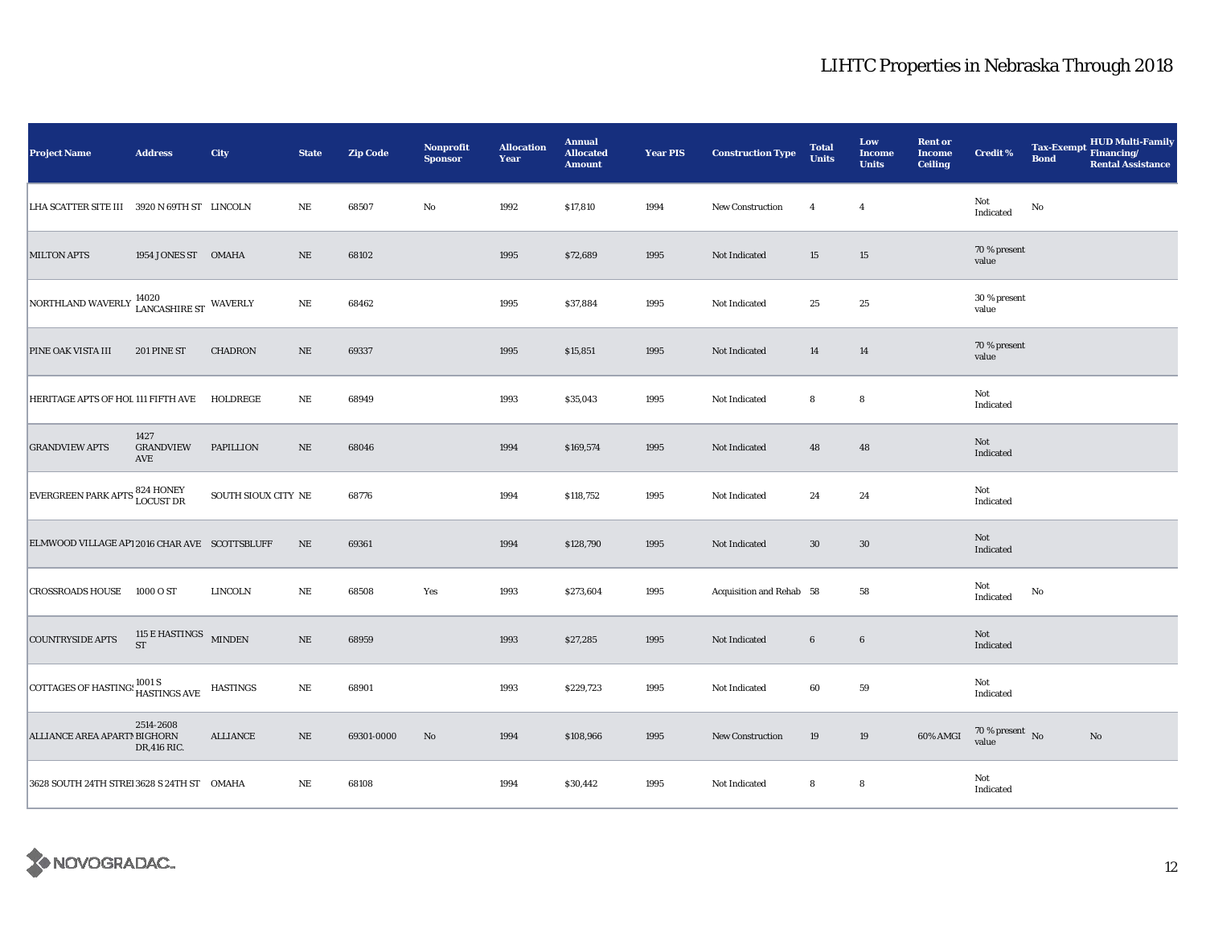| <b>Project Name</b>                              | <b>Address</b>                     | City                | <b>State</b> | <b>Zip Code</b> | Nonprofit<br><b>Sponsor</b> | <b>Allocation</b><br>Year | <b>Annual</b><br><b>Allocated</b><br><b>Amount</b> | <b>Year PIS</b> | <b>Construction Type</b> | <b>Total</b><br><b>Units</b> | Low<br><b>Income</b><br><b>Units</b> | <b>Rent or</b><br><b>Income</b><br><b>Ceiling</b> | <b>Credit %</b>                | <b>Tax-Exempt</b><br><b>Bond</b> | HUD Multi-Family<br>Financing/<br><b>Rental Assistance</b> |
|--------------------------------------------------|------------------------------------|---------------------|--------------|-----------------|-----------------------------|---------------------------|----------------------------------------------------|-----------------|--------------------------|------------------------------|--------------------------------------|---------------------------------------------------|--------------------------------|----------------------------------|------------------------------------------------------------|
| LHA SCATTER SITE III 3920 N 69TH ST LINCOLN      |                                    |                     | NE           | 68507           | No                          | 1992                      | \$17,810                                           | 1994            | <b>New Construction</b>  | $\overline{4}$               | $\overline{4}$                       |                                                   | Not<br>Indicated               | $\mathbf{No}$                    |                                                            |
| <b>MILTON APTS</b>                               | 1954 JONES ST OMAHA                |                     | $\rm NE$     | 68102           |                             | 1995                      | \$72,689                                           | 1995            | Not Indicated            | 15                           | 15                                   |                                                   | 70 % present<br>value          |                                  |                                                            |
| NORTHLAND WAVERLY 14020<br>LANCASHIRE ST WAVERLY |                                    |                     | $\rm NE$     | 68462           |                             | 1995                      | \$37,884                                           | 1995            | Not Indicated            | 25                           | $25\,$                               |                                                   | 30 % present<br>value          |                                  |                                                            |
| PINE OAK VISTA III                               | 201 PINE ST                        | <b>CHADRON</b>      | NE           | 69337           |                             | 1995                      | \$15,851                                           | 1995            | Not Indicated            | 14                           | 14                                   |                                                   | 70 % present<br>value          |                                  |                                                            |
| HERITAGE APTS OF HOL 111 FIFTH AVE               |                                    | HOLDREGE            | NE           | 68949           |                             | 1993                      | \$35,043                                           | 1995            | Not Indicated            | 8                            | 8                                    |                                                   | Not<br>Indicated               |                                  |                                                            |
| <b>GRANDVIEW APTS</b>                            | 1427<br><b>GRANDVIEW</b><br>AVE    | <b>PAPILLION</b>    | $\rm NE$     | 68046           |                             | 1994                      | \$169,574                                          | 1995            | Not Indicated            | 48                           | 48                                   |                                                   | Not<br>Indicated               |                                  |                                                            |
| EVERGREEN PARK APTS 824 HONEY                    |                                    | SOUTH SIOUX CITY NE |              | 68776           |                             | 1994                      | \$118,752                                          | 1995            | Not Indicated            | 24                           | 24                                   |                                                   | Not<br>Indicated               |                                  |                                                            |
| ELMWOOD VILLAGE AP1 2016 CHAR AVE SCOTTSBLUFF    |                                    |                     | $\rm NE$     | 69361           |                             | 1994                      | \$128,790                                          | 1995            | Not Indicated            | $30\,$                       | 30                                   |                                                   | Not<br>Indicated               |                                  |                                                            |
| CROSSROADS HOUSE 1000 O ST                       |                                    | <b>LINCOLN</b>      | $\rm NE$     | 68508           | Yes                         | 1993                      | \$273,604                                          | 1995            | Acquisition and Rehab 58 |                              | 58                                   |                                                   | Not<br>Indicated               | No                               |                                                            |
| <b>COUNTRYSIDE APTS</b>                          | 115 E HASTINGS MINDEN<br><b>ST</b> |                     | $\rm NE$     | 68959           |                             | 1993                      | \$27,285                                           | 1995            | Not Indicated            | $6\phantom{.}6$              | $6\phantom{.0}$                      |                                                   | Not<br>Indicated               |                                  |                                                            |
| COTTAGES OF HASTING: 1001 S<br>HASTINGS AVE      |                                    | <b>HASTINGS</b>     | $\rm NE$     | 68901           |                             | 1993                      | \$229,723                                          | 1995            | Not Indicated            | 60                           | ${\bf 59}$                           |                                                   | Not<br>Indicated               |                                  |                                                            |
| ALLIANCE AREA APARTM BIGHORN                     | 2514-2608<br>DR, 416 RIC.          | <b>ALLIANCE</b>     | $\rm NE$     | 69301-0000      | No                          | 1994                      | \$108,966                                          | 1995            | New Construction         | 19                           | 19                                   | 60% AMGI                                          | $70\,\%$ present $\;$ No value |                                  | No                                                         |
| 3628 SOUTH 24TH STREI 3628 S 24TH ST OMAHA       |                                    |                     | NE           | 68108           |                             | 1994                      | \$30,442                                           | 1995            | Not Indicated            | 8                            | 8                                    |                                                   | Not<br>Indicated               |                                  |                                                            |

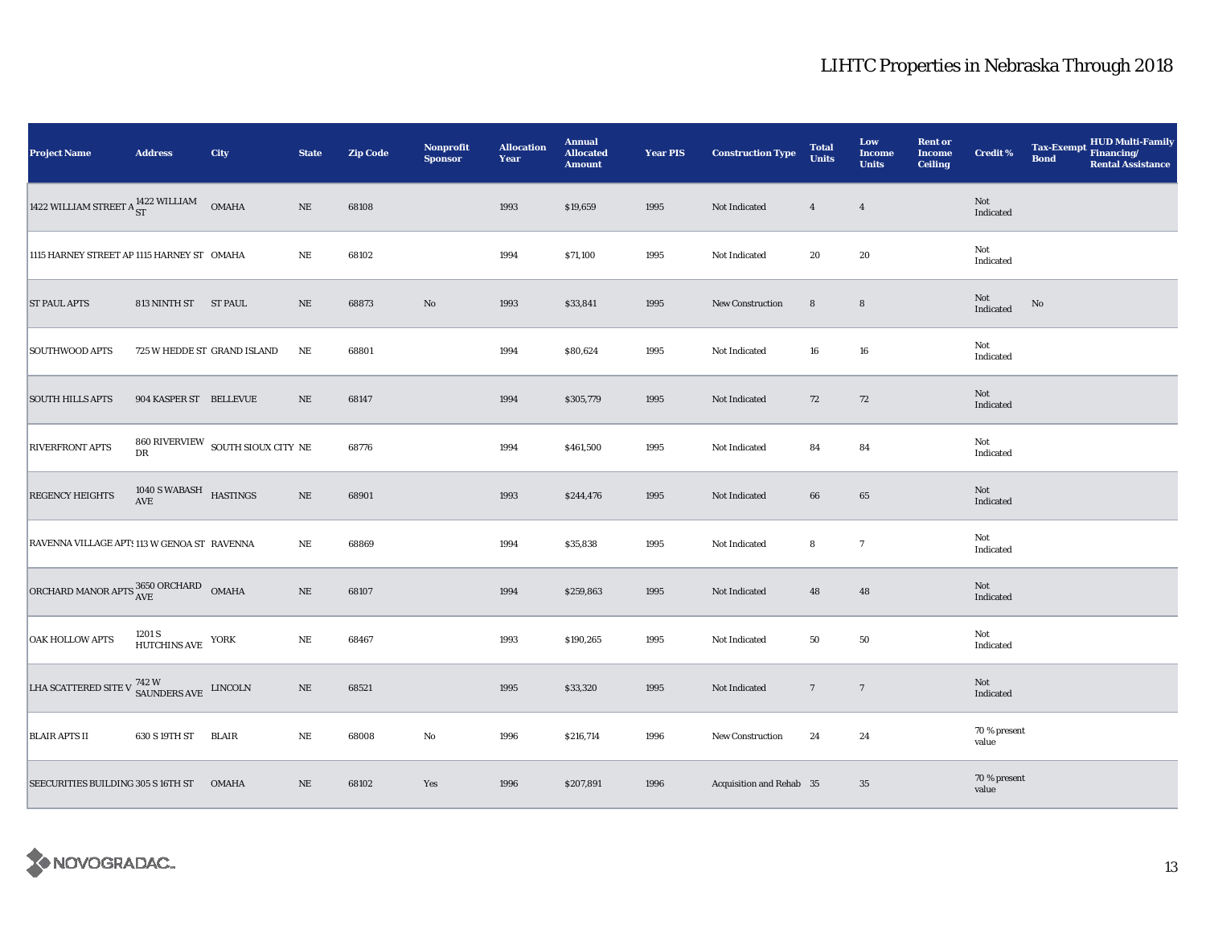| <b>Project Name</b>                                                         | <b>Address</b>                          | City                                               | <b>State</b> | <b>Zip Code</b> | Nonprofit<br><b>Sponsor</b> | <b>Allocation</b><br>Year | <b>Annual</b><br><b>Allocated</b><br><b>Amount</b> | <b>Year PIS</b> | <b>Construction Type</b> | <b>Total</b><br><b>Units</b> | Low<br><b>Income</b><br><b>Units</b> | <b>Rent or</b><br><b>Income</b><br><b>Ceiling</b> | <b>Credit %</b>       | <b>Tax-Exempt</b><br><b>Bond</b> | HUD Multi-Family<br>Financing/<br><b>Rental Assistance</b> |
|-----------------------------------------------------------------------------|-----------------------------------------|----------------------------------------------------|--------------|-----------------|-----------------------------|---------------------------|----------------------------------------------------|-----------------|--------------------------|------------------------------|--------------------------------------|---------------------------------------------------|-----------------------|----------------------------------|------------------------------------------------------------|
| 1422 WILLIAM STREET A $_{\rm ST}^{1422}$ WILLIAM                            |                                         | OMAHA                                              | $\rm NE$     | 68108           |                             | 1993                      | \$19,659                                           | 1995            | Not Indicated            | $\overline{4}$               | $\overline{4}$                       |                                                   | Not<br>Indicated      |                                  |                                                            |
| 1115 HARNEY STREET AP 1115 HARNEY ST OMAHA                                  |                                         |                                                    | $\rm NE$     | 68102           |                             | 1994                      | \$71,100                                           | 1995            | Not Indicated            | 20                           | 20                                   |                                                   | Not<br>Indicated      |                                  |                                                            |
| <b>ST PAUL APTS</b>                                                         | 813 NINTH ST ST PAUL                    |                                                    | $\rm NE$     | 68873           | $\rm No$                    | 1993                      | \$33,841                                           | 1995            | <b>New Construction</b>  | ${\bf 8}$                    | $\bf8$                               |                                                   | Not<br>Indicated      | $\rm No$                         |                                                            |
| <b>SOUTHWOOD APTS</b>                                                       | 725 W HEDDE ST GRAND ISLAND             |                                                    | NE           | 68801           |                             | 1994                      | \$80,624                                           | 1995            | Not Indicated            | 16                           | ${\bf 16}$                           |                                                   | Not<br>Indicated      |                                  |                                                            |
| <b>SOUTH HILLS APTS</b>                                                     | 904 KASPER ST BELLEVUE                  |                                                    | $\rm NE$     | 68147           |                             | 1994                      | \$305,779                                          | 1995            | Not Indicated            | 72                           | 72                                   |                                                   | Not<br>Indicated      |                                  |                                                            |
| <b>RIVERFRONT APTS</b>                                                      | ${\rm DR}$                              | $860$ RIVERVIEW $\,$ SOUTH SIOUX CITY $\,$ NE $\,$ |              | 68776           |                             | 1994                      | \$461,500                                          | 1995            | Not Indicated            | 84                           | 84                                   |                                                   | Not<br>Indicated      |                                  |                                                            |
| <b>REGENCY HEIGHTS</b>                                                      | $1040$ S WABASH $$\tt HASTINGS$$        |                                                    | $\rm NE$     | 68901           |                             | 1993                      | \$244,476                                          | 1995            | Not Indicated            | 66                           | 65                                   |                                                   | Not<br>Indicated      |                                  |                                                            |
| RAVENNA VILLAGE APT: 113 W GENOA ST RAVENNA                                 |                                         |                                                    | $_{\rm NE}$  | 68869           |                             | 1994                      | \$35,838                                           | 1995            | Not Indicated            | 8                            | $\boldsymbol{7}$                     |                                                   | Not<br>Indicated      |                                  |                                                            |
| ORCHARD MANOR APTS $^{3650\, \rm ORCHARD}_{\rm AVE}$ OMAHA                  |                                         |                                                    | $\rm NE$     | 68107           |                             | 1994                      | \$259,863                                          | 1995            | Not Indicated            | 48                           | 48                                   |                                                   | Not<br>Indicated      |                                  |                                                            |
| <b>OAK HOLLOW APTS</b>                                                      | $1201~\mathrm{S}$ HUTCHINS AVE $~$ YORK |                                                    | $\rm NE$     | 68467           |                             | 1993                      | \$190,265                                          | 1995            | Not Indicated            | 50                           | ${\bf 50}$                           |                                                   | Not<br>Indicated      |                                  |                                                            |
| LHA SCATTERED SITE V $^{742\, \rm W}_{\rm \  \  \, SAUNDERS\, AVE}$ LINCOLN |                                         |                                                    | $\rm NE$     | 68521           |                             | 1995                      | \$33,320                                           | 1995            | Not Indicated            | $\overline{7}$               | $\overline{7}$                       |                                                   | Not<br>Indicated      |                                  |                                                            |
| <b>BLAIR APTS II</b>                                                        | 630 S 19TH ST                           | <b>BLAIR</b>                                       | $\rm NE$     | 68008           | No                          | 1996                      | \$216,714                                          | 1996            | New Construction         | 24                           | 24                                   |                                                   | 70 % present<br>value |                                  |                                                            |
| SEECURITIES BUILDING 305 S 16TH ST                                          |                                         | <b>OMAHA</b>                                       | $\rm NE$     | 68102           | Yes                         | 1996                      | \$207,891                                          | 1996            | Acquisition and Rehab 35 |                              | 35                                   |                                                   | 70 % present<br>value |                                  |                                                            |

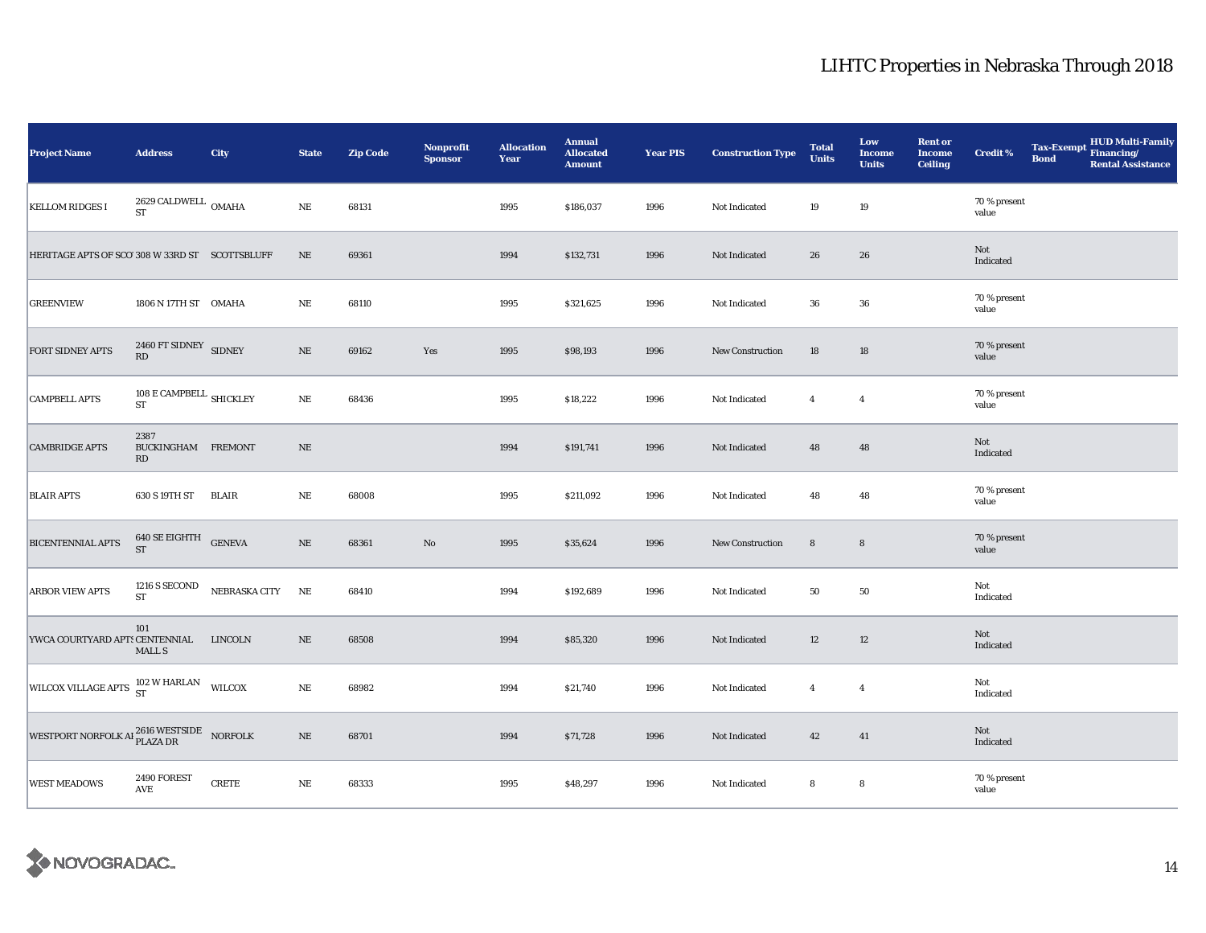| <b>Project Name</b>                                                | <b>Address</b>                                                       | City                           | <b>State</b> | <b>Zip Code</b> | <b>Nonprofit</b><br><b>Sponsor</b> | <b>Allocation</b><br>Year | <b>Annual</b><br><b>Allocated</b><br><b>Amount</b> | <b>Year PIS</b> | <b>Construction Type</b> | <b>Total</b><br><b>Units</b> | Low<br><b>Income</b><br><b>Units</b> | <b>Rent or</b><br><b>Income</b><br><b>Ceiling</b> | <b>Credit %</b>       | <b>Tax-Exempt</b><br><b>Bond</b> | HUD Multi-Family<br>Financing/<br><b>Rental Assistance</b> |
|--------------------------------------------------------------------|----------------------------------------------------------------------|--------------------------------|--------------|-----------------|------------------------------------|---------------------------|----------------------------------------------------|-----------------|--------------------------|------------------------------|--------------------------------------|---------------------------------------------------|-----------------------|----------------------------------|------------------------------------------------------------|
| <b>KELLOM RIDGES I</b>                                             | $2629\,\mbox{CALDWELL}$ OMAHA<br><b>ST</b>                           |                                | $\rm NE$     | 68131           |                                    | 1995                      | \$186,037                                          | 1996            | Not Indicated            | 19                           | 19                                   |                                                   | 70 % present<br>value |                                  |                                                            |
| HERITAGE APTS OF SCO' 308 W 33RD ST SCOTTSBLUFF                    |                                                                      |                                | $\rm NE$     | 69361           |                                    | 1994                      | \$132,731                                          | 1996            | Not Indicated            | 26                           | 26                                   |                                                   | Not<br>Indicated      |                                  |                                                            |
| <b>GREENVIEW</b>                                                   | 1806 N 17TH ST OMAHA                                                 |                                | NE           | 68110           |                                    | 1995                      | \$321,625                                          | 1996            | Not Indicated            | 36                           | 36                                   |                                                   | 70 % present<br>value |                                  |                                                            |
| <b>FORT SIDNEY APTS</b>                                            | $2460\ \mbox{FT SIDNEV} \hspace{0.2cm} \mbox{SIDNEY} \hspace{0.2cm}$ |                                | $\rm NE$     | 69162           | Yes                                | 1995                      | \$98,193                                           | 1996            | <b>New Construction</b>  | 18                           | 18                                   |                                                   | 70 % present<br>value |                                  |                                                            |
| <b>CAMPBELL APTS</b>                                               | 108 E CAMPBELL SHICKLEY<br>${\rm ST}$                                |                                | $\rm NE$     | 68436           |                                    | 1995                      | \$18,222                                           | 1996            | Not Indicated            | $\overline{4}$               | $\overline{4}$                       |                                                   | 70 % present<br>value |                                  |                                                            |
| <b>CAMBRIDGE APTS</b>                                              | 2387<br>BUCKINGHAM FREMONT<br>RD                                     |                                | $\rm NE$     |                 |                                    | 1994                      | \$191,741                                          | 1996            | Not Indicated            | 48                           | 48                                   |                                                   | Not<br>Indicated      |                                  |                                                            |
| <b>BLAIR APTS</b>                                                  | 630 S 19TH ST                                                        | BLAIR                          | NE           | 68008           |                                    | 1995                      | \$211,092                                          | 1996            | Not Indicated            | 48                           | 48                                   |                                                   | 70 % present<br>value |                                  |                                                            |
| <b>BICENTENNIAL APTS</b>                                           | 640 SE EIGHTH GENEVA<br><b>ST</b>                                    |                                | $\rm NE$     | 68361           | $\rm No$                           | 1995                      | \$35,624                                           | 1996            | New Construction         | $\bf8$                       | $\bf8$                               |                                                   | 70 % present<br>value |                                  |                                                            |
| <b>ARBOR VIEW APTS</b>                                             | ST                                                                   | 1216 S SECOND NEBRASKA CITY NE |              | 68410           |                                    | 1994                      | \$192,689                                          | 1996            | Not Indicated            | 50                           | 50                                   |                                                   | Not<br>Indicated      |                                  |                                                            |
| YWCA COURTYARD APTS CENTENNIAL LINCOLN                             | 101<br><b>MALL S</b>                                                 |                                | $\rm NE$     | 68508           |                                    | 1994                      | \$85,320                                           | 1996            | Not Indicated            | 12                           | $12\,$                               |                                                   | Not<br>Indicated      |                                  |                                                            |
| WILCOX VILLAGE APTS 102 W HARLAN WILCOX                            |                                                                      |                                | $\rm NE$     | 68982           |                                    | 1994                      | \$21,740                                           | 1996            | Not Indicated            | $\overline{4}$               | $\overline{4}$                       |                                                   | Not<br>Indicated      |                                  |                                                            |
| WESTPORT NORFOLK AI $_{\rm PLAZA\,DR}^{2616\rm\,WESTSIDE}$ NORFOLK |                                                                      |                                | $\rm NE$     | 68701           |                                    | 1994                      | \$71,728                                           | 1996            | Not Indicated            | 42                           | 41                                   |                                                   | Not<br>Indicated      |                                  |                                                            |
| <b>WEST MEADOWS</b>                                                | 2490 FOREST<br>$\operatorname{AVE}$                                  | <b>CRETE</b>                   | $\rm NE$     | 68333           |                                    | 1995                      | \$48,297                                           | 1996            | Not Indicated            | 8                            | 8                                    |                                                   | 70 % present<br>value |                                  |                                                            |

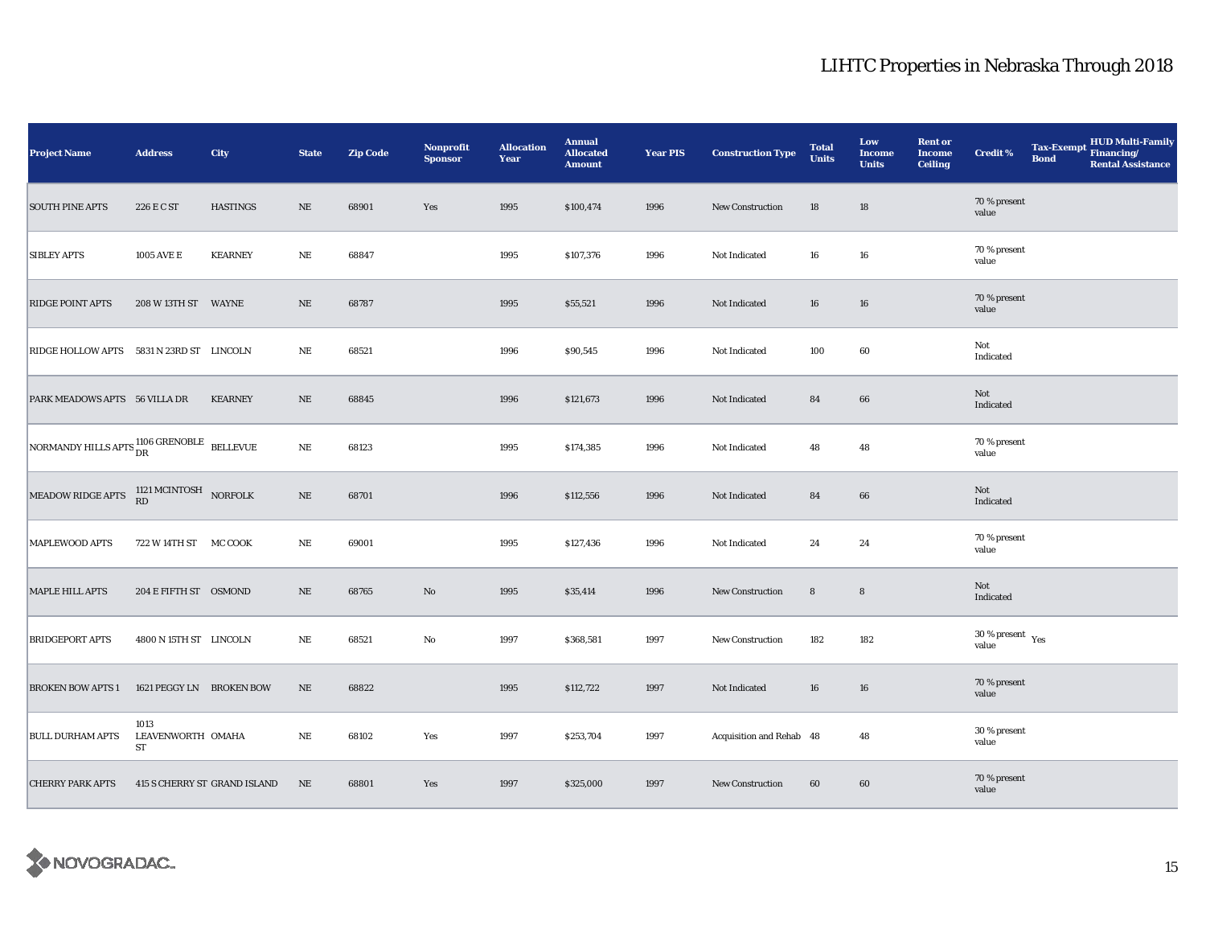| <b>Project Name</b>                                                                           | <b>Address</b>                  | City                         | <b>State</b> | <b>Zip Code</b> | Nonprofit<br><b>Sponsor</b> | <b>Allocation</b><br>Year | <b>Annual</b><br><b>Allocated</b><br><b>Amount</b> | <b>Year PIS</b> | <b>Construction Type</b> | <b>Total</b><br><b>Units</b> | Low<br>Income<br><b>Units</b> | <b>Rent or</b><br><b>Income</b><br><b>Ceiling</b> | <b>Credit %</b>                          | <b>Tax-Exempt</b><br><b>Bond</b> | HUD Multi-Family<br>Financing/<br><b>Rental Assistance</b> |
|-----------------------------------------------------------------------------------------------|---------------------------------|------------------------------|--------------|-----------------|-----------------------------|---------------------------|----------------------------------------------------|-----------------|--------------------------|------------------------------|-------------------------------|---------------------------------------------------|------------------------------------------|----------------------------------|------------------------------------------------------------|
| <b>SOUTH PINE APTS</b>                                                                        | 226 E C ST                      | <b>HASTINGS</b>              | $\rm NE$     | 68901           | Yes                         | 1995                      | \$100,474                                          | 1996            | New Construction         | 18                           | 18                            |                                                   | 70 % present<br>value                    |                                  |                                                            |
| <b>SIBLEY APTS</b>                                                                            | <b>1005 AVE E</b>               | <b>KEARNEY</b>               | $\rm NE$     | 68847           |                             | 1995                      | \$107,376                                          | 1996            | Not Indicated            | 16                           | 16                            |                                                   | 70 % present<br>value                    |                                  |                                                            |
| <b>RIDGE POINT APTS</b>                                                                       | 208 W 13TH ST WAYNE             |                              | $\rm NE$     | 68787           |                             | 1995                      | \$55,521                                           | 1996            | Not Indicated            | 16                           | 16                            |                                                   | 70 % present<br>value                    |                                  |                                                            |
| RIDGE HOLLOW APTS 5831 N 23RD ST LINCOLN                                                      |                                 |                              | $\rm NE$     | 68521           |                             | 1996                      | \$90,545                                           | 1996            | Not Indicated            | 100                          | 60                            |                                                   | Not<br>Indicated                         |                                  |                                                            |
| PARK MEADOWS APTS 56 VILLA DR                                                                 |                                 | <b>KEARNEY</b>               | $\rm NE$     | 68845           |                             | 1996                      | \$121,673                                          | 1996            | Not Indicated            | 84                           | 66                            |                                                   | Not<br>Indicated                         |                                  |                                                            |
| NORMANDY HILLS APTS $^{1106}_{DR}$ GRENOBLE BELLEVUE                                          |                                 |                              | $\rm NE$     | 68123           |                             | 1995                      | \$174,385                                          | 1996            | Not Indicated            | 48                           | 48                            |                                                   | 70 % present<br>value                    |                                  |                                                            |
| MEADOW RIDGE APTS $\begin{array}{cc} 1121 \text{ M CINTOSH} \\ \text{RD} \end{array}$ NORFOLK |                                 |                              | $\rm NE$     | 68701           |                             | 1996                      | \$112,556                                          | 1996            | Not Indicated            | 84                           | 66                            |                                                   | Not<br>Indicated                         |                                  |                                                            |
| MAPLEWOOD APTS                                                                                | 722 W 14TH ST MC COOK           |                              | $\rm NE$     | 69001           |                             | 1995                      | \$127,436                                          | 1996            | Not Indicated            | 24                           | 24                            |                                                   | 70 % present<br>value                    |                                  |                                                            |
| <b>MAPLE HILL APTS</b>                                                                        | 204 E FIFTH ST OSMOND           |                              | $\rm NE$     | 68765           | No                          | 1995                      | \$35,414                                           | 1996            | New Construction         | $\bf8$                       | $\bf8$                        |                                                   | Not<br>Indicated                         |                                  |                                                            |
| <b>BRIDGEPORT APTS</b>                                                                        | 4800 N 15TH ST LINCOLN          |                              | NE           | 68521           | $\rm No$                    | 1997                      | \$368,581                                          | 1997            | <b>New Construction</b>  | 182                          | 182                           |                                                   | $30\,\%$ present $\,$ $\rm Yes$<br>value |                                  |                                                            |
| <b>BROKEN BOW APTS 1</b>                                                                      | 1621 PEGGY LN BROKEN BOW        |                              | NE           | 68822           |                             | 1995                      | \$112,722                                          | 1997            | Not Indicated            | 16                           | 16                            |                                                   | 70 % present<br>value                    |                                  |                                                            |
| <b>BULL DURHAM APTS</b>                                                                       | 1013<br>LEAVENWORTH OMAHA<br>ST |                              | $_{\rm NE}$  | 68102           | Yes                         | 1997                      | \$253,704                                          | 1997            | Acquisition and Rehab 48 |                              | 48                            |                                                   | 30 % present<br>value                    |                                  |                                                            |
| <b>CHERRY PARK APTS</b>                                                                       |                                 | 415 S CHERRY ST GRAND ISLAND | NE           | 68801           | Yes                         | 1997                      | \$325,000                                          | 1997            | New Construction         | 60                           | 60                            |                                                   | 70 % present<br>value                    |                                  |                                                            |

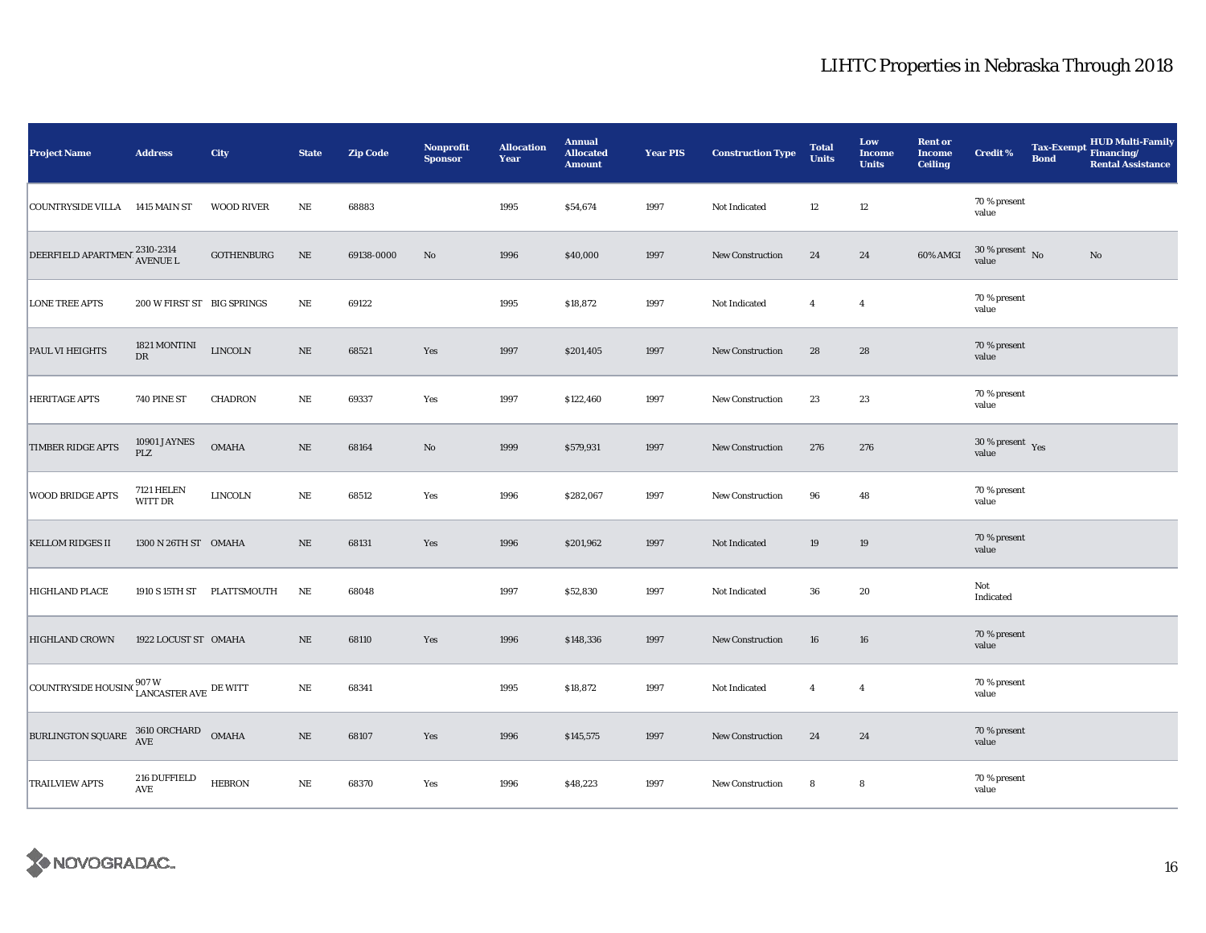| <b>Project Name</b>                                                                                                                                           | <b>Address</b>                         | City                       | <b>State</b> | <b>Zip Code</b> | Nonprofit<br><b>Sponsor</b> | <b>Allocation</b><br>Year | <b>Annual</b><br><b>Allocated</b><br><b>Amount</b> | <b>Year PIS</b> | <b>Construction Type</b> | <b>Total</b><br><b>Units</b> | Low<br><b>Income</b><br><b>Units</b> | <b>Rent or</b><br><b>Income</b><br><b>Ceiling</b> | <b>Credit %</b>                          | <b>Tax-Exempt</b><br><b>Bond</b> | HUD Multi-Family<br>Financing/<br><b>Rental Assistance</b> |
|---------------------------------------------------------------------------------------------------------------------------------------------------------------|----------------------------------------|----------------------------|--------------|-----------------|-----------------------------|---------------------------|----------------------------------------------------|-----------------|--------------------------|------------------------------|--------------------------------------|---------------------------------------------------|------------------------------------------|----------------------------------|------------------------------------------------------------|
| <b>COUNTRYSIDE VILLA</b>                                                                                                                                      | 1415 MAIN ST                           | <b>WOOD RIVER</b>          | NE           | 68883           |                             | 1995                      | \$54,674                                           | 1997            | Not Indicated            | 12                           | $12\,$                               |                                                   | 70 % present<br>value                    |                                  |                                                            |
| $\fbox{DEERFIELD} \begin{tabular}{@{}l@{}} \bf APARTMEN \\ \bf AVENUE \\ \end{tabular} \begin{tabular}{@{}l@{}} \bf 2310-2314 \\ \bf AVENUE \\ \end{tabular}$ |                                        | <b>GOTHENBURG</b>          | $\rm NE$     | 69138-0000      | $\mathbf{N}\mathbf{o}$      | 1996                      | \$40,000                                           | 1997            | New Construction         | 24                           | 24                                   | 60% AMGI                                          | $30\,\%$ present $\,$ No value           |                                  | $\mathbf{No}$                                              |
| <b>LONE TREE APTS</b>                                                                                                                                         | 200 W FIRST ST BIG SPRINGS             |                            | $\rm NE$     | 69122           |                             | 1995                      | \$18,872                                           | 1997            | Not Indicated            | $\overline{4}$               | $\overline{4}$                       |                                                   | 70 % present<br>value                    |                                  |                                                            |
| PAUL VI HEIGHTS                                                                                                                                               | 1821 MONTINI<br>$\mathbf{D}\mathbf{R}$ | <b>LINCOLN</b>             | $\rm NE$     | 68521           | Yes                         | 1997                      | \$201,405                                          | 1997            | New Construction         | 28                           | 28                                   |                                                   | 70 % present<br>value                    |                                  |                                                            |
| <b>HERITAGE APTS</b>                                                                                                                                          | <b>740 PINE ST</b>                     | <b>CHADRON</b>             | $\rm NE$     | 69337           | Yes                         | 1997                      | \$122,460                                          | 1997            | New Construction         | 23                           | 23                                   |                                                   | 70 % present<br>value                    |                                  |                                                            |
| <b>TIMBER RIDGE APTS</b>                                                                                                                                      | 10901 JAYNES<br>PLZ                    | <b>OMAHA</b>               | $\rm NE$     | 68164           | $\rm No$                    | 1999                      | \$579,931                                          | 1997            | <b>New Construction</b>  | 276                          | 276                                  |                                                   | $30\,\%$ present $\,$ $\rm Yes$<br>value |                                  |                                                            |
| <b>WOOD BRIDGE APTS</b>                                                                                                                                       | <b>7121 HELEN</b><br>WITT DR           | <b>LINCOLN</b>             | $_{\rm NE}$  | 68512           | Yes                         | 1996                      | \$282,067                                          | 1997            | New Construction         | 96                           | 48                                   |                                                   | 70 % present<br>value                    |                                  |                                                            |
| <b>KELLOM RIDGES II</b>                                                                                                                                       | 1300 N 26TH ST OMAHA                   |                            | $\rm NE$     | 68131           | Yes                         | 1996                      | \$201,962                                          | 1997            | Not Indicated            | 19                           | 19                                   |                                                   | 70 % present<br>value                    |                                  |                                                            |
| <b>HIGHLAND PLACE</b>                                                                                                                                         |                                        | 1910 S 15TH ST PLATTSMOUTH | NE           | 68048           |                             | 1997                      | \$52,830                                           | 1997            | Not Indicated            | 36                           | 20                                   |                                                   | Not<br>Indicated                         |                                  |                                                            |
| <b>HIGHLAND CROWN</b>                                                                                                                                         | 1922 LOCUST ST OMAHA                   |                            | $\rm NE$     | 68110           | Yes                         | 1996                      | \$148,336                                          | 1997            | <b>New Construction</b>  | 16                           | 16                                   |                                                   | 70 % present<br>value                    |                                  |                                                            |
| COUNTRYSIDE HOUSING $_{\rm LANCASTER\;AVE}^{907\;\rm W}$ DE WITT                                                                                              |                                        |                            | $\rm NE$     | 68341           |                             | 1995                      | \$18,872                                           | 1997            | Not Indicated            | $\overline{4}$               | $\overline{4}$                       |                                                   | 70 % present<br>value                    |                                  |                                                            |
| $\begin{tabular}{ l c c c c c c c } \hline BURLINGTON SQUARE & 3610 ORCHARD & OMAHA \\ \hline \end{tabular}$                                                  |                                        |                            | $\rm NE$     | 68107           | Yes                         | 1996                      | \$145,575                                          | 1997            | <b>New Construction</b>  | 24                           | 24                                   |                                                   | 70 % present<br>value                    |                                  |                                                            |
| <b>TRAILVIEW APTS</b>                                                                                                                                         | 216 DUFFIELD<br>$\operatorname{AVE}$   | <b>HEBRON</b>              | $\rm NE$     | 68370           | Yes                         | 1996                      | \$48,223                                           | 1997            | New Construction         | 8                            | 8                                    |                                                   | 70 % present<br>value                    |                                  |                                                            |

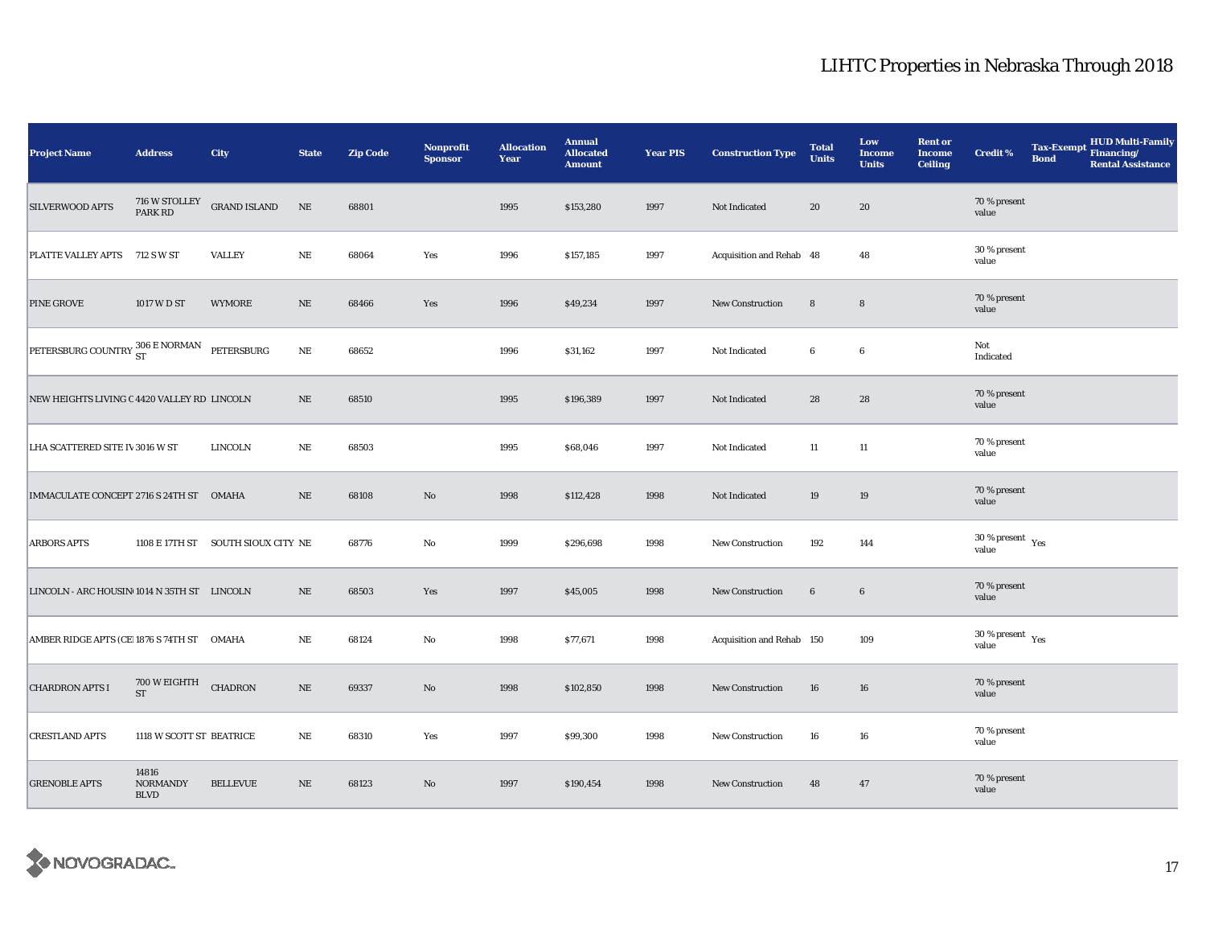| Project Name                                | <b>Address</b>                          | City                               | <b>State</b> | <b>Zip Code</b> | Nonprofit<br><b>Sponsor</b> | <b>Allocation</b><br>Year | <b>Annual</b><br><b>Allocated</b><br><b>Amount</b> | <b>Year PIS</b> | <b>Construction Type</b>  | <b>Total</b><br><b>Units</b> | Low<br><b>Income</b><br><b>Units</b> | <b>Rent or</b><br><b>Income</b><br><b>Ceiling</b> | <b>Credit %</b>                          | <b>Tax-Exempt</b><br><b>Bond</b> | HUD Multi-Family<br>Financing/<br><b>Rental Assistance</b> |
|---------------------------------------------|-----------------------------------------|------------------------------------|--------------|-----------------|-----------------------------|---------------------------|----------------------------------------------------|-----------------|---------------------------|------------------------------|--------------------------------------|---------------------------------------------------|------------------------------------------|----------------------------------|------------------------------------------------------------|
| SILVERWOOD APTS                             | 716 W STOLLEY<br>PARK RD                | <b>GRAND ISLAND</b>                | $_{\rm NE}$  | 68801           |                             | 1995                      | \$153,280                                          | 1997            | Not Indicated             | 20                           | 20                                   |                                                   | 70 % present<br>value                    |                                  |                                                            |
| PLATTE VALLEY APTS 712 SW ST                |                                         | <b>VALLEY</b>                      | $\rm NE$     | 68064           | Yes                         | 1996                      | \$157,185                                          | 1997            | Acquisition and Rehab 48  |                              | 48                                   |                                                   | 30 % present<br>value                    |                                  |                                                            |
| PINE GROVE                                  | 1017 W D ST                             | <b>WYMORE</b>                      | $\rm NE$     | 68466           | Yes                         | 1996                      | \$49,234                                           | 1997            | New Construction          | $8\phantom{1}$               | $\bf8$                               |                                                   | 70 % present<br>value                    |                                  |                                                            |
| PETERSBURG COUNTRY 306 E NORMAN PETERSBURG  |                                         |                                    | $_{\rm NE}$  | 68652           |                             | 1996                      | \$31,162                                           | 1997            | Not Indicated             | 6                            | $\boldsymbol{6}$                     |                                                   | Not<br>Indicated                         |                                  |                                                            |
| NEW HEIGHTS LIVING C 4420 VALLEY RD LINCOLN |                                         |                                    | $\rm NE$     | 68510           |                             | 1995                      | \$196,389                                          | 1997            | Not Indicated             | 28                           | 28                                   |                                                   | 70 % present<br>value                    |                                  |                                                            |
| LHA SCATTERED SITE IV 3016 W ST             |                                         | LINCOLN                            | NE           | 68503           |                             | 1995                      | \$68,046                                           | 1997            | Not Indicated             | 11                           | $11\,$                               |                                                   | 70 % present<br>value                    |                                  |                                                            |
| IMMACULATE CONCEPT 2716 S 24TH ST OMAHA     |                                         |                                    | $\rm{NE}$    | 68108           | $\rm\thinspace No$          | 1998                      | \$112,428                                          | 1998            | Not Indicated             | 19                           | 19                                   |                                                   | 70 % present<br>value                    |                                  |                                                            |
| <b>ARBORS APTS</b>                          |                                         | 1108 E 17TH ST SOUTH SIOUX CITY NE |              | 68776           | No                          | 1999                      | \$296,698                                          | 1998            | New Construction          | 192                          | 144                                  |                                                   | $30\,\%$ present $\,$ $\rm Yes$<br>value |                                  |                                                            |
| LINCOLN - ARC HOUSIN 1014 N 35TH ST LINCOLN |                                         |                                    | $\rm NE$     | 68503           | Yes                         | 1997                      | \$45,005                                           | 1998            | <b>New Construction</b>   | $6\phantom{.}6$              | $\bf{6}$                             |                                                   | 70 % present<br>value                    |                                  |                                                            |
| AMBER RIDGE APTS (CE 1876 S 74TH ST OMAHA   |                                         |                                    | $\rm NE$     | 68124           | $\mathbf{No}$               | 1998                      | \$77,671                                           | 1998            | Acquisition and Rehab 150 |                              | 109                                  |                                                   | 30 % present $\gamma_{\rm{es}}$<br>value |                                  |                                                            |
| <b>CHARDRON APTS I</b>                      | 700 W EIGHTH CHADRON<br><b>ST</b>       |                                    | $\rm NE$     | 69337           | No                          | 1998                      | \$102,850                                          | 1998            | <b>New Construction</b>   | 16                           | 16                                   |                                                   | 70 % present<br>value                    |                                  |                                                            |
| <b>CRESTLAND APTS</b>                       | 1118 W SCOTT ST BEATRICE                |                                    | $_{\rm NE}$  | 68310           | Yes                         | 1997                      | \$99,300                                           | 1998            | <b>New Construction</b>   | 16                           | 16                                   |                                                   | 70 % present<br>value                    |                                  |                                                            |
| <b>GRENOBLE APTS</b>                        | 14816<br><b>NORMANDY</b><br><b>BLVD</b> | <b>BELLEVUE</b>                    | $\rm NE$     | 68123           | No                          | 1997                      | \$190,454                                          | 1998            | <b>New Construction</b>   | 48                           | 47                                   |                                                   | 70 % present<br>value                    |                                  |                                                            |

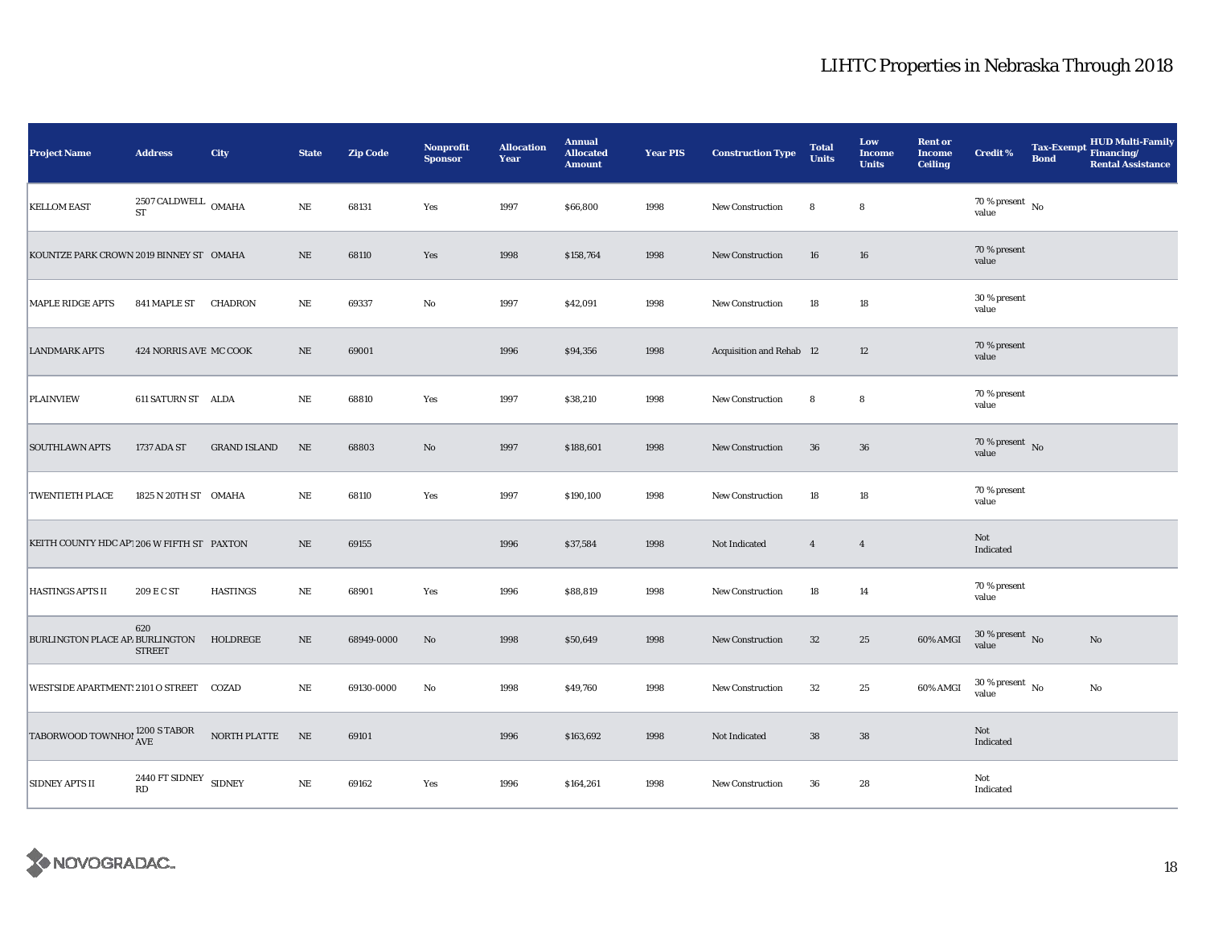| Project Name                                  | <b>Address</b>                             | City                | <b>State</b> | <b>Zip Code</b> | Nonprofit<br><b>Sponsor</b> | <b>Allocation</b><br>Year | <b>Annual</b><br><b>Allocated</b><br><b>Amount</b> | <b>Year PIS</b> | <b>Construction Type</b>        | <b>Total</b><br><b>Units</b> | Low<br><b>Income</b><br><b>Units</b> | <b>Rent or</b><br><b>Income</b><br><b>Ceiling</b> | <b>Credit %</b>                        | <b>Tax-Exempt</b><br><b>Bond</b> | HUD Multi-Family<br>Financing/<br><b>Rental Assistance</b> |
|-----------------------------------------------|--------------------------------------------|---------------------|--------------|-----------------|-----------------------------|---------------------------|----------------------------------------------------|-----------------|---------------------------------|------------------------------|--------------------------------------|---------------------------------------------------|----------------------------------------|----------------------------------|------------------------------------------------------------|
| <b>KELLOM EAST</b>                            | $2507\,\mbox{CALDWELL}$ OMAHA<br><b>ST</b> |                     | $_{\rm NE}$  | 68131           | Yes                         | 1997                      | \$66,800                                           | 1998            | <b>New Construction</b>         | 8                            | 8                                    |                                                   | 70 % present $\hbox{~No}$<br>value     |                                  |                                                            |
| KOUNTZE PARK CROWN 2019 BINNEY ST OMAHA       |                                            |                     | $\rm NE$     | 68110           | Yes                         | 1998                      | \$158,764                                          | 1998            | New Construction                | 16                           | 16                                   |                                                   | 70 % present<br>value                  |                                  |                                                            |
| <b>MAPLE RIDGE APTS</b>                       | 841 MAPLE ST                               | CHADRON             | $\rm NE$     | 69337           | No                          | 1997                      | \$42,091                                           | 1998            | <b>New Construction</b>         | 18                           | $18\,$                               |                                                   | 30 % present<br>value                  |                                  |                                                            |
| <b>LANDMARK APTS</b>                          | 424 NORRIS AVE MC COOK                     |                     | NE           | 69001           |                             | 1996                      | \$94,356                                           | 1998            | <b>Acquisition and Rehab 12</b> |                              | 12                                   |                                                   | 70 % present<br>value                  |                                  |                                                            |
| <b>PLAINVIEW</b>                              | 611 SATURN ST ALDA                         |                     | $\rm NE$     | 68810           | Yes                         | 1997                      | \$38,210                                           | 1998            | New Construction                | 8                            | 8                                    |                                                   | 70 % present<br>value                  |                                  |                                                            |
| <b>SOUTHLAWN APTS</b>                         | 1737 ADA ST                                | <b>GRAND ISLAND</b> | $\rm NE$     | 68803           | No                          | 1997                      | \$188,601                                          | 1998            | New Construction                | 36                           | ${\bf 36}$                           |                                                   | 70 % present $\hbox{~No}$<br>value     |                                  |                                                            |
| <b>TWENTIETH PLACE</b>                        | 1825 N 20TH ST OMAHA                       |                     | $_{\rm NE}$  | 68110           | Yes                         | 1997                      | \$190,100                                          | 1998            | New Construction                | 18                           | $18\,$                               |                                                   | 70 % present<br>value                  |                                  |                                                            |
| KEITH COUNTY HDC AP1206 W FIFTH ST PAXTON     |                                            |                     | $\rm NE$     | 69155           |                             | 1996                      | \$37,584                                           | 1998            | Not Indicated                   | $\overline{4}$               | $\overline{4}$                       |                                                   | Not<br>Indicated                       |                                  |                                                            |
| <b>HASTINGS APTS II</b>                       | 209 E C ST                                 | <b>HASTINGS</b>     | $\rm NE$     | 68901           | Yes                         | 1996                      | \$88,819                                           | 1998            | New Construction                | 18                           | 14                                   |                                                   | 70 % present<br>value                  |                                  |                                                            |
| BURLINGTON PLACE AP. BURLINGTON               | 620<br><b>STREET</b>                       | HOLDREGE            | $\rm NE$     | 68949-0000      | $\mathbf{N}\mathbf{o}$      | 1998                      | \$50,649                                           | 1998            | <b>New Construction</b>         | 32                           | 25                                   | 60% AMGI                                          | $30\,\%$ present $\,$ No $\,$<br>value |                                  | $\mathbf{No}$                                              |
| WESTSIDE APARTMENT: 2101 O STREET COZAD       |                                            |                     | NE           | 69130-0000      | No                          | 1998                      | \$49,760                                           | 1998            | New Construction                | 32                           | 25                                   | 60% AMGI                                          | $30$ % present $\,$ No $\,$<br>value   |                                  | $\mathbf{No}$                                              |
| TABORWOOD TOWNHO! $^{1200}_{\rm AVE}$ S TABOR |                                            | NORTH PLATTE        | NE           | 69101           |                             | 1996                      | \$163,692                                          | 1998            | Not Indicated                   | ${\bf 38}$                   | ${\bf 38}$                           |                                                   | Not<br>Indicated                       |                                  |                                                            |
| <b>SIDNEY APTS II</b>                         | 2440 FT SIDNEY SIDNEY<br>RD                |                     | $\rm NE$     | 69162           | Yes                         | 1996                      | \$164,261                                          | 1998            | New Construction                | 36                           | 28                                   |                                                   | Not<br>Indicated                       |                                  |                                                            |

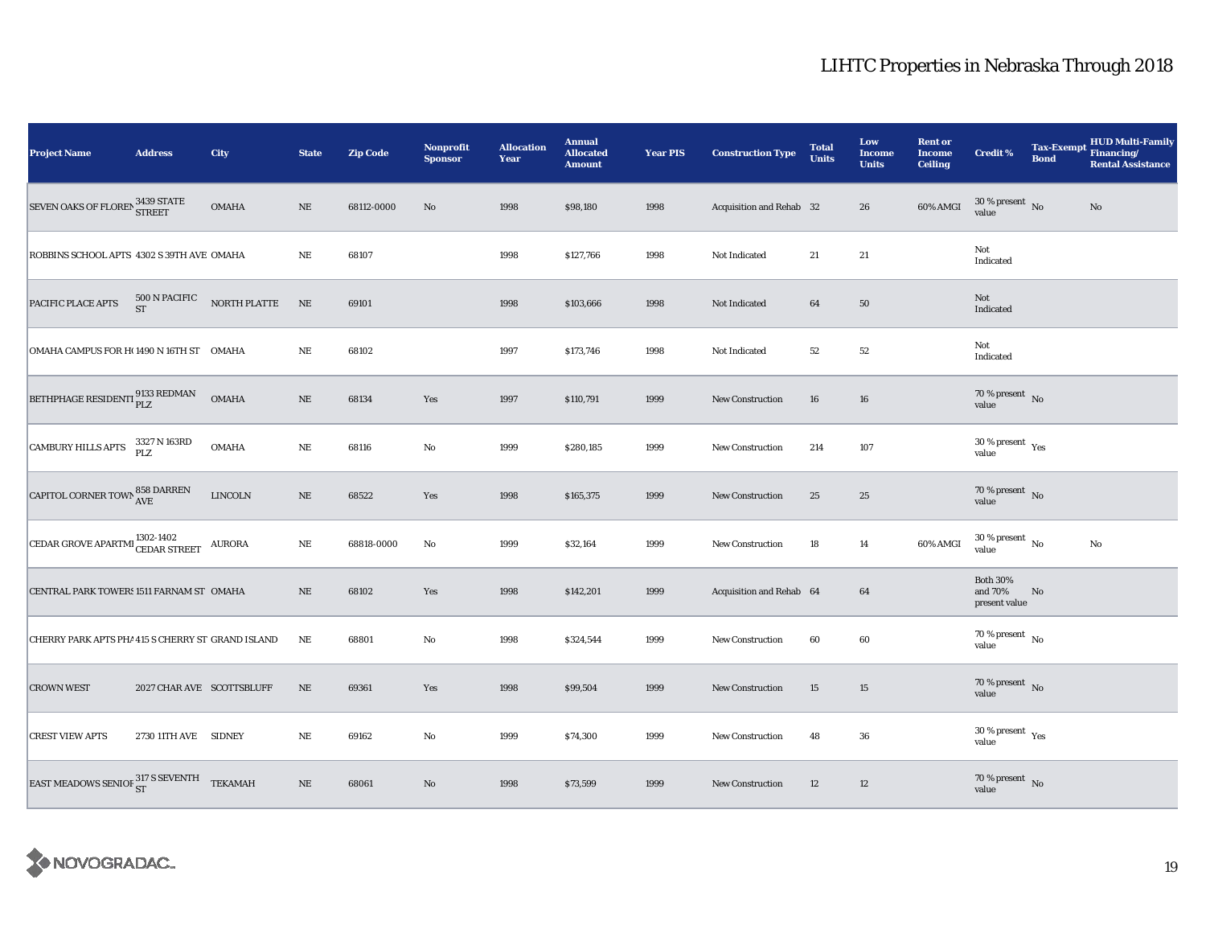| <b>Project Name</b>                                            | <b>Address</b>            | City                                             | <b>State</b> | <b>Zip Code</b> | <b>Nonprofit</b><br><b>Sponsor</b> | <b>Allocation</b><br>Year | <b>Annual</b><br><b>Allocated</b><br><b>Amount</b> | <b>Year PIS</b> | <b>Construction Type</b> | <b>Total</b><br><b>Units</b> | Low<br><b>Income</b><br><b>Units</b> | <b>Rent or</b><br><b>Income</b><br><b>Ceiling</b> | <b>Credit %</b>                             | <b>Tax-Exempt</b><br><b>Bond</b> | HUD Multi-Family<br>Financing/<br><b>Rental Assistance</b> |
|----------------------------------------------------------------|---------------------------|--------------------------------------------------|--------------|-----------------|------------------------------------|---------------------------|----------------------------------------------------|-----------------|--------------------------|------------------------------|--------------------------------------|---------------------------------------------------|---------------------------------------------|----------------------------------|------------------------------------------------------------|
| SEVEN OAKS OF FLOREN 3439 STATE                                |                           | <b>OMAHA</b>                                     | $\rm NE$     | 68112-0000      | No                                 | 1998                      | \$98,180                                           | 1998            | Acquisition and Rehab 32 |                              | 26                                   | 60% AMGI                                          | $30$ % present $\,$ No $\,$<br>value        |                                  | No                                                         |
| ROBBINS SCHOOL APTS 4302 S 39TH AVE OMAHA                      |                           |                                                  | $\rm NE$     | 68107           |                                    | 1998                      | \$127,766                                          | 1998            | Not Indicated            | 21                           | 21                                   |                                                   | Not<br>Indicated                            |                                  |                                                            |
| PACIFIC PLACE APTS                                             |                           | $500$ N PACIFIC $$\tt{NORTH}$ PLATTE $$\tt{ST}$$ | NE           | 69101           |                                    | 1998                      | \$103,666                                          | 1998            | Not Indicated            | 64                           | $50\,$                               |                                                   | Not<br>Indicated                            |                                  |                                                            |
| OMAHA CAMPUS FOR H(1490 N 16TH ST OMAHA                        |                           |                                                  | NE           | 68102           |                                    | 1997                      | \$173,746                                          | 1998            | Not Indicated            | 52                           | 52                                   |                                                   | Not<br>Indicated                            |                                  |                                                            |
| BETHPHAGE RESIDENTI $_{\rm PLZ}^{9133\text{ REDMAN}}$          |                           | <b>OMAHA</b>                                     | $\rm NE$     | 68134           | Yes                                | 1997                      | \$110,791                                          | 1999            | New Construction         | 16                           | 16                                   |                                                   | $70\,\%$ present $\,$ No value              |                                  |                                                            |
| <b>CAMBURY HILLS APTS</b>                                      | 3327 N 163RD<br>PLZ       | <b>OMAHA</b>                                     | $\rm NE$     | 68116           | $\rm No$                           | 1999                      | \$280,185                                          | 1999            | New Construction         | 214                          | 107                                  |                                                   | $30\,\%$ present $\,$ $\rm Yes$<br>value    |                                  |                                                            |
| CAPITOL CORNER TOWN $_{\mbox{AVE}}^{858\text{ DARREN}}$        |                           | <b>LINCOLN</b>                                   | $\rm NE$     | 68522           | Yes                                | 1998                      | \$165,375                                          | 1999            | New Construction         | 25                           | 25                                   |                                                   | 70 % present $\hbox{~No}$<br>value          |                                  |                                                            |
| CEDAR GROVE APARTMI $^{1302\text{-}1402}_{\text{CEDAR}$ STREET |                           | <b>AURORA</b>                                    | NE           | 68818-0000      | No                                 | 1999                      | \$32,164                                           | 1999            | New Construction         | 18                           | 14                                   | 60% AMGI                                          | $30\,\%$ present $\,$ No value              |                                  | No                                                         |
| CENTRAL PARK TOWERS 1511 FARNAM ST OMAHA                       |                           |                                                  | NE           | 68102           | Yes                                | 1998                      | \$142,201                                          | 1999            | Acquisition and Rehab 64 |                              | 64                                   |                                                   | <b>Both 30%</b><br>and 70%<br>present value | No                               |                                                            |
| CHERRY PARK APTS PHA 415 S CHERRY ST GRAND ISLAND              |                           |                                                  | NE           | 68801           | $\rm No$                           | 1998                      | \$324,544                                          | 1999            | New Construction         | 60                           | 60                                   |                                                   | $70$ % present $\,$ No $\,$<br>value        |                                  |                                                            |
| <b>CROWN WEST</b>                                              | 2027 CHAR AVE SCOTTSBLUFF |                                                  | $\rm NE$     | 69361           | Yes                                | 1998                      | \$99,504                                           | 1999            | New Construction         | 15                           | 15                                   |                                                   | $70\,\%$ present $\,$ No value              |                                  |                                                            |
| <b>CREST VIEW APTS</b>                                         | 2730 11TH AVE SIDNEY      |                                                  | $\rm NE$     | 69162           | No                                 | 1999                      | \$74,300                                           | 1999            | <b>New Construction</b>  | 48                           | 36                                   |                                                   | $30$ % present $\,$ $\rm Yes$<br>value      |                                  |                                                            |
| EAST MEADOWS SENIOF $_{ST}^{317}$ S SEVENTH TEKAMAH            |                           |                                                  | $\rm NE$     | 68061           | $\rm No$                           | 1998                      | \$73,599                                           | 1999            | New Construction         | 12                           | 12                                   |                                                   | $70\,\%$ present $\,$ No value              |                                  |                                                            |

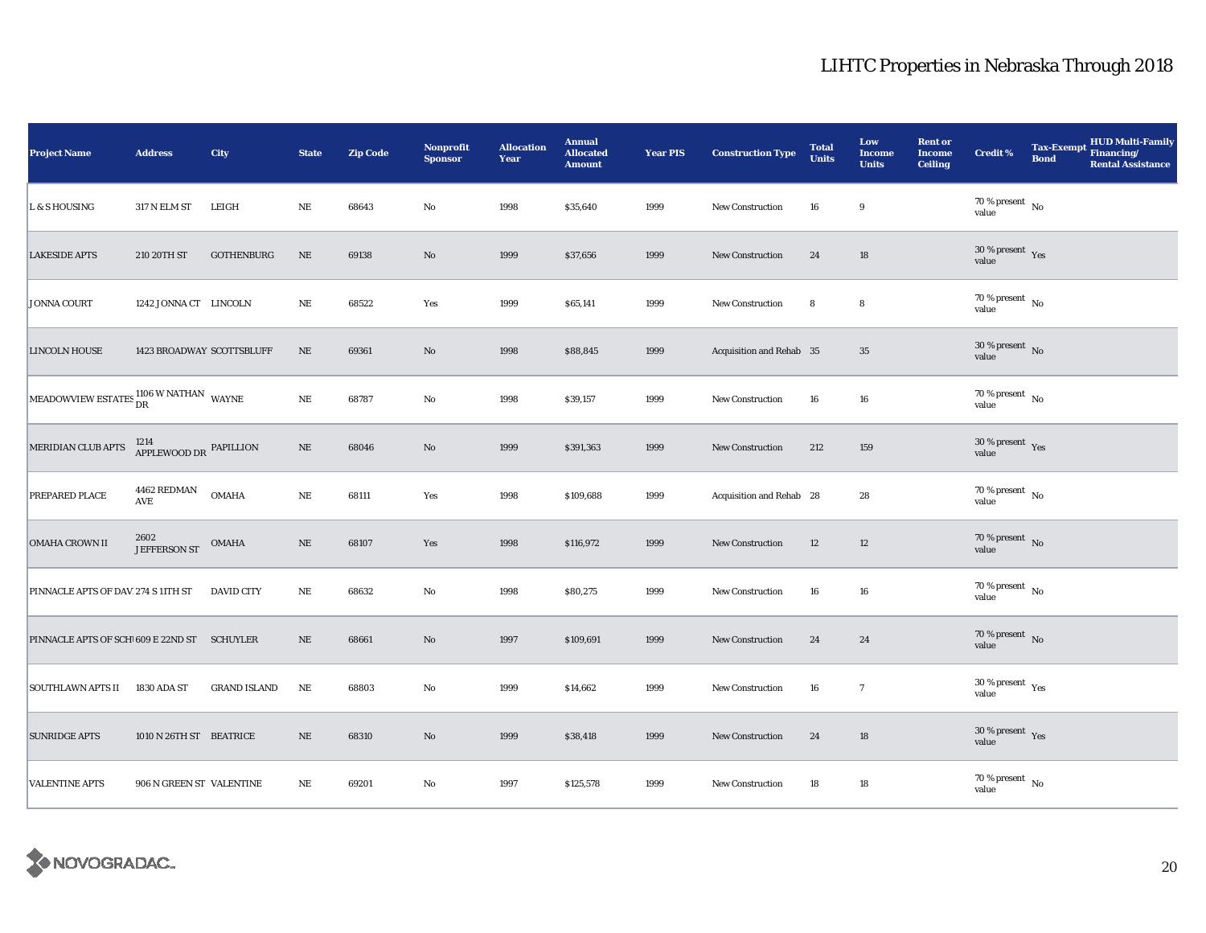| <b>Project Name</b>                                                                                                                                                        | <b>Address</b>                          | City                | <b>State</b> | <b>Zip Code</b> | Nonprofit<br><b>Sponsor</b> | <b>Allocation</b><br>Year | <b>Annual</b><br><b>Allocated</b><br><b>Amount</b> | <b>Year PIS</b> | <b>Construction Type</b> | <b>Total</b><br><b>Units</b> | Low<br><b>Income</b><br><b>Units</b> | <b>Rent or</b><br><b>Income</b><br><b>Ceiling</b> | <b>Credit %</b>                          | <b>Tax-Exempt</b><br><b>Bond</b> | <b>HUD Multi-Family</b><br>Financing/<br><b>Rental Assistance</b> |
|----------------------------------------------------------------------------------------------------------------------------------------------------------------------------|-----------------------------------------|---------------------|--------------|-----------------|-----------------------------|---------------------------|----------------------------------------------------|-----------------|--------------------------|------------------------------|--------------------------------------|---------------------------------------------------|------------------------------------------|----------------------------------|-------------------------------------------------------------------|
| L & S HOUSING                                                                                                                                                              | <b>317 N ELM ST</b>                     | LEIGH               | $_{\rm NE}$  | 68643           | $\rm No$                    | 1998                      | \$35,640                                           | 1999            | <b>New Construction</b>  | 16                           | 9                                    |                                                   | $70\,\%$ present $\,$ No value           |                                  |                                                                   |
| <b>LAKESIDE APTS</b>                                                                                                                                                       | 210 20TH ST                             | <b>GOTHENBURG</b>   | $\rm NE$     | 69138           | $\rm No$                    | 1999                      | \$37,656                                           | 1999            | New Construction         | 24                           | 18                                   |                                                   | $30\,\%$ present $\,$ Yes value          |                                  |                                                                   |
| <b>JONNA COURT</b>                                                                                                                                                         | 1242 JONNA CT LINCOLN                   |                     | $\rm NE$     | 68522           | Yes                         | 1999                      | \$65,141                                           | 1999            | New Construction         | 8                            | $\bf8$                               |                                                   | $70$ % present $\,$ No $\,$<br>value     |                                  |                                                                   |
| <b>LINCOLN HOUSE</b>                                                                                                                                                       | 1423 BROADWAY SCOTTSBLUFF               |                     | $\rm NE$     | 69361           | $\rm No$                    | 1998                      | \$88,845                                           | 1999            | Acquisition and Rehab 35 |                              | $35\,$                               |                                                   | $30\,\%$ present $\,$ No value           |                                  |                                                                   |
| $\begin{array}{ l } \hline \text{MEADOWVIEW ESTATES} \end{array} \begin{array}{c} \text{1106 W NATHAN} \\ \text{DR} \end{array} \begin{array}{c} \text{WAYNE} \end{array}$ |                                         |                     | $\rm NE$     | 68787           | No                          | 1998                      | \$39,157                                           | 1999            | <b>New Construction</b>  | 16                           | 16                                   |                                                   | $70\,\%$ present $\,$ No value           |                                  |                                                                   |
| MERIDIAN CLUB APTS                                                                                                                                                         | $^{1214}_{\rm APPLEWOOD\,DR}$ PAPILLION |                     | $\rm NE$     | 68046           | No                          | 1999                      | \$391,363                                          | 1999            | New Construction         | 212                          | 159                                  |                                                   | $30\,\%$ present $\,$ Yes value          |                                  |                                                                   |
| PREPARED PLACE                                                                                                                                                             | 4462 REDMAN<br>AVE                      | <b>OMAHA</b>        | NE           | 68111           | Yes                         | 1998                      | \$109,688                                          | 1999            | Acquisition and Rehab 28 |                              | 28                                   |                                                   | 70 % present $\hbox{~No}$<br>value       |                                  |                                                                   |
| OMAHA CROWN II                                                                                                                                                             | 2602<br><b>JEFFERSON ST</b>             | <b>OMAHA</b>        | $\rm NE$     | 68107           | Yes                         | 1998                      | \$116,972                                          | 1999            | New Construction         | 12                           | $12\,$                               |                                                   | $70\,\%$ present $\,$ No value           |                                  |                                                                   |
| PINNACLE APTS OF DAV 274 S 11TH ST                                                                                                                                         |                                         | <b>DAVID CITY</b>   | $\rm NE$     | 68632           | $\mathbf{No}$               | 1998                      | \$80,275                                           | 1999            | New Construction         | 16                           | 16                                   |                                                   | $70\,\%$ present $_{\, \rm No}$<br>value |                                  |                                                                   |
| PINNACLE APTS OF SCH 609 E 22ND ST SCHUYLER                                                                                                                                |                                         |                     | $\rm NE$     | 68661           | $\rm No$                    | 1997                      | \$109,691                                          | 1999            | <b>New Construction</b>  | 24                           | 24                                   |                                                   | $70\,\%$ present $\,$ No value           |                                  |                                                                   |
| <b>SOUTHLAWN APTS II</b>                                                                                                                                                   | 1830 ADA ST                             | <b>GRAND ISLAND</b> | $\rm NE$     | 68803           | No                          | 1999                      | \$14,662                                           | 1999            | New Construction         | 16                           | $\overline{7}$                       |                                                   | $30\,\%$ present $\,$ Yes value          |                                  |                                                                   |
| <b>SUNRIDGE APTS</b>                                                                                                                                                       | 1010 N 26TH ST BEATRICE                 |                     | $\rm NE$     | 68310           | No                          | 1999                      | \$38,418                                           | 1999            | New Construction         | 24                           | 18                                   |                                                   | $30\,\%$ present $\,$ Yes value          |                                  |                                                                   |
| <b>VALENTINE APTS</b>                                                                                                                                                      | 906 N GREEN ST VALENTINE                |                     | $\rm NE$     | 69201           | No                          | 1997                      | \$125,578                                          | 1999            | New Construction         | 18                           | $18\,$                               |                                                   | $70\,\%$ present $\,$ No value           |                                  |                                                                   |

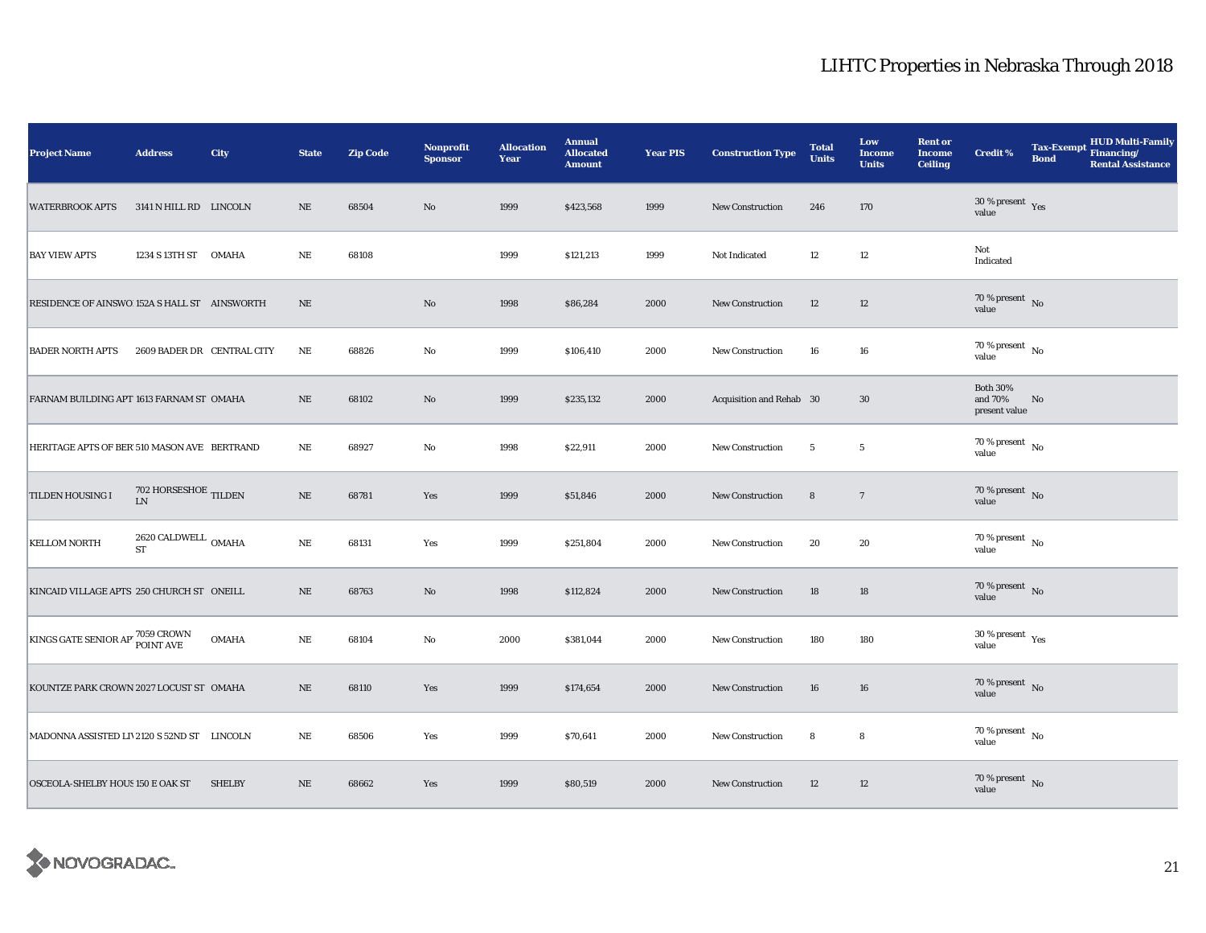| <b>Project Name</b>                          | <b>Address</b>                          | City          | <b>State</b> | <b>Zip Code</b> | Nonprofit<br><b>Sponsor</b> | <b>Allocation</b><br>Year | <b>Annual</b><br><b>Allocated</b><br><b>Amount</b> | <b>Year PIS</b> | <b>Construction Type</b> | <b>Total</b><br><b>Units</b> | Low<br><b>Income</b><br><b>Units</b> | <b>Rent or</b><br><b>Income</b><br><b>Ceiling</b> | <b>Credit %</b>                             | <b>Tax-Exempt</b><br><b>Bond</b> | <b>HUD Multi-Family</b><br>Financing/<br><b>Rental Assistance</b> |
|----------------------------------------------|-----------------------------------------|---------------|--------------|-----------------|-----------------------------|---------------------------|----------------------------------------------------|-----------------|--------------------------|------------------------------|--------------------------------------|---------------------------------------------------|---------------------------------------------|----------------------------------|-------------------------------------------------------------------|
| <b>WATERBROOK APTS</b>                       | 3141 N HILL RD LINCOLN                  |               | $_{\rm NE}$  | 68504           | $\rm No$                    | 1999                      | \$423,568                                          | 1999            | <b>New Construction</b>  | 246                          | 170                                  |                                                   | $30\,\%$ present $\,$ Yes value             |                                  |                                                                   |
| <b>BAY VIEW APTS</b>                         | 1234 S 13TH ST OMAHA                    |               | $_{\rm NE}$  | 68108           |                             | 1999                      | \$121,213                                          | 1999            | Not Indicated            | 12                           | $12\,$                               |                                                   | Not<br>Indicated                            |                                  |                                                                   |
| RESIDENCE OF AINSWO 152A S HALL ST AINSWORTH |                                         |               | $\rm{NE}$    |                 | $\rm No$                    | 1998                      | \$86,284                                           | 2000            | New Construction         | 12                           | 12                                   |                                                   | $70\,\%$ present $\,$ No value              |                                  |                                                                   |
| <b>BADER NORTH APTS</b>                      | 2609 BADER DR CENTRAL CITY              |               | $\rm{NE}$    | 68826           | No                          | 1999                      | \$106,410                                          | 2000            | New Construction         | 16                           | ${\bf 16}$                           |                                                   | $70\,\%$ present $\,$ No value              |                                  |                                                                   |
| FARNAM BUILDING APT 1613 FARNAM ST OMAHA     |                                         |               | $\rm NE$     | 68102           | $\mathbf{N}\mathbf{o}$      | 1999                      | \$235,132                                          | 2000            | Acquisition and Rehab 30 |                              | 30                                   |                                                   | <b>Both 30%</b><br>and 70%<br>present value | No                               |                                                                   |
| HERITAGE APTS OF BER 510 MASON AVE BERTRAND  |                                         |               | NE           | 68927           | No                          | 1998                      | \$22,911                                           | 2000            | New Construction         | 5                            | $5\phantom{.0}$                      |                                                   | $70$ % present $\,$ No $\,$<br>value        |                                  |                                                                   |
| TILDEN HOUSING I                             | 702 HORSESHOE TILDEN<br>${\rm LN}$      |               | $\rm NE$     | 68781           | Yes                         | 1999                      | \$51,846                                           | 2000            | New Construction         | $\bf8$                       | $7\phantom{.0}$                      |                                                   | $70\,\%$ present $\,$ No value              |                                  |                                                                   |
| <b>KELLOM NORTH</b>                          | $2620$ CALDWELL $\,$ OMAHA<br><b>ST</b> |               | $\rm NE$     | 68131           | Yes                         | 1999                      | \$251,804                                          | 2000            | New Construction         | 20                           | 20                                   |                                                   | $70$ % present $\,$ No $\,$<br>value        |                                  |                                                                   |
| KINCAID VILLAGE APTS 250 CHURCH ST ONEILL    |                                         |               | $\rm NE$     | 68763           | No                          | 1998                      | \$112,824                                          | 2000            | New Construction         | 18                           | 18                                   |                                                   | $70\,\%$ present $\,$ No value              |                                  |                                                                   |
| KINGS GATE SENIOR AP 7059 CROWN              |                                         | <b>OMAHA</b>  | $\rm NE$     | 68104           | No                          | 2000                      | \$381,044                                          | 2000            | <b>New Construction</b>  | 180                          | 180                                  |                                                   | $30$ % present $\,$ $\rm Yes$<br>value      |                                  |                                                                   |
| KOUNTZE PARK CROWN 2027 LOCUST ST OMAHA      |                                         |               | $\rm NE$     | 68110           | Yes                         | 1999                      | \$174,654                                          | 2000            | <b>New Construction</b>  | 16                           | 16                                   |                                                   | $70\,\%$ present $\,$ No value              |                                  |                                                                   |
| MADONNA ASSISTED LIV2120 S 52ND ST LINCOLN   |                                         |               | $_{\rm NE}$  | 68506           | Yes                         | 1999                      | \$70,641                                           | 2000            | <b>New Construction</b>  | 8                            | 8                                    |                                                   | $70$ % present $\,$ No $\,$<br>value        |                                  |                                                                   |
| OSCEOLA-SHELBY HOUS 150 E OAK ST             |                                         | <b>SHELBY</b> | $\rm NE$     | 68662           | Yes                         | 1999                      | \$80,519                                           | 2000            | <b>New Construction</b>  | 12                           | 12                                   |                                                   | $70\,\%$ present $\,$ No value              |                                  |                                                                   |

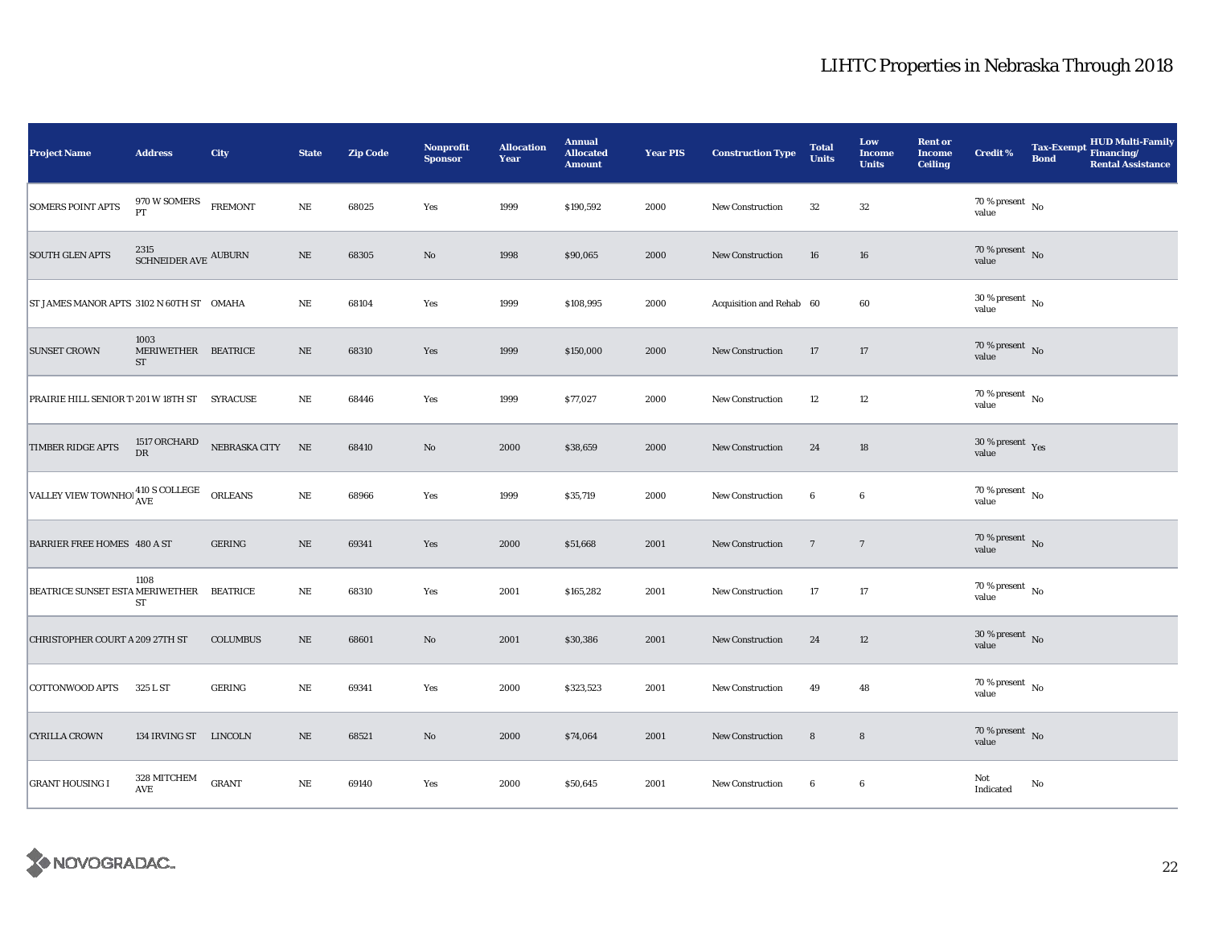| <b>Project Name</b>                                                | <b>Address</b>                           | <b>City</b>      | <b>State</b> | <b>Zip Code</b> | <b>Nonprofit</b><br><b>Sponsor</b> | <b>Allocation</b><br>Year | <b>Annual</b><br><b>Allocated</b><br><b>Amount</b> | <b>Year PIS</b> | <b>Construction Type</b> | <b>Total</b><br><b>Units</b> | Low<br><b>Income</b><br><b>Units</b> | <b>Rent or</b><br><b>Income</b><br><b>Ceiling</b> | Credit %                               | <b>Tax-Exempt</b><br><b>Bond</b> | <b>HUD Multi-Family</b><br>Financing/<br><b>Rental Assistance</b> |
|--------------------------------------------------------------------|------------------------------------------|------------------|--------------|-----------------|------------------------------------|---------------------------|----------------------------------------------------|-----------------|--------------------------|------------------------------|--------------------------------------|---------------------------------------------------|----------------------------------------|----------------------------------|-------------------------------------------------------------------|
| <b>SOMERS POINT APTS</b>                                           | 970 W SOMERS<br>PT                       | <b>FREMONT</b>   | $\rm NE$     | 68025           | Yes                                | 1999                      | \$190,592                                          | 2000            | New Construction         | 32                           | $32\,$                               |                                                   | 70 % present $\hbox{~No}$<br>value     |                                  |                                                                   |
| <b>SOUTH GLEN APTS</b>                                             | 2315<br>SCHNEIDER AVE $\,$ AUBURN        |                  | $\rm NE$     | 68305           | $\rm No$                           | 1998                      | \$90,065                                           | 2000            | New Construction         | 16                           | 16                                   |                                                   | $70\,\%$ present $\,$ No value         |                                  |                                                                   |
| ST JAMES MANOR APTS 3102 N 60TH ST OMAHA                           |                                          |                  | $\rm NE$     | 68104           | Yes                                | 1999                      | \$108,995                                          | 2000            | Acquisition and Rehab 60 |                              | 60                                   |                                                   | $30\,\%$ present $\,$ No $\,$<br>value |                                  |                                                                   |
| <b>SUNSET CROWN</b>                                                | 1003<br>MERIWETHER BEATRICE<br><b>ST</b> |                  | $\rm NE$     | 68310           | Yes                                | 1999                      | \$150,000                                          | 2000            | <b>New Construction</b>  | 17                           | 17                                   |                                                   | $70\,\%$ present $\,$ No value         |                                  |                                                                   |
| PRAIRIE HILL SENIOR T 201 W 18TH ST SYRACUSE                       |                                          |                  | $\rm NE$     | 68446           | Yes                                | 1999                      | \$77,027                                           | 2000            | <b>New Construction</b>  | 12                           | 12                                   |                                                   | $70\,\%$ present $\,$ No value         |                                  |                                                                   |
| TIMBER RIDGE APTS                                                  | 1517 ORCHARD<br>DR                       | NEBRASKA CITY NE |              | 68410           | $\mathbf{No}$                      | 2000                      | \$38,659                                           | 2000            | New Construction         | 24                           | 18                                   |                                                   | 30 % present Yes<br>value              |                                  |                                                                   |
| VALLEY VIEW TOWNHO $_{\text{AVE}}^{410 \text{ S}}$ COLLEGE ORLEANS |                                          |                  | $\rm NE$     | 68966           | Yes                                | 1999                      | \$35,719                                           | 2000            | New Construction         | $\boldsymbol{6}$             | $\boldsymbol{6}$                     |                                                   | $70$ % present $\,$ No $\,$<br>value   |                                  |                                                                   |
| <b>BARRIER FREE HOMES 480 A ST</b>                                 |                                          | <b>GERING</b>    | $\rm NE$     | 69341           | Yes                                | 2000                      | \$51,668                                           | 2001            | New Construction         | $7\phantom{.0}$              | $7\phantom{.0}$                      |                                                   | $70\,\%$ present $\,$ No value         |                                  |                                                                   |
| BEATRICE SUNSET ESTA MERIWETHER BEATRICE                           | 1108<br>ST                               |                  | $\rm NE$     | 68310           | Yes                                | 2001                      | \$165,282                                          | 2001            | <b>New Construction</b>  | 17                           | 17                                   |                                                   | $70$ % present $\,$ No $\,$<br>value   |                                  |                                                                   |
| CHRISTOPHER COURT A 209 27TH ST                                    |                                          | <b>COLUMBUS</b>  | $\rm NE$     | 68601           | No                                 | 2001                      | \$30,386                                           | 2001            | <b>New Construction</b>  | 24                           | 12                                   |                                                   | $30\,\%$ present $\,$ No $\,$<br>value |                                  |                                                                   |
| <b>COTTONWOOD APTS</b>                                             | 325 L ST                                 | <b>GERING</b>    | $_{\rm NE}$  | 69341           | Yes                                | 2000                      | \$323,523                                          | 2001            | New Construction         | 49                           | 48                                   |                                                   | $70$ % present $\,$ No $\,$<br>value   |                                  |                                                                   |
| <b>CYRILLA CROWN</b>                                               | 134 IRVING ST LINCOLN                    |                  | $\rm NE$     | 68521           | $\mathbf{N}\mathbf{o}$             | 2000                      | \$74,064                                           | 2001            | New Construction         | ${\bf 8}$                    | ${\bf 8}$                            |                                                   | 70 % present $\,$ No $\,$<br>value     |                                  |                                                                   |
| <b>GRANT HOUSING I</b>                                             | 328 MITCHEM<br>AVE                       | <b>GRANT</b>     | $\rm NE$     | 69140           | Yes                                | 2000                      | \$50,645                                           | 2001            | New Construction         | $\bf{6}$                     | $\boldsymbol{6}$                     |                                                   | Not<br>Indicated                       | No                               |                                                                   |

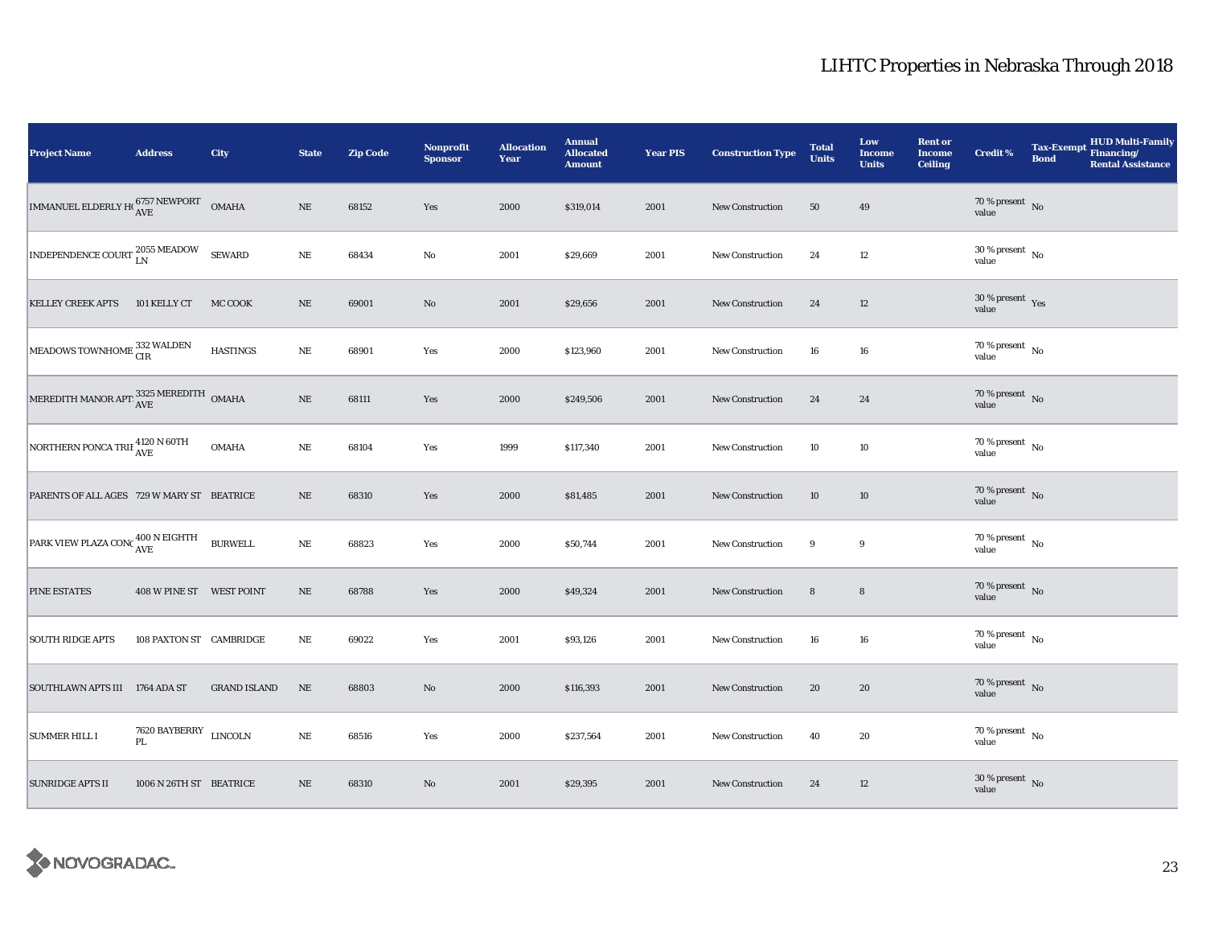| <b>Project Name</b>                                 | <b>Address</b>              | City                | <b>State</b> | <b>Zip Code</b> | <b>Nonprofit</b><br><b>Sponsor</b> | <b>Allocation</b><br>Year | <b>Annual</b><br><b>Allocated</b><br><b>Amount</b> | <b>Year PIS</b> | <b>Construction Type</b> | <b>Total</b><br><b>Units</b> | Low<br><b>Income</b><br><b>Units</b> | <b>Rent or</b><br><b>Income</b><br><b>Ceiling</b> | Credit %                                 | <b>Tax-Exempt</b><br><b>Bond</b> | HUD Multi-Family<br>Financing/<br><b>Rental Assistance</b> |
|-----------------------------------------------------|-----------------------------|---------------------|--------------|-----------------|------------------------------------|---------------------------|----------------------------------------------------|-----------------|--------------------------|------------------------------|--------------------------------------|---------------------------------------------------|------------------------------------------|----------------------------------|------------------------------------------------------------|
| IMMANUEL ELDERLY HO $^{6757\,NEWPORT}_{AVE}$ OMAHA  |                             |                     | $\rm NE$     | 68152           | Yes                                | 2000                      | \$319,014                                          | 2001            | New Construction         | 50                           | 49                                   |                                                   | $70\,\%$ present $\,$ No value           |                                  |                                                            |
| INDEPENDENCE COURT $_{\rm LN}^{2055\text{ MEADOW}}$ |                             | <b>SEWARD</b>       | NE           | 68434           | $\mathbf{No}$                      | 2001                      | \$29,669                                           | 2001            | New Construction         | 24                           | 12                                   |                                                   | $30\,\%$ present $\,$ No value           |                                  |                                                            |
| <b>KELLEY CREEK APTS</b>                            | 101 KELLY CT                | MC COOK             | $\rm NE$     | 69001           | $\rm\thinspace No$                 | 2001                      | \$29,656                                           | 2001            | <b>New Construction</b>  | 24                           | 12                                   |                                                   | $30\,\%$ present $\,$ Yes value          |                                  |                                                            |
| MEADOWS TOWNHOME 332 WALDEN                         |                             | <b>HASTINGS</b>     | $\rm NE$     | 68901           | Yes                                | 2000                      | \$123,960                                          | 2001            | <b>New Construction</b>  | 16                           | 16                                   |                                                   | $70\,\%$ present $\,$ No value           |                                  |                                                            |
| MEREDITH MANOR APT $\frac{3325}{\text{AVE}}$ OMAHA  |                             |                     | $\rm NE$     | 68111           | Yes                                | 2000                      | \$249,506                                          | 2001            | <b>New Construction</b>  | 24                           | 24                                   |                                                   | $70\,\%$ present $\,$ No value           |                                  |                                                            |
| NORTHERN PONCA TRIE 4120 N 60TH                     |                             | <b>OMAHA</b>        | $\rm NE$     | 68104           | Yes                                | 1999                      | \$117,340                                          | 2001            | New Construction         | 10                           | 10                                   |                                                   | $70$ % present $\,$ No $\,$<br>value     |                                  |                                                            |
| PARENTS OF ALL AGES 729 W MARY ST BEATRICE          |                             |                     | $\rm NE$     | 68310           | Yes                                | 2000                      | \$81,485                                           | 2001            | New Construction         | 10                           | 10                                   |                                                   | $70\,\%$ present $\,$ No value           |                                  |                                                            |
| PARK VIEW PLAZA CONC <sup>400</sup> N EIGHTH        |                             | <b>BURWELL</b>      | $\rm NE$     | 68823           | Yes                                | 2000                      | \$50,744                                           | 2001            | New Construction         | 9                            | 9                                    |                                                   | $70\,\%$ present $\,$ No value           |                                  |                                                            |
| PINE ESTATES                                        | 408 W PINE ST WEST POINT    |                     | $\rm NE$     | 68788           | Yes                                | 2000                      | \$49,324                                           | 2001            | <b>New Construction</b>  | ${\bf 8}$                    | $\bf8$                               |                                                   | $70\,\%$ present $\,$ No value           |                                  |                                                            |
| <b>SOUTH RIDGE APTS</b>                             | 108 PAXTON ST CAMBRIDGE     |                     | $_{\rm NE}$  | 69022           | Yes                                | 2001                      | \$93,126                                           | 2001            | <b>New Construction</b>  | 16                           | 16                                   |                                                   | $70$ % present $\,$ $_{\rm No}$<br>value |                                  |                                                            |
| SOUTHLAWN APTS III 1764 ADA ST                      |                             | <b>GRAND ISLAND</b> | $\rm NE$     | 68803           | $\rm No$                           | 2000                      | \$116,393                                          | 2001            | New Construction         | 20                           | 20                                   |                                                   | $70\,\%$ present $\,$ No value           |                                  |                                                            |
| <b>SUMMER HILL I</b>                                | 7620 BAYBERRY LINCOLN<br>PL |                     | $\rm NE$     | 68516           | Yes                                | 2000                      | \$237,564                                          | 2001            | <b>New Construction</b>  | 40                           | 20                                   |                                                   | 70 % present $\hbox{~No}$<br>value       |                                  |                                                            |
| <b>SUNRIDGE APTS II</b>                             | 1006 N 26TH ST BEATRICE     |                     | $\rm NE$     | 68310           | $\rm No$                           | 2001                      | \$29,395                                           | 2001            | New Construction         | 24                           | 12                                   |                                                   | $30\,\%$ present $\,$ No value           |                                  |                                                            |

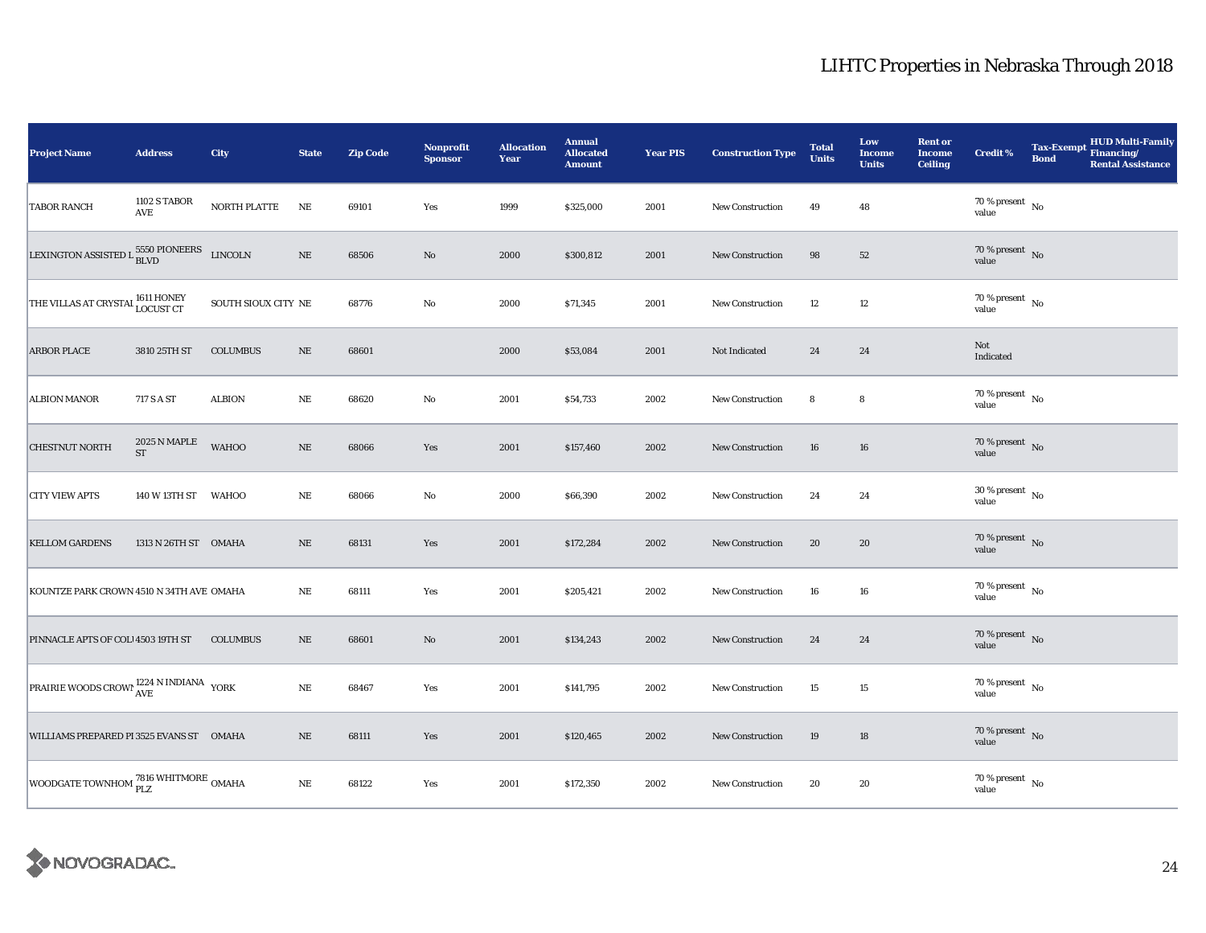| Project Name                                                       | <b>Address</b>                      | City                | <b>State</b> | <b>Zip Code</b> | Nonprofit<br><b>Sponsor</b> | <b>Allocation</b><br>Year | <b>Annual</b><br><b>Allocated</b><br><b>Amount</b> | <b>Year PIS</b> | <b>Construction Type</b> | <b>Total</b><br><b>Units</b> | Low<br><b>Income</b><br><b>Units</b> | <b>Rent or</b><br><b>Income</b><br><b>Ceiling</b> | <b>Credit %</b>                      | <b>Tax-Exempt</b><br><b>Bond</b> | HUD Multi-Family<br>Financing/<br><b>Rental Assistance</b> |
|--------------------------------------------------------------------|-------------------------------------|---------------------|--------------|-----------------|-----------------------------|---------------------------|----------------------------------------------------|-----------------|--------------------------|------------------------------|--------------------------------------|---------------------------------------------------|--------------------------------------|----------------------------------|------------------------------------------------------------|
| <b>TABOR RANCH</b>                                                 | 1102 S TABOR<br>AVE                 | NORTH PLATTE        | NE           | 69101           | Yes                         | 1999                      | \$325,000                                          | 2001            | New Construction         | 49                           | 48                                   |                                                   | 70 % present $\hbox{~No}$<br>value   |                                  |                                                            |
| LEXINGTON ASSISTED L $_{\hbox{BLVD}}^{5550}$ PIONEERS $\;$ LINCOLN |                                     |                     | $\rm NE$     | 68506           | $\mathbf{No}$               | 2000                      | \$300,812                                          | 2001            | <b>New Construction</b>  | 98                           | 52                                   |                                                   | $70\,\%$ present $\,$ No value       |                                  |                                                            |
| THE VILLAS AT CRYSTAI <sup>1611</sup> HONEY                        |                                     | SOUTH SIOUX CITY NE |              | 68776           | $\rm No$                    | 2000                      | \$71,345                                           | 2001            | <b>New Construction</b>  | 12                           | $12\,$                               |                                                   | $70\,\%$ present $\,$ No value       |                                  |                                                            |
| <b>ARBOR PLACE</b>                                                 | 3810 25TH ST                        | <b>COLUMBUS</b>     | $\rm NE$     | 68601           |                             | 2000                      | \$53,084                                           | 2001            | Not Indicated            | 24                           | 24                                   |                                                   | Not<br>Indicated                     |                                  |                                                            |
| <b>ALBION MANOR</b>                                                | 717 S A ST                          | <b>ALBION</b>       | $\rm NE$     | 68620           | $\rm No$                    | 2001                      | \$54,733                                           | 2002            | New Construction         | 8                            | 8                                    |                                                   | $70\,\%$ present $\,$ No value       |                                  |                                                            |
| CHESTNUT NORTH                                                     | 2025 N MAPLE<br>$\operatorname{ST}$ | <b>WAHOO</b>        | $\rm NE$     | 68066           | Yes                         | 2001                      | \$157,460                                          | 2002            | New Construction         | 16                           | 16                                   |                                                   | $70\,\%$ present $\,$ No value       |                                  |                                                            |
| <b>CITY VIEW APTS</b>                                              | 140 W 13TH ST WAHOO                 |                     | $\rm NE$     | 68066           | No                          | 2000                      | \$66,390                                           | 2002            | New Construction         | 24                           | 24                                   |                                                   | $30\,\%$ present $\,$ No value       |                                  |                                                            |
| <b>KELLOM GARDENS</b>                                              | 1313 N 26TH ST OMAHA                |                     | $\rm{NE}$    | 68131           | Yes                         | 2001                      | \$172,284                                          | 2002            | <b>New Construction</b>  | 20                           | 20                                   |                                                   | $70\,\%$ present $\,$ No value       |                                  |                                                            |
| KOUNTZE PARK CROWN 4510 N 34TH AVE OMAHA                           |                                     |                     | NE           | 68111           | Yes                         | 2001                      | \$205,421                                          | 2002            | New Construction         | 16                           | 16                                   |                                                   | $70$ % present $\,$ No $\,$<br>value |                                  |                                                            |
| PINNACLE APTS OF COL 4503 19TH ST                                  |                                     | <b>COLUMBUS</b>     | $\rm NE$     | 68601           | $\mathbf{No}$               | 2001                      | \$134,243                                          | 2002            | <b>New Construction</b>  | 24                           | 24                                   |                                                   | $70\,\%$ present $\,$ No value       |                                  |                                                            |
| PRAIRIE WOODS CROWI $_{\mbox{AVE}}^{1224\mbox{ N}}$ INDIANA YORK   |                                     |                     | $\rm NE$     | 68467           | Yes                         | 2001                      | \$141,795                                          | 2002            | New Construction         | 15                           | 15                                   |                                                   | $70\,\%$ present $\,$ No value       |                                  |                                                            |
| WILLIAMS PREPARED PI 3525 EVANS ST OMAHA                           |                                     |                     | $\rm NE$     | 68111           | Yes                         | 2001                      | \$120,465                                          | 2002            | New Construction         | 19                           | 18                                   |                                                   | $70\,\%$ present $\,$ No value       |                                  |                                                            |
| WOODGATE TOWNHOM $\frac{\text{7816}}{\text{PLZ}}$ OMAHA            |                                     |                     | $\rm NE$     | 68122           | Yes                         | 2001                      | \$172,350                                          | 2002            | New Construction         | 20                           | 20                                   |                                                   | $70\,\%$ present $\,$ No value       |                                  |                                                            |

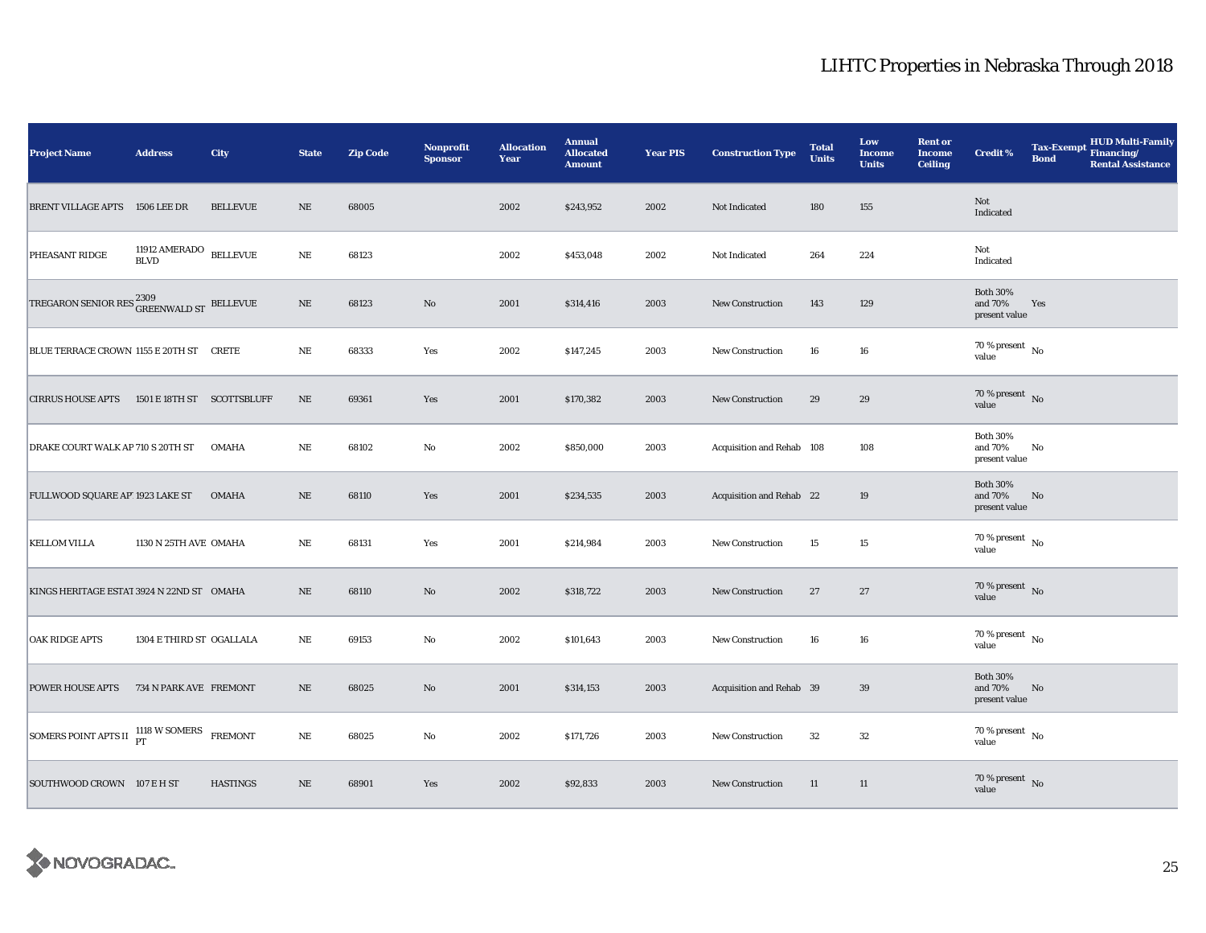| <b>Project Name</b>                                          | <b>Address</b>                        | City            | <b>State</b> | <b>Zip Code</b> | <b>Nonprofit</b><br><b>Sponsor</b> | <b>Allocation</b><br>Year | <b>Annual</b><br><b>Allocated</b><br><b>Amount</b> | <b>Year PIS</b> | <b>Construction Type</b>  | <b>Total</b><br><b>Units</b> | Low<br><b>Income</b><br><b>Units</b> | <b>Rent or</b><br><b>Income</b><br><b>Ceiling</b> | <b>Credit %</b>                             | <b>Tax-Exempt</b><br><b>Bond</b> | HUD Multi-Family<br>Financing/<br><b>Rental Assistance</b> |
|--------------------------------------------------------------|---------------------------------------|-----------------|--------------|-----------------|------------------------------------|---------------------------|----------------------------------------------------|-----------------|---------------------------|------------------------------|--------------------------------------|---------------------------------------------------|---------------------------------------------|----------------------------------|------------------------------------------------------------|
| BRENT VILLAGE APTS 1506 LEE DR                               |                                       | <b>BELLEVUE</b> | $\rm NE$     | 68005           |                                    | 2002                      | \$243,952                                          | 2002            | Not Indicated             | 180                          | 155                                  |                                                   | Not<br>Indicated                            |                                  |                                                            |
| PHEASANT RIDGE                                               | 11912 AMERADO BELLEVUE<br><b>BLVD</b> |                 | $\rm NE$     | 68123           |                                    | 2002                      | \$453,048                                          | 2002            | Not Indicated             | 264                          | 224                                  |                                                   | Not<br>Indicated                            |                                  |                                                            |
| TREGARON SENIOR RES $^{2309}_{\mbox{GREDNWALD ST}}$ BELLEVUE |                                       |                 | $\rm NE$     | 68123           | $\mathbf{N}\mathbf{o}$             | 2001                      | \$314,416                                          | 2003            | <b>New Construction</b>   | 143                          | 129                                  |                                                   | <b>Both 30%</b><br>and 70%<br>present value | Yes                              |                                                            |
| BLUE TERRACE CROWN 1155 E 20TH ST CRETE                      |                                       |                 | NE           | 68333           | Yes                                | 2002                      | \$147,245                                          | 2003            | New Construction          | 16                           | 16                                   |                                                   | $70\,\%$ present $\,$ No $\,$<br>value      |                                  |                                                            |
| <b>CIRRUS HOUSE APTS</b>                                     | 1501 E 18TH ST SCOTTSBLUFF            |                 | $\rm NE$     | 69361           | Yes                                | 2001                      | \$170,382                                          | 2003            | <b>New Construction</b>   | 29                           | 29                                   |                                                   | $70\,\%$ present $\,$ No value              |                                  |                                                            |
| DRAKE COURT WALK AP 710 S 20TH ST                            |                                       | <b>OMAHA</b>    | $\rm NE$     | 68102           | No                                 | 2002                      | \$850,000                                          | 2003            | Acquisition and Rehab 108 |                              | 108                                  |                                                   | <b>Both 30%</b><br>and 70%<br>present value | No                               |                                                            |
| FULLWOOD SQUARE AP' 1923 LAKE ST                             |                                       | <b>OMAHA</b>    | $\rm NE$     | 68110           | Yes                                | 2001                      | \$234,535                                          | 2003            | Acquisition and Rehab 22  |                              | 19                                   |                                                   | <b>Both 30%</b><br>and 70%<br>present value | $\mathbf{No}$                    |                                                            |
| <b>KELLOM VILLA</b>                                          | 1130 N 25TH AVE OMAHA                 |                 | NE           | 68131           | Yes                                | 2001                      | \$214,984                                          | 2003            | New Construction          | 15                           | 15                                   |                                                   | $70\,\%$ present $\,$ No value              |                                  |                                                            |
| KINGS HERITAGE ESTAT 3924 N 22ND ST OMAHA                    |                                       |                 | NE           | 68110           | No                                 | 2002                      | \$318,722                                          | 2003            | <b>New Construction</b>   | 27                           | 27                                   |                                                   | 70 % present No<br>value                    |                                  |                                                            |
| <b>OAK RIDGE APTS</b>                                        | 1304 E THIRD ST OGALLALA              |                 | $_{\rm NE}$  | 69153           | $\rm No$                           | 2002                      | \$101,643                                          | 2003            | New Construction          | 16                           | 16                                   |                                                   | $70$ % present $\,$ No $\,$<br>value        |                                  |                                                            |
| <b>POWER HOUSE APTS</b>                                      | 734 N PARK AVE FREMONT                |                 | $\rm NE$     | 68025           | $\rm No$                           | 2001                      | \$314,153                                          | 2003            | Acquisition and Rehab 39  |                              | 39                                   |                                                   | <b>Both 30%</b><br>and 70%<br>present value | No                               |                                                            |
| SOMERS POINT APTS II <sup>1118</sup> W SOMERS                |                                       | <b>FREMONT</b>  | $\rm NE$     | 68025           | No                                 | 2002                      | \$171,726                                          | 2003            | <b>New Construction</b>   | 32                           | 32                                   |                                                   | 70 % present $\hbox{~No}$<br>value          |                                  |                                                            |
| SOUTHWOOD CROWN 107 E H ST                                   |                                       | <b>HASTINGS</b> | $\rm NE$     | 68901           | Yes                                | 2002                      | \$92,833                                           | 2003            | <b>New Construction</b>   | 11                           | 11                                   |                                                   | $70\,\%$ present $\,$ No value              |                                  |                                                            |

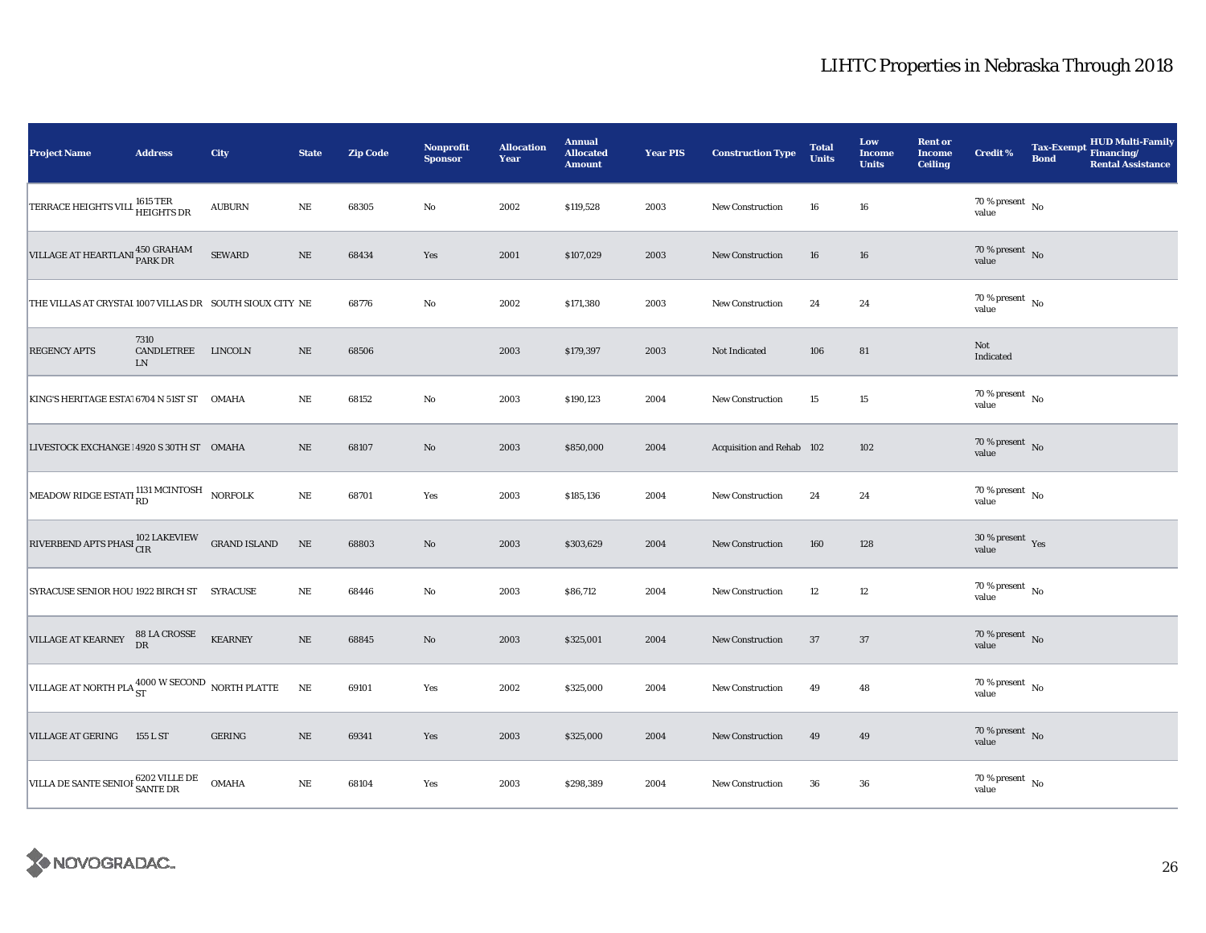| <b>Project Name</b>                                           | <b>Address</b>                   | City           | <b>State</b> | <b>Zip Code</b> | Nonprofit<br><b>Sponsor</b> | <b>Allocation</b><br>Year | <b>Annual</b><br><b>Allocated</b><br><b>Amount</b> | <b>Year PIS</b> | <b>Construction Type</b>  | <b>Total</b><br><b>Units</b> | Low<br><b>Income</b><br><b>Units</b> | <b>Rent or</b><br><b>Income</b><br><b>Ceiling</b> | Credit %                             | <b>Tax-Exempt</b><br><b>Bond</b> | <b>HUD Multi-Family</b><br>Financing/<br><b>Rental Assistance</b> |
|---------------------------------------------------------------|----------------------------------|----------------|--------------|-----------------|-----------------------------|---------------------------|----------------------------------------------------|-----------------|---------------------------|------------------------------|--------------------------------------|---------------------------------------------------|--------------------------------------|----------------------------------|-------------------------------------------------------------------|
| TERRACE HEIGHTS VILL 1615 TER<br>HEIGHTS DR                   |                                  | <b>AUBURN</b>  | NE           | 68305           | No                          | 2002                      | \$119,528                                          | 2003            | <b>New Construction</b>   | 16                           | 16                                   |                                                   | $70\,\%$ present $\,$ No value       |                                  |                                                                   |
| VILLAGE AT HEARTLANI 450 GRAHAM                               |                                  | <b>SEWARD</b>  | $\rm NE$     | 68434           | Yes                         | 2001                      | \$107,029                                          | 2003            | <b>New Construction</b>   | 16                           | 16                                   |                                                   | $70\,\%$ present $\,$ No value       |                                  |                                                                   |
| THE VILLAS AT CRYSTAI 1007 VILLAS DR SOUTH SIOUX CITY NE      |                                  |                |              | 68776           | No                          | 2002                      | \$171,380                                          | 2003            | New Construction          | 24                           | 24                                   |                                                   | 70 % present $\hbox{~No}$<br>value   |                                  |                                                                   |
| <b>REGENCY APTS</b>                                           | 7310<br>CANDLETREE<br>${\rm LN}$ | LINCOLN        | $\rm NE$     | 68506           |                             | 2003                      | \$179,397                                          | 2003            | Not Indicated             | 106                          | 81                                   |                                                   | Not<br>Indicated                     |                                  |                                                                   |
| KING'S HERITAGE ESTA! 6704 N 51ST ST                          |                                  | <b>OMAHA</b>   | $\rm NE$     | 68152           | No                          | 2003                      | \$190,123                                          | 2004            | <b>New Construction</b>   | 15                           | $15\,$                               |                                                   | 70 % present $\hbox{~No}$<br>value   |                                  |                                                                   |
| LIVESTOCK EXCHANGE 14920 S 30TH ST OMAHA                      |                                  |                | $\rm NE$     | 68107           | No                          | 2003                      | \$850,000                                          | 2004            | Acquisition and Rehab 102 |                              | 102                                  |                                                   | $70\,\%$ present $\,$ No value       |                                  |                                                                   |
| MEADOW RIDGE ESTATI RD MCINTOSH NORFOLK                       |                                  |                | $\rm NE$     | 68701           | Yes                         | 2003                      | \$185,136                                          | 2004            | <b>New Construction</b>   | 24                           | $\bf 24$                             |                                                   | $70\,\%$ present $\,$ No value       |                                  |                                                                   |
| RIVERBEND APTS PHASI $_{\rm CIR}^{102}$ LAKEVIEW GRAND ISLAND |                                  |                | $\rm NE$     | 68803           | No                          | 2003                      | \$303,629                                          | 2004            | New Construction          | 160                          | 128                                  |                                                   | $30\,\%$ present $\,$ Yes value      |                                  |                                                                   |
| SYRACUSE SENIOR HOU 1922 BIRCH ST SYRACUSE                    |                                  |                | $\rm NE$     | 68446           | $\rm No$                    | 2003                      | \$86,712                                           | 2004            | New Construction          | 12                           | 12                                   |                                                   | 70 % present $\hbox{~No}$<br>value   |                                  |                                                                   |
| VILLAGE AT KEARNEY                                            | 88 LA CROSSE<br>DR               | <b>KEARNEY</b> | $\rm NE$     | 68845           | $\rm No$                    | 2003                      | \$325,001                                          | 2004            | <b>New Construction</b>   | 37                           | 37                                   |                                                   | $70\,\%$ present $\,$ No value       |                                  |                                                                   |
| VILLAGE AT NORTH PLA 4000 W SECOND NORTH PLATTE               |                                  |                | $\rm NE$     | 69101           | Yes                         | 2002                      | \$325,000                                          | 2004            | New Construction          | 49                           | 48                                   |                                                   | $70\,\%$ present $\,$ No value       |                                  |                                                                   |
| <b>VILLAGE AT GERING</b>                                      | 155 L ST                         | <b>GERING</b>  | $\rm NE$     | 69341           | Yes                         | 2003                      | \$325,000                                          | 2004            | <b>New Construction</b>   | 49                           | 49                                   |                                                   | $70\,\%$ present $\,$ No value       |                                  |                                                                   |
| VILLA DE SANTE SENIOI 6202 VILLE DE                           |                                  | <b>OMAHA</b>   | $\rm NE$     | 68104           | Yes                         | 2003                      | \$298,389                                          | 2004            | <b>New Construction</b>   | 36                           | 36                                   |                                                   | $70$ % present $\,$ No $\,$<br>value |                                  |                                                                   |

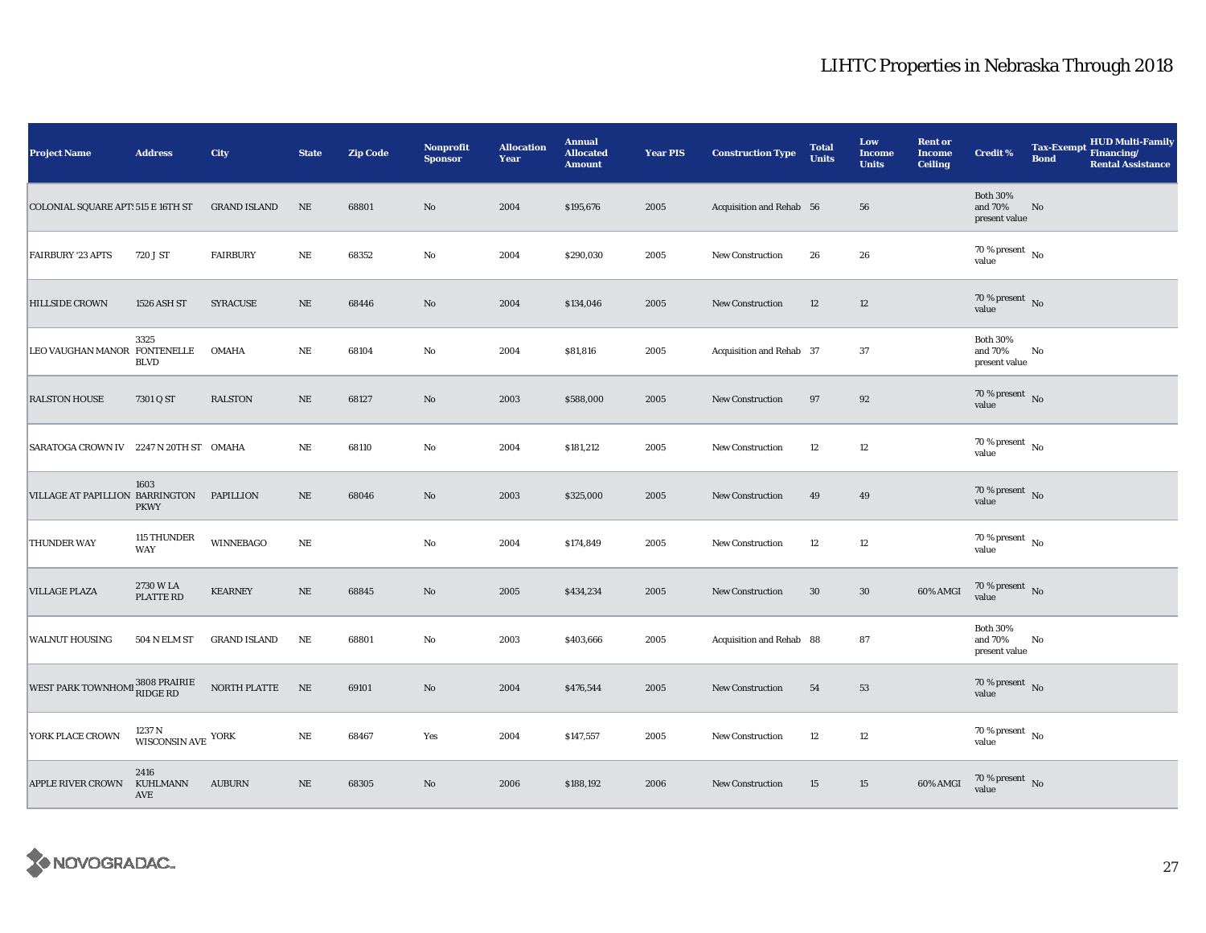| <b>Project Name</b>                    | <b>Address</b>                             | City                | <b>State</b> | <b>Zip Code</b> | <b>Nonprofit</b><br><b>Sponsor</b> | <b>Allocation</b><br>Year | <b>Annual</b><br><b>Allocated</b><br><b>Amount</b> | <b>Year PIS</b> | <b>Construction Type</b> | <b>Total</b><br><b>Units</b> | Low<br><b>Income</b><br><b>Units</b> | <b>Rent or</b><br><b>Income</b><br><b>Ceiling</b> | Credit %                                    | <b>Tax-Exempt</b><br><b>Bond</b> | <b>HUD Multi-Family</b><br>Financing/<br><b>Rental Assistance</b> |
|----------------------------------------|--------------------------------------------|---------------------|--------------|-----------------|------------------------------------|---------------------------|----------------------------------------------------|-----------------|--------------------------|------------------------------|--------------------------------------|---------------------------------------------------|---------------------------------------------|----------------------------------|-------------------------------------------------------------------|
| COLONIAL SQUARE APT: 515 E 16TH ST     |                                            | <b>GRAND ISLAND</b> | NE           | 68801           | No                                 | 2004                      | \$195,676                                          | 2005            | Acquisition and Rehab 56 |                              | 56                                   |                                                   | <b>Both 30%</b><br>and 70%<br>present value | No                               |                                                                   |
| <b>FAIRBURY '23 APTS</b>               | 720 J ST                                   | <b>FAIRBURY</b>     | $\rm NE$     | 68352           | $\rm No$                           | 2004                      | \$290,030                                          | 2005            | <b>New Construction</b>  | 26                           | 26                                   |                                                   | $70\,\%$ present $\,$ No value              |                                  |                                                                   |
| <b>HILLSIDE CROWN</b>                  | 1526 ASH ST                                | SYRACUSE            | $\rm NE$     | 68446           | $\rm No$                           | 2004                      | \$134,046                                          | 2005            | New Construction         | 12                           | 12                                   |                                                   | 70 % present $\hbox{~No}$<br>value          |                                  |                                                                   |
| LEO VAUGHAN MANOR FONTENELLE           | 3325<br><b>BLVD</b>                        | <b>OMAHA</b>        | $_{\rm NE}$  | 68104           | $\rm No$                           | 2004                      | \$81,816                                           | 2005            | Acquisition and Rehab 37 |                              | 37                                   |                                                   | <b>Both 30%</b><br>and 70%<br>present value | No                               |                                                                   |
| <b>RALSTON HOUSE</b>                   | 7301 Q ST                                  | <b>RALSTON</b>      | $\rm NE$     | 68127           | $\rm No$                           | 2003                      | \$588,000                                          | 2005            | <b>New Construction</b>  | 97                           | $92\,$                               |                                                   | $70\,\%$ present $\,$ No value              |                                  |                                                                   |
| SARATOGA CROWN IV 2247 N 20TH ST OMAHA |                                            |                     | $_{\rm NE}$  | 68110           | No                                 | 2004                      | \$181,212                                          | 2005            | <b>New Construction</b>  | 12                           | 12                                   |                                                   | $70\,\%$ present $\,$ No value              |                                  |                                                                   |
| VILLAGE AT PAPILLION BARRINGTON        | 1603<br><b>PKWY</b>                        | <b>PAPILLION</b>    | $\rm NE$     | 68046           | $\rm No$                           | 2003                      | \$325,000                                          | 2005            | <b>New Construction</b>  | 49                           | 49                                   |                                                   | $70\,\%$ present $\,$ No value              |                                  |                                                                   |
| <b>THUNDER WAY</b>                     | 115 THUNDER<br><b>WAY</b>                  | <b>WINNEBAGO</b>    | NE           |                 | No                                 | 2004                      | \$174,849                                          | 2005            | <b>New Construction</b>  | 12                           | 12                                   |                                                   | $70$ % present $\,$ No $\,$<br>value        |                                  |                                                                   |
| <b>VILLAGE PLAZA</b>                   | 2730 W LA<br>PLATTE RD                     | <b>KEARNEY</b>      | $\rm NE$     | 68845           | $\rm\thinspace No$                 | 2005                      | \$434,234                                          | 2005            | New Construction         | $30\,$                       | $30\,$                               | 60% AMGI                                          | $70\,\%$ present $\,$ No value              |                                  |                                                                   |
| <b>WALNUT HOUSING</b>                  | <b>504 N ELM ST</b>                        | <b>GRAND ISLAND</b> | NE           | 68801           | $\rm No$                           | 2003                      | \$403,666                                          | 2005            | Acquisition and Rehab 88 |                              | 87                                   |                                                   | <b>Both 30%</b><br>and 70%<br>present value | No                               |                                                                   |
| WEST PARK TOWNHOMI 3808 PRAIRIE        |                                            | NORTH PLATTE        | $\rm NE$     | 69101           | No                                 | 2004                      | \$476,544                                          | 2005            | <b>New Construction</b>  | 54                           | 53                                   |                                                   | $70\,\%$ present $\,$ No value              |                                  |                                                                   |
| YORK PLACE CROWN                       | $1237\,\mathrm{N}$ WISCONSIN AVE $\,$ YORK |                     | $\rm NE$     | 68467           | Yes                                | 2004                      | \$147,557                                          | 2005            | <b>New Construction</b>  | 12                           | $12\,$                               |                                                   | $70\,\%$ present $\,$ No value              |                                  |                                                                   |
| <b>APPLE RIVER CROWN</b>               | 2416<br>KUHLMANN<br>AVE                    | <b>AUBURN</b>       | $\rm NE$     | 68305           | No                                 | 2006                      | \$188,192                                          | 2006            | <b>New Construction</b>  | 15                           | 15                                   | 60% AMGI                                          | $70\%$ present No<br>value                  |                                  |                                                                   |

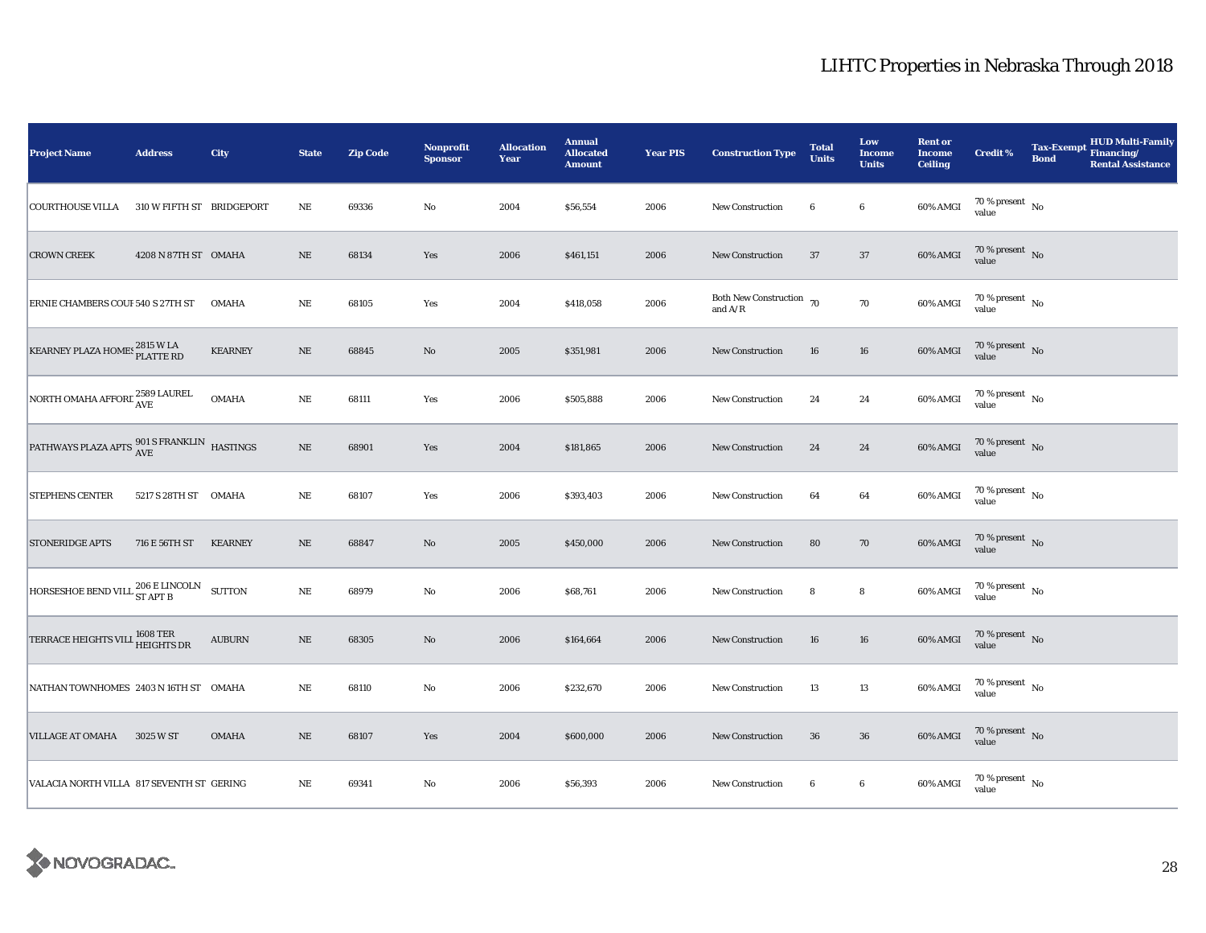| Project Name                                             | <b>Address</b>            | City           | <b>State</b> | <b>Zip Code</b> | <b>Nonprofit</b><br><b>Sponsor</b> | <b>Allocation</b><br>Year | <b>Annual</b><br><b>Allocated</b><br><b>Amount</b> | <b>Year PIS</b> | <b>Construction Type</b>                                                          | <b>Total</b><br><b>Units</b> | Low<br><b>Income</b><br><b>Units</b> | <b>Rent or</b><br><b>Income</b><br><b>Ceiling</b> | <b>Credit %</b>                     | <b>Tax-Exempt</b><br><b>Bond</b> | <b>HUD Multi-Family</b><br>Financing/<br><b>Rental Assistance</b> |
|----------------------------------------------------------|---------------------------|----------------|--------------|-----------------|------------------------------------|---------------------------|----------------------------------------------------|-----------------|-----------------------------------------------------------------------------------|------------------------------|--------------------------------------|---------------------------------------------------|-------------------------------------|----------------------------------|-------------------------------------------------------------------|
| <b>COURTHOUSE VILLA</b>                                  | 310 W FIFTH ST BRIDGEPORT |                | $_{\rm NE}$  | 69336           | $\rm No$                           | 2004                      | \$56,554                                           | 2006            | New Construction                                                                  | 6                            | $\bf{6}$                             | 60% AMGI                                          | $70\,\%$ present $\,$ No value      |                                  |                                                                   |
| <b>CROWN CREEK</b>                                       | 4208 N 87TH ST OMAHA      |                | $\rm NE$     | 68134           | Yes                                | 2006                      | \$461,151                                          | 2006            | New Construction                                                                  | 37                           | 37                                   | 60% AMGI                                          | $70\,\%$ present $\,$ No value      |                                  |                                                                   |
| ERNIE CHAMBERS COUF 540 S 27TH ST                        |                           | <b>OMAHA</b>   | $\rm NE$     | 68105           | Yes                                | 2004                      | \$418,058                                          | 2006            | Both New Construction 70<br>and $\ensuremath{\mathrm{A}}/\ensuremath{\mathrm{R}}$ |                              | 70                                   | 60% AMGI                                          | $70\,\%$ present $\,$ No value      |                                  |                                                                   |
| KEARNEY PLAZA HOMES 2815 W LA                            |                           | <b>KEARNEY</b> | $\rm NE$     | 68845           | No                                 | 2005                      | \$351,981                                          | 2006            | <b>New Construction</b>                                                           | 16                           | 16                                   | 60% AMGI                                          | $70\,\%$ present $\,$ No value      |                                  |                                                                   |
| NORTH OMAHA AFFORE $_{\rm AVE}^{2589\rm~LAURE}$          |                           | <b>OMAHA</b>   | $\rm NE$     | 68111           | Yes                                | 2006                      | \$505,888                                          | 2006            | New Construction                                                                  | 24                           | $\bf 24$                             | 60% AMGI                                          | $70\,\%$ present $${\rm No}$$ value |                                  |                                                                   |
| PATHWAYS PLAZA APTS $^{901\,S} _{AVE}$ FRANKLIN HASTINGS |                           |                | $\rm NE$     | 68901           | Yes                                | 2004                      | \$181,865                                          | 2006            | New Construction                                                                  | 24                           | ${\bf 24}$                           | 60% AMGI                                          | $70\,\%$ present $\,$ No value      |                                  |                                                                   |
| <b>STEPHENS CENTER</b>                                   | 5217 S 28TH ST OMAHA      |                | $_{\rm NE}$  | 68107           | Yes                                | 2006                      | \$393,403                                          | 2006            | New Construction                                                                  | 64                           | 64                                   | 60% AMGI                                          | 70 % present $\hbox{~No}$<br>value  |                                  |                                                                   |
| <b>STONERIDGE APTS</b>                                   | 716 E 56TH ST             | <b>KEARNEY</b> | $\rm NE$     | 68847           | $\rm No$                           | 2005                      | \$450,000                                          | 2006            | New Construction                                                                  | 80                           | $70\,$                               | 60% AMGI                                          | $70\,\%$ present $\,$ No value      |                                  |                                                                   |
| HORSESHOE BEND VILL $^{206}_{ST \,APT \,B}$ SUTTON       |                           |                | $\rm NE$     | 68979           | No                                 | 2006                      | \$68,761                                           | 2006            | <b>New Construction</b>                                                           | 8                            | ${\bf 8}$                            | 60% AMGI                                          | $70\,\%$ present $\,$ No value      |                                  |                                                                   |
| TERRACE HEIGHTS VILL 1608 TER                            |                           | ${\bf AUBURN}$ | $\rm NE$     | 68305           | No                                 | 2006                      | \$164,664                                          | 2006            | <b>New Construction</b>                                                           | 16                           | ${\bf 16}$                           | $60\%$ AMGI                                       | $70\,\%$ present $\,$ No value      |                                  |                                                                   |
| NATHAN TOWNHOMES 2403 N 16TH ST OMAHA                    |                           |                | $\rm NE$     | 68110           | No                                 | 2006                      | \$232,670                                          | 2006            | New Construction                                                                  | 13                           | $13\,$                               | 60% AMGI                                          | 70 % present $\hbox{~No}$<br>value  |                                  |                                                                   |
| <b>VILLAGE AT OMAHA</b>                                  | 3025 W ST                 | <b>OMAHA</b>   | $\rm NE$     | 68107           | Yes                                | 2004                      | \$600,000                                          | 2006            | New Construction                                                                  | ${\bf 36}$                   | ${\bf 36}$                           | 60% AMGI                                          | $70\,\%$ present $\,$ No value      |                                  |                                                                   |
| VALACIA NORTH VILLA 817 SEVENTH ST GERING                |                           |                | $_{\rm NE}$  | 69341           | $\mathbf{No}$                      | 2006                      | \$56,393                                           | 2006            | New Construction                                                                  | 6                            | $6\phantom{.0}$                      | 60% AMGI                                          | $70\,\%$ present $\,$ No value      |                                  |                                                                   |

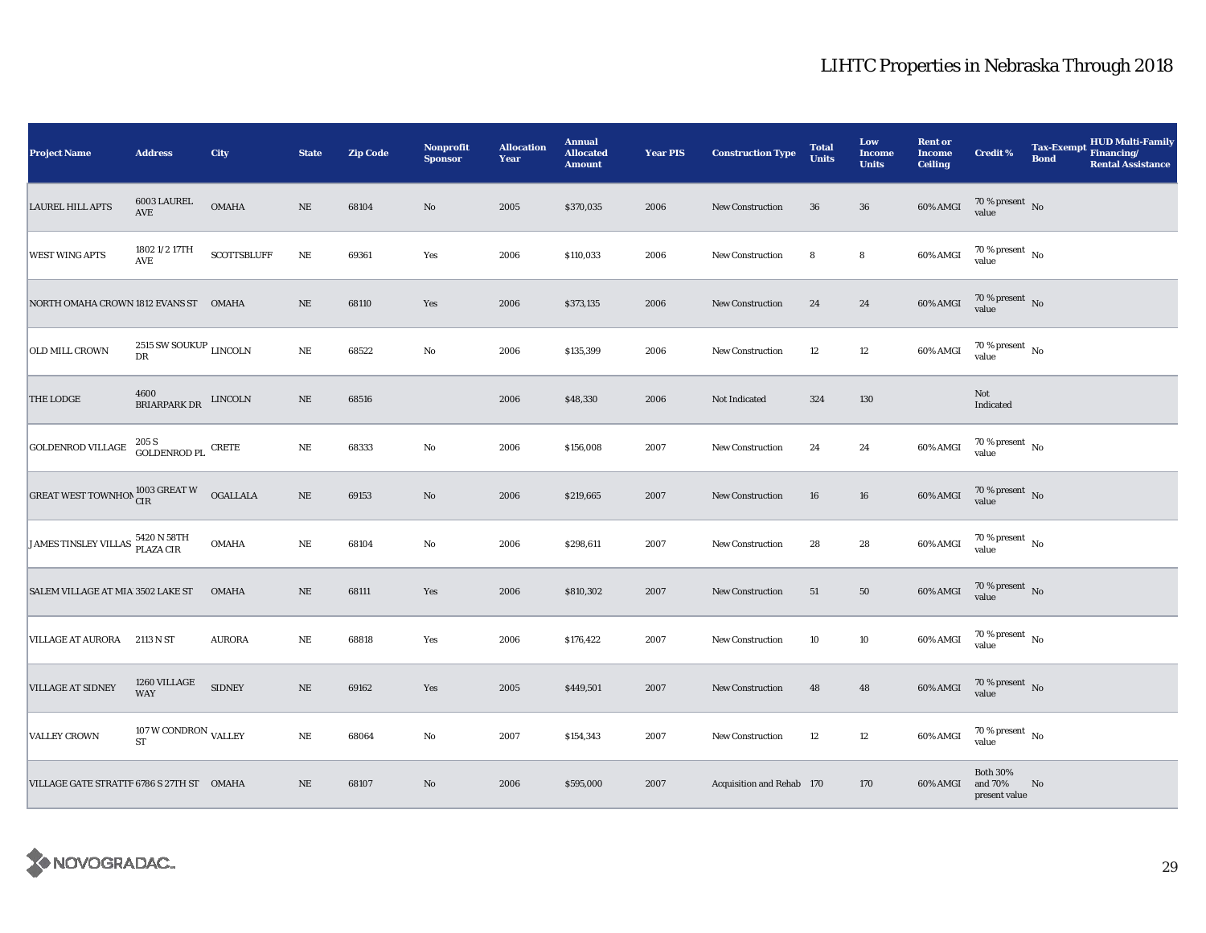| <b>Project Name</b>                       | <b>Address</b>                                      | City               | <b>State</b> | <b>Zip Code</b> | Nonprofit<br><b>Sponsor</b> | <b>Allocation</b><br>Year | <b>Annual</b><br><b>Allocated</b><br><b>Amount</b> | <b>Year PIS</b> | <b>Construction Type</b>  | <b>Total</b><br><b>Units</b> | Low<br><b>Income</b><br><b>Units</b> | <b>Rent or</b><br><b>Income</b><br><b>Ceiling</b> | <b>Credit %</b>                             | <b>Tax-Exempt</b><br><b>Bond</b> | <b>HUD Multi-Family</b><br>Financing/<br><b>Rental Assistance</b> |
|-------------------------------------------|-----------------------------------------------------|--------------------|--------------|-----------------|-----------------------------|---------------------------|----------------------------------------------------|-----------------|---------------------------|------------------------------|--------------------------------------|---------------------------------------------------|---------------------------------------------|----------------------------------|-------------------------------------------------------------------|
| <b>LAUREL HILL APTS</b>                   | 6003 LAUREL<br>AVE                                  | <b>OMAHA</b>       | $\rm NE$     | 68104           | $\rm No$                    | 2005                      | \$370,035                                          | 2006            | <b>New Construction</b>   | 36                           | ${\bf 36}$                           | 60% AMGI                                          | $70\,\%$ present $\;$ No value              |                                  |                                                                   |
| <b>WEST WING APTS</b>                     | 1802 1/2 17TH<br>AVE                                | <b>SCOTTSBLUFF</b> | $\rm NE$     | 69361           | Yes                         | 2006                      | \$110,033                                          | 2006            | New Construction          | 8                            | $\bf8$                               | 60% AMGI                                          | $70\,\%$ present $\,$ No value              |                                  |                                                                   |
| NORTH OMAHA CROWN 1812 EVANS ST OMAHA     |                                                     |                    | $\rm NE$     | 68110           | Yes                         | 2006                      | \$373,135                                          | 2006            | New Construction          | 24                           | ${\bf 24}$                           | $60\%$ AMGI                                       | $70\,\%$ present $\,$ No value              |                                  |                                                                   |
| OLD MILL CROWN                            | 2515 SW SOUKUP $_{\rm LINCOLN}$<br>${\rm D}{\rm R}$ |                    | $\rm NE$     | 68522           | No                          | 2006                      | \$135,399                                          | 2006            | New Construction          | 12                           | $12\,$                               | 60% AMGI                                          | $70\,\%$ present $\,$ No value              |                                  |                                                                   |
| THE LODGE                                 | 4600<br>BRIARPARK DR                                | <b>LINCOLN</b>     | $\rm NE$     | 68516           |                             | 2006                      | \$48,330                                           | 2006            | Not Indicated             | 324                          | 130                                  |                                                   | Not<br>Indicated                            |                                  |                                                                   |
| <b>GOLDENROD VILLAGE</b>                  | $205\,\mathrm{S}$ GOLDENROD PL $\,$ CRETE           |                    | $\rm NE$     | 68333           | $\rm No$                    | 2006                      | \$156,008                                          | 2007            | <b>New Construction</b>   | 24                           | 24                                   | 60% AMGI                                          | $70\,\%$ present $\,$ No value              |                                  |                                                                   |
| <b>GREAT WEST TOWNHON CIR CONSERT W</b>   |                                                     | <b>OGALLALA</b>    | $\rm NE$     | 69153           | $\rm\thinspace No$          | 2006                      | \$219,665                                          | 2007            | <b>New Construction</b>   | 16                           | 16                                   | 60% AMGI                                          | $70\,\%$ present $\;$ No value              |                                  |                                                                   |
| JAMES TINSLEY VILLAS 5420 N 58TH          |                                                     | <b>OMAHA</b>       | $\rm NE$     | 68104           | $\mathbf{No}$               | 2006                      | \$298,611                                          | 2007            | New Construction          | 28                           | $\bf 28$                             | 60% AMGI                                          | $70\,\%$ present $\,$ No value              |                                  |                                                                   |
| SALEM VILLAGE AT MIA 3502 LAKE ST         |                                                     | <b>OMAHA</b>       | $\rm NE$     | 68111           | Yes                         | 2006                      | \$810,302                                          | 2007            | <b>New Construction</b>   | 51                           | $50\,$                               | 60% AMGI                                          | $70\,\%$ present $\,$ No value              |                                  |                                                                   |
| VILLAGE AT AURORA 2113 N ST               |                                                     | <b>AURORA</b>      | $\rm NE$     | 68818           | Yes                         | 2006                      | \$176,422                                          | 2007            | New Construction          | 10                           | 10                                   | 60% AMGI                                          | $70$ % present $\,$ No $\,$<br>value        |                                  |                                                                   |
| <b>VILLAGE AT SIDNEY</b>                  | 1260 VILLAGE<br>WAY                                 | <b>SIDNEY</b>      | $\rm NE$     | 69162           | Yes                         | 2005                      | \$449,501                                          | 2007            | New Construction          | 48                           | $\bf 48$                             | 60% AMGI                                          | $70\,\%$ present $\,$ No value              |                                  |                                                                   |
| <b>VALLEY CROWN</b>                       | 107 W CONDRON $_{\mbox{VALLEY}}$<br><b>ST</b>       |                    | $\rm NE$     | 68064           | No                          | 2007                      | \$154,343                                          | 2007            | New Construction          | 12                           | $12\,$                               | 60% AMGI                                          | 70 % present $\hbox{~No}$<br>value          |                                  |                                                                   |
| VILLAGE GATE STRATTF 6786 S 27TH ST OMAHA |                                                     |                    | $\rm NE$     | 68107           | $\rm No$                    | 2006                      | \$595,000                                          | 2007            | Acquisition and Rehab 170 |                              | 170                                  | 60% AMGI                                          | <b>Both 30%</b><br>and 70%<br>present value | No                               |                                                                   |

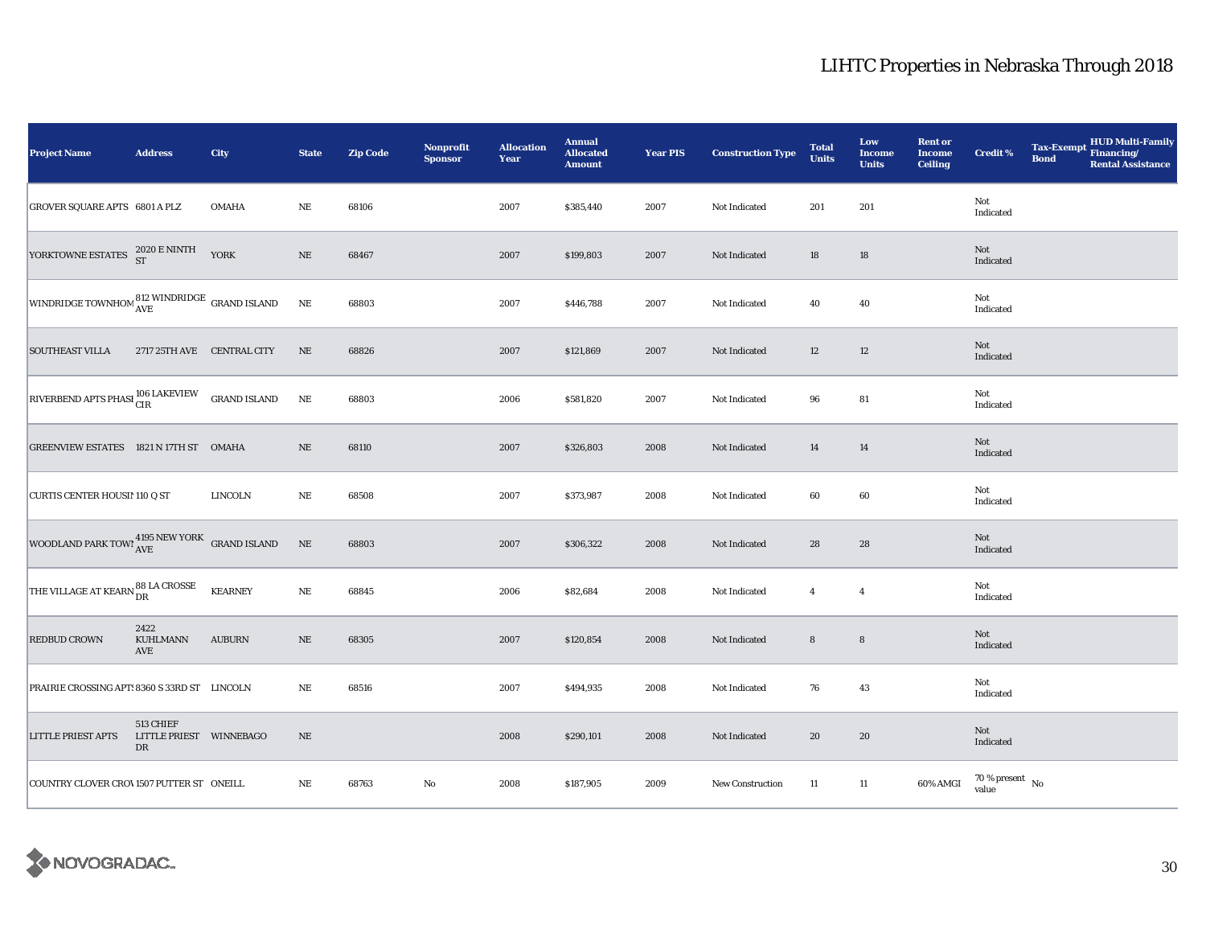| <b>Project Name</b>                                                                                                            | <b>Address</b>                             | City           | <b>State</b> | <b>Zip Code</b> | Nonprofit<br><b>Sponsor</b> | <b>Allocation</b><br>Year | <b>Annual</b><br><b>Allocated</b><br><b>Amount</b> | <b>Year PIS</b> | <b>Construction Type</b> | <b>Total</b><br><b>Units</b> | Low<br><b>Income</b><br><b>Units</b> | <b>Rent or</b><br><b>Income</b><br><b>Ceiling</b> | Credit %                       | <b>Tax-Exempt</b><br><b>Bond</b> | HUD Multi-Family<br>Financing/<br><b>Rental Assistance</b> |
|--------------------------------------------------------------------------------------------------------------------------------|--------------------------------------------|----------------|--------------|-----------------|-----------------------------|---------------------------|----------------------------------------------------|-----------------|--------------------------|------------------------------|--------------------------------------|---------------------------------------------------|--------------------------------|----------------------------------|------------------------------------------------------------|
| <b>GROVER SQUARE APTS 6801 A PLZ</b>                                                                                           |                                            | <b>OMAHA</b>   | $_{\rm NE}$  | 68106           |                             | 2007                      | \$385,440                                          | 2007            | Not Indicated            | 201                          | 201                                  |                                                   | Not<br>Indicated               |                                  |                                                            |
| YORKTOWNE ESTATES $^{2020}_{ST}$ E NINTH YORK                                                                                  |                                            |                | $\rm NE$     | 68467           |                             | 2007                      | \$199,803                                          | 2007            | Not Indicated            | 18                           | $18\,$                               |                                                   | Not<br>Indicated               |                                  |                                                            |
| WINDRIDGE TOWNHOM 812 WINDRIDGE GRAND ISLAND                                                                                   |                                            |                | $\rm NE$     | 68803           |                             | 2007                      | \$446,788                                          | 2007            | Not Indicated            | 40                           | $40\,$                               |                                                   | Not<br>Indicated               |                                  |                                                            |
| <b>SOUTHEAST VILLA</b>                                                                                                         | 2717 25TH AVE CENTRAL CITY                 |                | NE           | 68826           |                             | 2007                      | \$121,869                                          | 2007            | Not Indicated            | 12                           | 12                                   |                                                   | Not<br>Indicated               |                                  |                                                            |
| $\begin{array}{ l l } \hline \textbf{RIVERBEND} \textbf{APTS PHASI} \textbf{106 LAKEVIEW} & \textbf{GRAND ISLAND} \end{array}$ |                                            |                | $\rm{NE}$    | 68803           |                             | 2006                      | \$581,820                                          | 2007            | Not Indicated            | 96                           | ${\bf 81}$                           |                                                   | Not<br>Indicated               |                                  |                                                            |
| GREENVIEW ESTATES 1821 N 17TH ST OMAHA                                                                                         |                                            |                | $\rm NE$     | 68110           |                             | 2007                      | \$326,803                                          | 2008            | Not Indicated            | 14                           | 14                                   |                                                   | Not<br>Indicated               |                                  |                                                            |
| <b>CURTIS CENTER HOUSI! 110 Q ST</b>                                                                                           |                                            | <b>LINCOLN</b> | NE           | 68508           |                             | 2007                      | \$373,987                                          | 2008            | Not Indicated            | 60                           | 60                                   |                                                   | Not<br>Indicated               |                                  |                                                            |
| WOODLAND PARK TOWI $_{\mbox{AVE}}^{4195\text{ NEW YORK}}$ GRAND ISLAND                                                         |                                            |                | $\rm NE$     | 68803           |                             | 2007                      | \$306,322                                          | 2008            | Not Indicated            | 28                           | 28                                   |                                                   | Not<br>Indicated               |                                  |                                                            |
| THE VILLAGE AT KEARN 88 LA CROSSE                                                                                              |                                            | <b>KEARNEY</b> | $\rm NE$     | 68845           |                             | 2006                      | \$82,684                                           | 2008            | Not Indicated            | $\overline{4}$               | $\overline{4}$                       |                                                   | Not<br>Indicated               |                                  |                                                            |
| <b>REDBUD CROWN</b>                                                                                                            | 2422<br>KUHLMANN<br>AVE                    | <b>AUBURN</b>  | $\rm NE$     | 68305           |                             | 2007                      | \$120,854                                          | 2008            | Not Indicated            | ${\bf 8}$                    | $\bf8$                               |                                                   | Not<br>Indicated               |                                  |                                                            |
| PRAIRIE CROSSING APT: 8360 S 33RD ST LINCOLN                                                                                   |                                            |                | $_{\rm NE}$  | 68516           |                             | 2007                      | \$494,935                                          | 2008            | Not Indicated            | 76                           | 43                                   |                                                   | Not<br>Indicated               |                                  |                                                            |
| <b>LITTLE PRIEST APTS</b>                                                                                                      | 513 CHIEF<br>LITTLE PRIEST WINNEBAGO<br>DR |                | $\rm NE$     |                 |                             | 2008                      | \$290,101                                          | 2008            | Not Indicated            | 20                           | 20                                   |                                                   | Not<br>Indicated               |                                  |                                                            |
| COUNTRY CLOVER CROV1507 PUTTER ST ONEILL                                                                                       |                                            |                | $_{\rm NE}$  | 68763           | No                          | 2008                      | \$187,905                                          | 2009            | New Construction         | 11                           | 11                                   | 60% AMGI                                          | $70\,\%$ present $\,$ No value |                                  |                                                            |

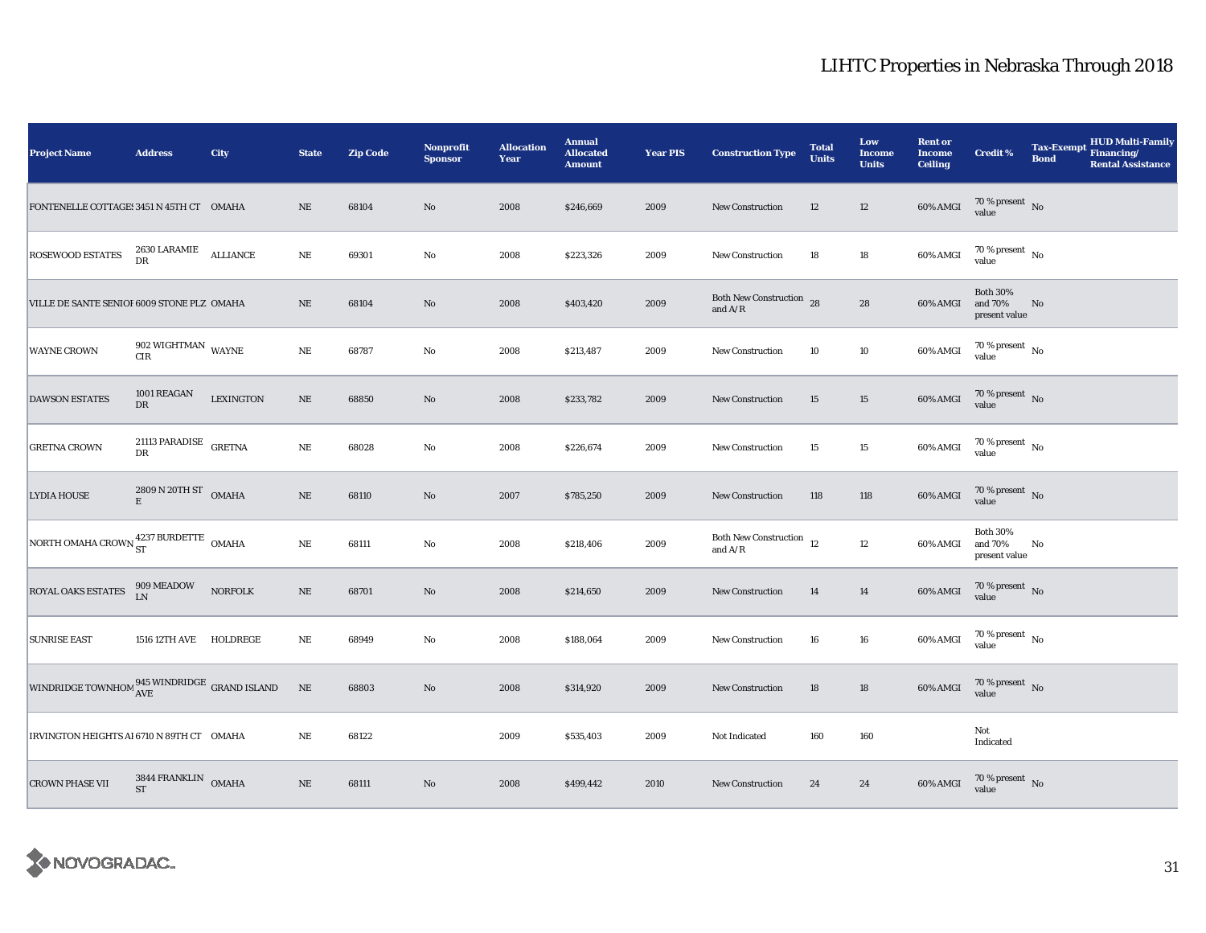| <b>Project Name</b>                                          | <b>Address</b>                                   | City             | <b>State</b> | <b>Zip Code</b> | Nonprofit<br><b>Sponsor</b> | <b>Allocation</b><br>Year | <b>Annual</b><br><b>Allocated</b><br><b>Amount</b> | <b>Year PIS</b> | <b>Construction Type</b>                        | <b>Total</b><br><b>Units</b> | Low<br><b>Income</b><br><b>Units</b> | <b>Rent or</b><br><b>Income</b><br><b>Ceiling</b> | <b>Credit %</b>                             | <b>Tax-Exempt</b><br><b>Bond</b> | <b>HUD Multi-Family</b><br>Financing/<br><b>Rental Assistance</b> |
|--------------------------------------------------------------|--------------------------------------------------|------------------|--------------|-----------------|-----------------------------|---------------------------|----------------------------------------------------|-----------------|-------------------------------------------------|------------------------------|--------------------------------------|---------------------------------------------------|---------------------------------------------|----------------------------------|-------------------------------------------------------------------|
| FONTENELLE COTTAGE: 3451 N 45TH CT OMAHA                     |                                                  |                  | $_{\rm NE}$  | 68104           | $\rm No$                    | 2008                      | \$246,669                                          | 2009            | <b>New Construction</b>                         | 12                           | $12\,$                               | $60\%$ AMGI                                       | $70\,\%$ present $\,$ No value              |                                  |                                                                   |
| <b>ROSEWOOD ESTATES</b>                                      | $2630$ LARAMIE $\quad$ ALLIANCE DR               |                  | $\rm NE$     | 69301           | $\mathbf {No}$              | 2008                      | \$223,326                                          | 2009            | <b>New Construction</b>                         | 18                           | $18\,$                               | 60% AMGI                                          | $70\,\%$ present $\,$ No value              |                                  |                                                                   |
| VILLE DE SANTE SENIOF 6009 STONE PLZ OMAHA                   |                                                  |                  | $\rm NE$     | 68104           | No                          | 2008                      | \$403,420                                          | 2009            | Both New Construction 28<br>and $A/R$           |                              | 28                                   | 60% AMGI                                          | <b>Both 30%</b><br>and 70%<br>present value | No                               |                                                                   |
| <b>WAYNE CROWN</b>                                           | 902 WIGHTMAN $\,$ WAYNE<br>CIR                   |                  | $\rm NE$     | 68787           | $\rm No$                    | 2008                      | \$213,487                                          | 2009            | New Construction                                | 10                           | $10\,$                               | 60% AMGI                                          | $70\,\%$ present $\,$ No value              |                                  |                                                                   |
| <b>DAWSON ESTATES</b>                                        | 1001 REAGAN<br>${\rm DR}$                        | <b>LEXINGTON</b> | $\rm NE$     | 68850           | $\rm No$                    | 2008                      | \$233,782                                          | 2009            | <b>New Construction</b>                         | 15                           | $15\,$                               | $60\%$ AMGI                                       | $70\,\%$ present $\,$ No value              |                                  |                                                                   |
| <b>GRETNA CROWN</b>                                          | 21113 PARADISE GRETNA<br>${\rm DR}$              |                  | $\rm NE$     | 68028           | $\rm No$                    | 2008                      | \$226,674                                          | 2009            | <b>New Construction</b>                         | 15                           | $15\,$                               | 60% AMGI                                          | $70\,\%$ present $\,$ No value              |                                  |                                                                   |
| <b>LYDIA HOUSE</b>                                           | $2809$ N $20\mathrm{TH}\ \mathrm{ST}$ OMAHA<br>E |                  | $\rm NE$     | 68110           | No                          | 2007                      | \$785,250                                          | 2009            | <b>New Construction</b>                         | 118                          | 118                                  | 60% AMGI                                          | $70$ % present $\,$ No value                |                                  |                                                                   |
| NORTH OMAHA CROWN $_{ST}^{4237}$ BURDETTE OMAHA              |                                                  |                  | NE           | 68111           | $\rm No$                    | 2008                      | \$218,406                                          | 2009            | Both New Construction $\,$ 12 $\,$<br>and $A/R$ |                              | $12\,$                               | 60% AMGI                                          | <b>Both 30%</b><br>and 70%<br>present value | No                               |                                                                   |
| ROYAL OAKS ESTATES                                           | 909 MEADOW<br>LN                                 | <b>NORFOLK</b>   | $\rm NE$     | 68701           | No                          | 2008                      | \$214,650                                          | 2009            | New Construction                                | 14                           | 14                                   | $60\%$ AMGI                                       | $70\,\%$ present $\,$ No value              |                                  |                                                                   |
| <b>SUNRISE EAST</b>                                          | 1516 12TH AVE HOLDREGE                           |                  | $\rm NE$     | 68949           | $\mathbf {No}$              | 2008                      | \$188,064                                          | 2009            | <b>New Construction</b>                         | 16                           | ${\bf 16}$                           | 60% AMGI                                          | $70\,\%$ present $\,$ No value              |                                  |                                                                   |
| WINDRIDGE TOWNHOM $^{945}_{\rm{AVE}}$ WINDRIDGE GRAND ISLAND |                                                  |                  | $\rm NE$     | 68803           | $\rm No$                    | 2008                      | \$314,920                                          | 2009            | New Construction                                | 18                           | $18\,$                               | 60% AMGI                                          | $70\,\%$ present $\,$ No value              |                                  |                                                                   |
| IRVINGTON HEIGHTS AI 6710 N 89TH CT OMAHA                    |                                                  |                  | $_{\rm NE}$  | 68122           |                             | 2009                      | \$535,403                                          | 2009            | Not Indicated                                   | 160                          | 160                                  |                                                   | Not<br>Indicated                            |                                  |                                                                   |
| <b>CROWN PHASE VII</b>                                       | 3844 FRANKLIN OMAHA<br><b>ST</b>                 |                  | $\rm NE$     | 68111           | $\rm No$                    | 2008                      | \$499,442                                          | 2010            | New Construction                                | 24                           | $\bf 24$                             | 60% AMGI                                          | $70\,\%$ present $\;$ No value              |                                  |                                                                   |

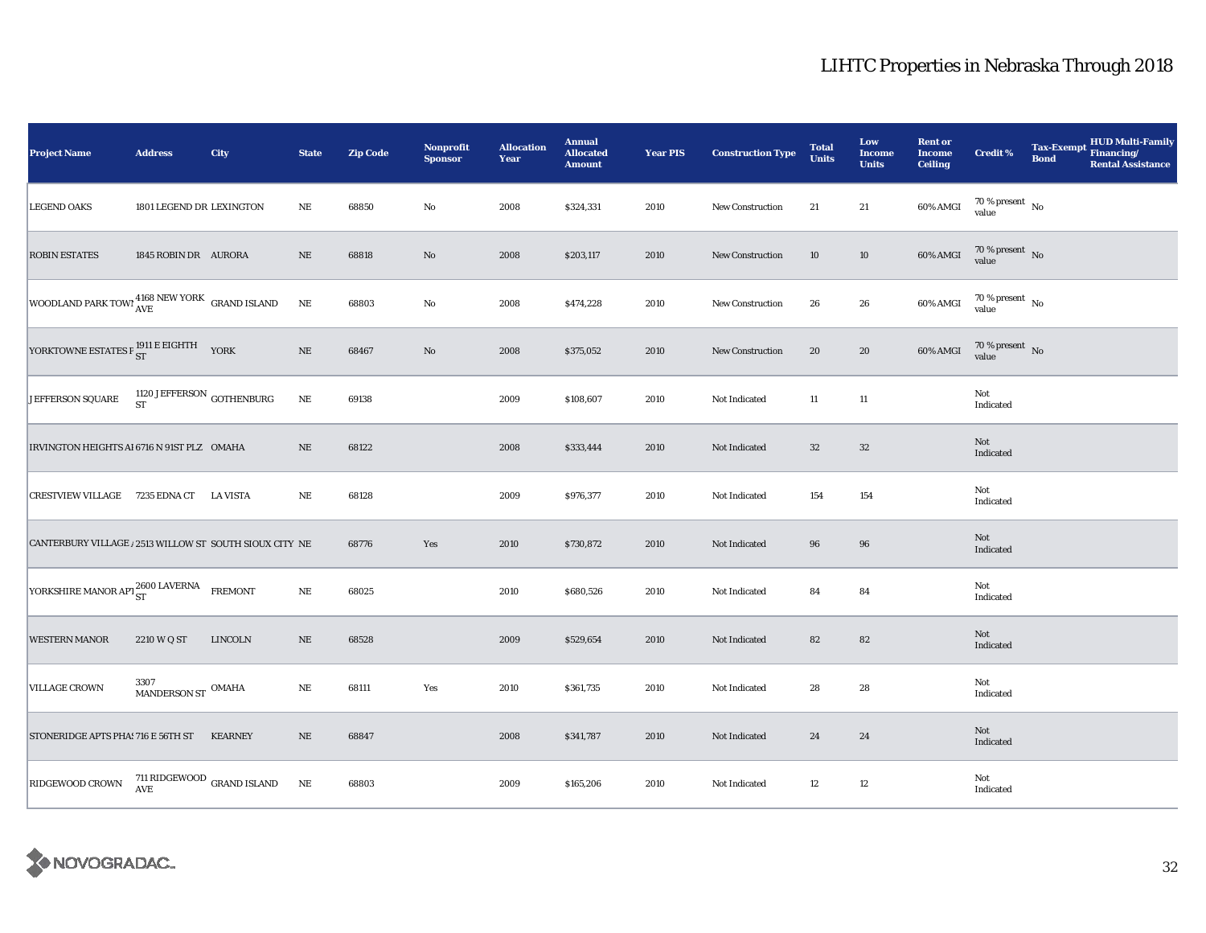| Project Name                                            | <b>Address</b>                                     | City                                      | <b>State</b> | <b>Zip Code</b> | Nonprofit<br><b>Sponsor</b> | <b>Allocation</b><br>Year | <b>Annual</b><br><b>Allocated</b><br><b>Amount</b> | <b>Year PIS</b> | <b>Construction Type</b> | <b>Total</b><br><b>Units</b> | Low<br><b>Income</b><br><b>Units</b> | <b>Rent or</b><br><b>Income</b><br><b>Ceiling</b> | <b>Credit %</b>                | <b>Tax-Exempt</b><br><b>Bond</b> | <b>HUD Multi-Family</b><br>Financing/<br><b>Rental Assistance</b> |
|---------------------------------------------------------|----------------------------------------------------|-------------------------------------------|--------------|-----------------|-----------------------------|---------------------------|----------------------------------------------------|-----------------|--------------------------|------------------------------|--------------------------------------|---------------------------------------------------|--------------------------------|----------------------------------|-------------------------------------------------------------------|
| <b>LEGEND OAKS</b>                                      | 1801 LEGEND DR LEXINGTON                           |                                           | NE           | 68850           | $\rm No$                    | 2008                      | \$324,331                                          | 2010            | New Construction         | 21                           | 21                                   | 60% AMGI                                          | $70\,\%$ present $\,$ No value |                                  |                                                                   |
| <b>ROBIN ESTATES</b>                                    | 1845 ROBIN DR AURORA                               |                                           | $\rm NE$     | 68818           | $\rm No$                    | 2008                      | \$203,117                                          | 2010            | New Construction         | 10                           | 10                                   | 60% AMGI                                          | $70\,\%$ present $\,$ No value |                                  |                                                                   |
| WOODLAND PARK TOWI 4168 NEW YORK GRAND ISLAND           |                                                    |                                           | $\rm NE$     | 68803           | $\rm No$                    | 2008                      | \$474,228                                          | 2010            | New Construction         | 26                           | ${\bf 26}$                           | $60\%$ AMGI                                       | $70\,\%$ present $\,$ No value |                                  |                                                                   |
| YORKTOWNE ESTATES P $_{ST}^{1911}$ E EIGHTH YORK        |                                                    |                                           | $\rm NE$     | 68467           | No                          | 2008                      | \$375,052                                          | 2010            | <b>New Construction</b>  | 20                           | 20                                   | 60% AMGI                                          | $70\,\%$ present $\,$ No value |                                  |                                                                   |
| JEFFERSON SQUARE                                        | 1120 JEFFERSON $_{\rm GOTHENBURG}$                 |                                           | $\rm{NE}$    | 69138           |                             | 2009                      | \$108,607                                          | 2010            | Not Indicated            | 11                           | $11\,$                               |                                                   | Not<br>Indicated               |                                  |                                                                   |
| IRVINGTON HEIGHTS AI 6716 N 91ST PLZ OMAHA              |                                                    |                                           | $\rm NE$     | 68122           |                             | 2008                      | \$333,444                                          | 2010            | Not Indicated            | $32\,$                       | $32\,$                               |                                                   | Not<br>Indicated               |                                  |                                                                   |
| CRESTVIEW VILLAGE 7235 EDNA CT                          |                                                    | <b>LA VISTA</b>                           | $\rm NE$     | 68128           |                             | 2009                      | \$976,377                                          | 2010            | Not Indicated            | 154                          | 154                                  |                                                   | Not<br>Indicated               |                                  |                                                                   |
| CANTERBURY VILLAGE / 2513 WILLOW ST SOUTH SIOUX CITY NE |                                                    |                                           |              | 68776           | Yes                         | 2010                      | \$730,872                                          | 2010            | Not Indicated            | 96                           | 96                                   |                                                   | Not<br>Indicated               |                                  |                                                                   |
| YORKSHIRE MANOR APT 2600 LAVERNA                        |                                                    | <b>FREMONT</b>                            | $\rm NE$     | 68025           |                             | 2010                      | \$680,526                                          | 2010            | Not Indicated            | 84                           | 84                                   |                                                   | Not<br>Indicated               |                                  |                                                                   |
| <b>WESTERN MANOR</b>                                    | 2210 W Q ST                                        | <b>LINCOLN</b>                            | $\rm NE$     | 68528           |                             | 2009                      | \$529,654                                          | 2010            | Not Indicated            | 82                           | 82                                   |                                                   | Not<br>Indicated               |                                  |                                                                   |
| <b>VILLAGE CROWN</b>                                    | $3307$ $$\rm{MAMDERSON}$ ${\rm ST}$ $$\rm{OMAHA}$$ |                                           | $\rm NE$     | 68111           | Yes                         | 2010                      | \$361,735                                          | 2010            | Not Indicated            | 28                           | 28                                   |                                                   | Not<br>Indicated               |                                  |                                                                   |
| STONERIDGE APTS PHA! 716 E 56TH ST                      |                                                    | <b>KEARNEY</b>                            | $\rm NE$     | 68847           |                             | 2008                      | \$341,787                                          | 2010            | Not Indicated            | 24                           | 24                                   |                                                   | Not<br>Indicated               |                                  |                                                                   |
| RIDGEWOOD CROWN                                         |                                                    | $711$ RIDGEWOOD $_{\rm GRAND}$ ISLAND AVE | $\rm NE$     | 68803           |                             | 2009                      | \$165,206                                          | 2010            | Not Indicated            | 12                           | $12\,$                               |                                                   | Not<br>Indicated               |                                  |                                                                   |

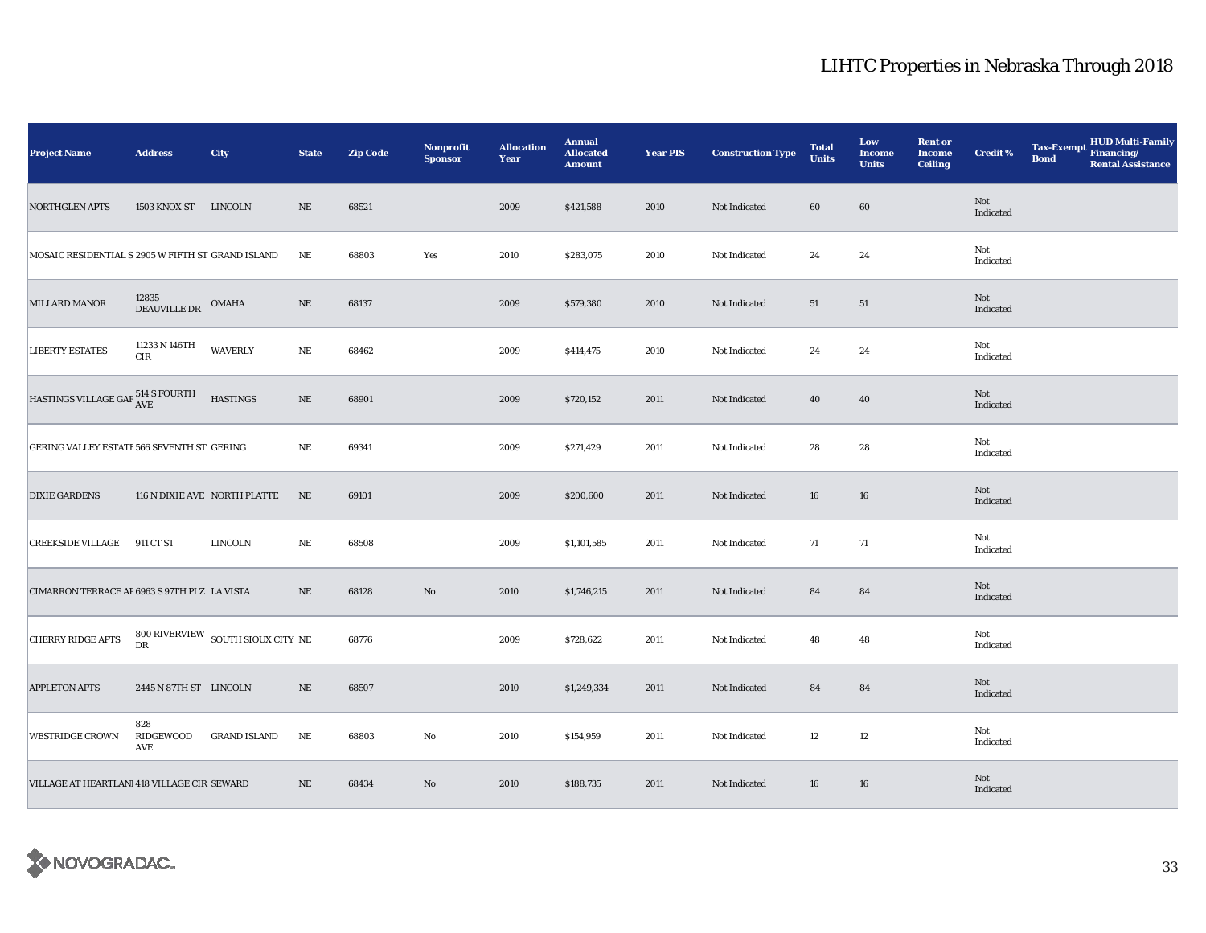| <b>Project Name</b>                                 | <b>Address</b>                  | City                                                  | <b>State</b> | <b>Zip Code</b> | Nonprofit<br><b>Sponsor</b> | <b>Allocation</b><br>Year | <b>Annual</b><br><b>Allocated</b><br><b>Amount</b> | <b>Year PIS</b> | <b>Construction Type</b> | <b>Total</b><br><b>Units</b> | Low<br><b>Income</b><br><b>Units</b> | <b>Rent or</b><br><b>Income</b><br><b>Ceiling</b> | Credit %         | <b>Tax-Exempt</b><br><b>Bond</b> | HUD Multi-Family<br>Financing/<br><b>Rental Assistance</b> |
|-----------------------------------------------------|---------------------------------|-------------------------------------------------------|--------------|-----------------|-----------------------------|---------------------------|----------------------------------------------------|-----------------|--------------------------|------------------------------|--------------------------------------|---------------------------------------------------|------------------|----------------------------------|------------------------------------------------------------|
| <b>NORTHGLEN APTS</b>                               | 1503 KNOX ST LINCOLN            |                                                       | $\rm NE$     | 68521           |                             | 2009                      | \$421,588                                          | 2010            | Not Indicated            | 60                           | 60                                   |                                                   | Not<br>Indicated |                                  |                                                            |
| MOSAIC RESIDENTIAL S 2905 W FIFTH ST GRAND ISLAND   |                                 |                                                       | $\rm NE$     | 68803           | Yes                         | 2010                      | \$283,075                                          | 2010            | Not Indicated            | 24                           | 24                                   |                                                   | Not<br>Indicated |                                  |                                                            |
| MILLARD MANOR                                       | $12835$ DEAUVILLE DR $\,$ OMAHA |                                                       | $\rm NE$     | 68137           |                             | 2009                      | \$579,380                                          | 2010            | Not Indicated            | 51                           | 51                                   |                                                   | Not<br>Indicated |                                  |                                                            |
| <b>LIBERTY ESTATES</b>                              | 11233 N 146TH<br>$\rm CIR$      | <b>WAVERLY</b>                                        | NE           | 68462           |                             | 2009                      | \$414,475                                          | 2010            | Not Indicated            | 24                           | 24                                   |                                                   | Not<br>Indicated |                                  |                                                            |
| HASTINGS VILLAGE GAR $^{514}_{\mbox{AVE}}$ S FOURTH |                                 | <b>HASTINGS</b>                                       | $\rm NE$     | 68901           |                             | 2009                      | \$720,152                                          | 2011            | Not Indicated            | 40                           | 40                                   |                                                   | Not<br>Indicated |                                  |                                                            |
| GERING VALLEY ESTATE 566 SEVENTH ST GERING          |                                 |                                                       | NE           | 69341           |                             | 2009                      | \$271,429                                          | 2011            | Not Indicated            | 28                           | 28                                   |                                                   | Not<br>Indicated |                                  |                                                            |
| <b>DIXIE GARDENS</b>                                |                                 | 116 N DIXIE AVE NORTH PLATTE                          | NE           | 69101           |                             | 2009                      | \$200,600                                          | 2011            | Not Indicated            | 16                           | 16                                   |                                                   | Not<br>Indicated |                                  |                                                            |
| <b>CREEKSIDE VILLAGE</b>                            | 911 CT ST                       | LINCOLN                                               | NE           | 68508           |                             | 2009                      | \$1,101,585                                        | 2011            | Not Indicated            | 71                           | 71                                   |                                                   | Not<br>Indicated |                                  |                                                            |
| CIMARRON TERRACE AF 6963 S 97TH PLZ LA VISTA        |                                 |                                                       | $\rm NE$     | 68128           | $\mathbf{No}$               | 2010                      | \$1,746,215                                        | 2011            | Not Indicated            | 84                           | 84                                   |                                                   | Not<br>Indicated |                                  |                                                            |
| <b>CHERRY RIDGE APTS</b>                            |                                 | $800$ RIVERVIEW $\,$ SOUTH SIOUX CITY $\,$ NE $\,$ DR |              | 68776           |                             | 2009                      | \$728,622                                          | 2011            | Not Indicated            | 48                           | 48                                   |                                                   | Not<br>Indicated |                                  |                                                            |
| <b>APPLETON APTS</b>                                | 2445 N 87TH ST LINCOLN          |                                                       | NE           | 68507           |                             | 2010                      | \$1,249,334                                        | 2011            | Not Indicated            | 84                           | 84                                   |                                                   | Not<br>Indicated |                                  |                                                            |
| <b>WESTRIDGE CROWN</b>                              | 828<br>RIDGEWOOD<br>AVE         | <b>GRAND ISLAND</b>                                   | $\rm NE$     | 68803           | No                          | 2010                      | \$154,959                                          | 2011            | Not Indicated            | 12                           | $12\,$                               |                                                   | Not<br>Indicated |                                  |                                                            |
| VILLAGE AT HEARTLANI 418 VILLAGE CIR SEWARD         |                                 |                                                       | NE           | 68434           | No                          | 2010                      | \$188,735                                          | 2011            | Not Indicated            | 16                           | 16                                   |                                                   | Not<br>Indicated |                                  |                                                            |

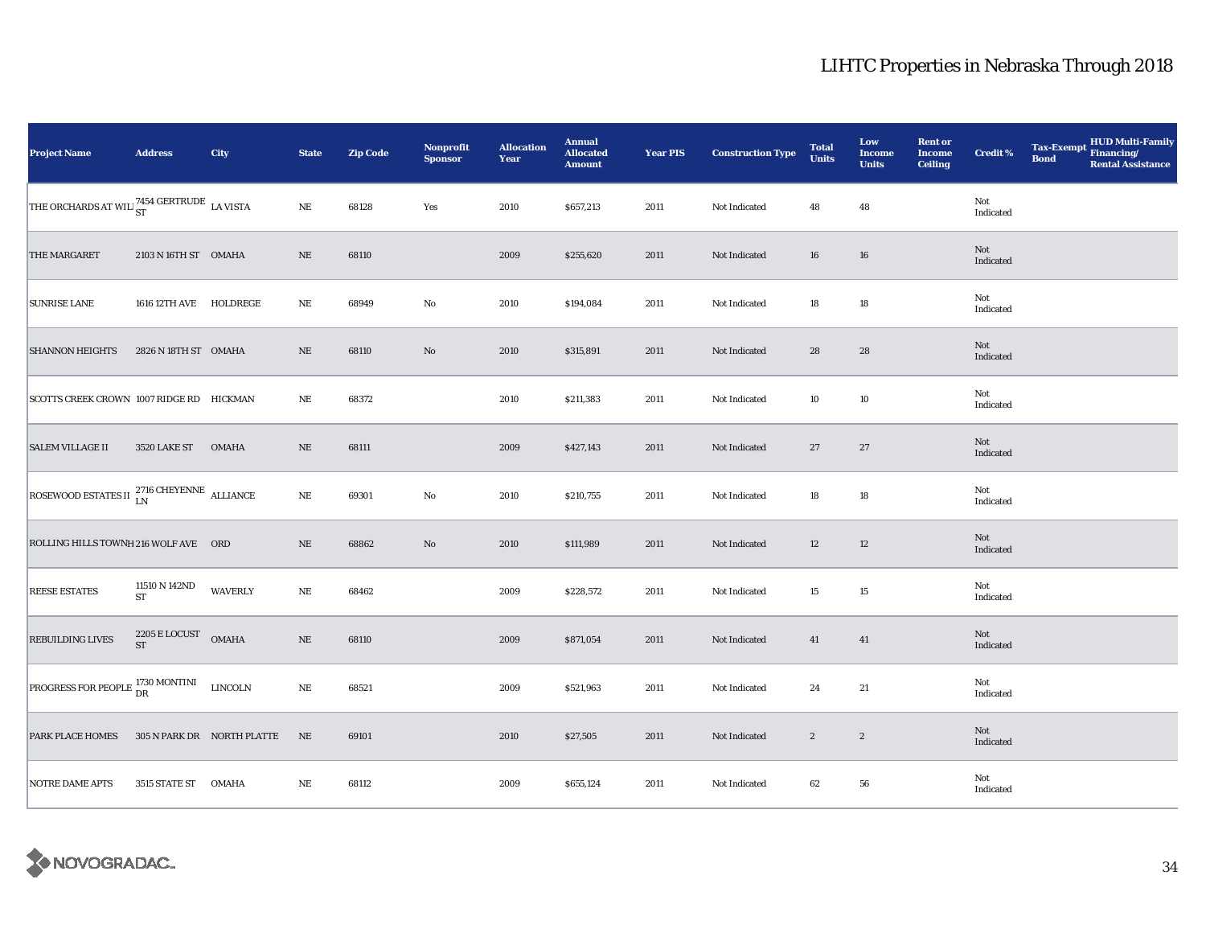| <b>Project Name</b>                                                                 | <b>Address</b>                               | City                       | <b>State</b> | <b>Zip Code</b> | Nonprofit<br><b>Sponsor</b> | <b>Allocation</b><br>Year | <b>Annual</b><br><b>Allocated</b><br><b>Amount</b> | <b>Year PIS</b> | <b>Construction Type</b> | <b>Total</b><br><b>Units</b> | Low<br><b>Income</b><br><b>Units</b> | <b>Rent or</b><br><b>Income</b><br><b>Ceiling</b> | Credit %         | <b>Tax-Exempt</b><br><b>Bond</b> | HUD Multi-Family<br>Financing/<br><b>Rental Assistance</b> |
|-------------------------------------------------------------------------------------|----------------------------------------------|----------------------------|--------------|-----------------|-----------------------------|---------------------------|----------------------------------------------------|-----------------|--------------------------|------------------------------|--------------------------------------|---------------------------------------------------|------------------|----------------------------------|------------------------------------------------------------|
| THE ORCHARDS AT WILL <sup>7454</sup> GERTRUDE LA VISTA                              |                                              |                            | $\rm NE$     | 68128           | Yes                         | 2010                      | \$657,213                                          | 2011            | Not Indicated            | 48                           | 48                                   |                                                   | Not<br>Indicated |                                  |                                                            |
| THE MARGARET                                                                        | 2103 N 16TH ST OMAHA                         |                            | $\rm NE$     | 68110           |                             | 2009                      | \$255,620                                          | 2011            | Not Indicated            | 16                           | 16                                   |                                                   | Not<br>Indicated |                                  |                                                            |
| <b>SUNRISE LANE</b>                                                                 | 1616 12TH AVE HOLDREGE                       |                            | $\rm NE$     | 68949           | $\rm No$                    | 2010                      | \$194,084                                          | 2011            | Not Indicated            | 18                           | $18\,$                               |                                                   | Not<br>Indicated |                                  |                                                            |
| <b>SHANNON HEIGHTS</b>                                                              | 2826 N 18TH ST OMAHA                         |                            | NE           | 68110           | $\rm No$                    | 2010                      | \$315,891                                          | 2011            | Not Indicated            | 28                           | 28                                   |                                                   | Not<br>Indicated |                                  |                                                            |
| SCOTTS CREEK CROWN 1007 RIDGE RD HICKMAN                                            |                                              |                            | $_{\rm NE}$  | 68372           |                             | 2010                      | \$211,383                                          | 2011            | Not Indicated            | 10                           | $10\,$                               |                                                   | Not<br>Indicated |                                  |                                                            |
| <b>SALEM VILLAGE II</b>                                                             | <b>3520 LAKE ST</b>                          | <b>OMAHA</b>               | $\rm NE$     | 68111           |                             | 2009                      | \$427,143                                          | 2011            | Not Indicated            | 27                           | 27                                   |                                                   | Not<br>Indicated |                                  |                                                            |
| ROSEWOOD ESTATES II $_{LN}^{2716 \text{ CHEYENNE}}$ ALLIANCE                        |                                              |                            | $\rm NE$     | 69301           | $\mathbf {No}$              | 2010                      | \$210,755                                          | 2011            | Not Indicated            | 18                           | $18\,$                               |                                                   | Not<br>Indicated |                                  |                                                            |
| ROLLING HILLS TOWNH 216 WOLF AVE ORD                                                |                                              |                            | $\rm NE$     | 68862           | $\rm\thinspace No$          | 2010                      | \$111,989                                          | 2011            | Not Indicated            | 12                           | 12                                   |                                                   | Not<br>Indicated |                                  |                                                            |
| <b>REESE ESTATES</b>                                                                | 11510 N 142ND<br>${\rm ST}$                  | <b>WAVERLY</b>             | $\rm NE$     | 68462           |                             | 2009                      | \$228,572                                          | 2011            | Not Indicated            | 15                           | 15                                   |                                                   | Not<br>Indicated |                                  |                                                            |
| <b>REBUILDING LIVES</b>                                                             | $2205\,\mathrm{E}\,\mathrm{LOCUST}$ OMAHA ST |                            | $\rm NE$     | 68110           |                             | 2009                      | \$871,054                                          | 2011            | Not Indicated            | 41                           | 41                                   |                                                   | Not<br>Indicated |                                  |                                                            |
| <b>PROGRESS FOR PEOPLE <math>_{\text{DR}}^{1730 \text{ MONTINI}}</math></b> LINCOLN |                                              |                            | $\rm NE$     | 68521           |                             | 2009                      | \$521,963                                          | 2011            | Not Indicated            | 24                           | 21                                   |                                                   | Not<br>Indicated |                                  |                                                            |
| <b>PARK PLACE HOMES</b>                                                             |                                              | 305 N PARK DR NORTH PLATTE | NE           | 69101           |                             | 2010                      | \$27,505                                           | 2011            | Not Indicated            | $\sqrt{2}$                   | $\boldsymbol{2}$                     |                                                   | Not<br>Indicated |                                  |                                                            |
| <b>NOTRE DAME APTS</b>                                                              | 3515 STATE ST                                | <b>OMAHA</b>               | $\rm NE$     | 68112           |                             | 2009                      | \$655,124                                          | 2011            | Not Indicated            | 62                           | 56                                   |                                                   | Not<br>Indicated |                                  |                                                            |

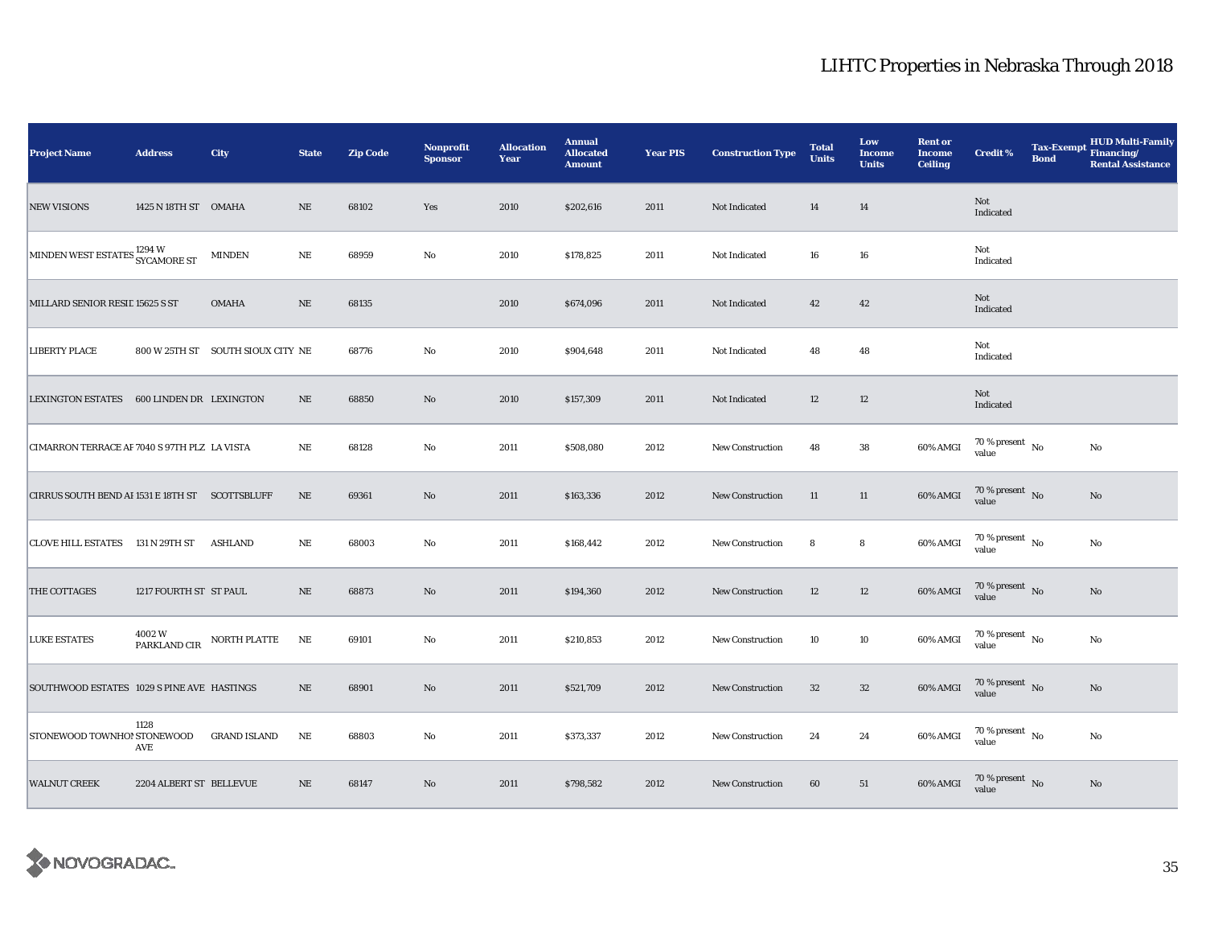| <b>Project Name</b>                                  | <b>Address</b>          | City                              | <b>State</b> | <b>Zip Code</b> | Nonprofit<br><b>Sponsor</b> | <b>Allocation</b><br>Year | <b>Annual</b><br><b>Allocated</b><br><b>Amount</b> | <b>Year PIS</b> | <b>Construction Type</b> | <b>Total</b><br><b>Units</b> | Low<br><b>Income</b><br><b>Units</b> | <b>Rent or</b><br><b>Income</b><br><b>Ceiling</b> | <b>Credit %</b>                      | <b>Tax-Exempt</b><br><b>Bond</b> | HUD Multi-Family<br>Financing/<br><b>Rental Assistance</b> |
|------------------------------------------------------|-------------------------|-----------------------------------|--------------|-----------------|-----------------------------|---------------------------|----------------------------------------------------|-----------------|--------------------------|------------------------------|--------------------------------------|---------------------------------------------------|--------------------------------------|----------------------------------|------------------------------------------------------------|
| <b>NEW VISIONS</b>                                   | 1425 N 18TH ST OMAHA    |                                   | NE           | 68102           | Yes                         | 2010                      | \$202,616                                          | 2011            | Not Indicated            | 14                           | 14                                   |                                                   | Not<br>Indicated                     |                                  |                                                            |
| MINDEN WEST ESTATES <sup>1294</sup> W<br>SYCAMORE ST |                         | <b>MINDEN</b>                     | $\rm NE$     | 68959           | $\mathbf {No}$              | 2010                      | \$178,825                                          | 2011            | Not Indicated            | 16                           | ${\bf 16}$                           |                                                   | Not<br>Indicated                     |                                  |                                                            |
| MILLARD SENIOR RESIL 15625 S ST                      |                         | <b>OMAHA</b>                      | $\rm NE$     | 68135           |                             | 2010                      | \$674,096                                          | 2011            | Not Indicated            | 42                           | $42\,$                               |                                                   | Not<br>Indicated                     |                                  |                                                            |
| <b>LIBERTY PLACE</b>                                 |                         | 800 W 25TH ST SOUTH SIOUX CITY NE |              | 68776           | No                          | 2010                      | \$904,648                                          | 2011            | Not Indicated            | 48                           | 48                                   |                                                   | Not<br>Indicated                     |                                  |                                                            |
| <b>LEXINGTON ESTATES</b>                             | 600 LINDEN DR LEXINGTON |                                   | $\rm NE$     | 68850           | $\rm No$                    | 2010                      | \$157,309                                          | 2011            | Not Indicated            | 12                           | $12\,$                               |                                                   | Not<br>Indicated                     |                                  |                                                            |
| CIMARRON TERRACE AF 7040 S 97TH PLZ LA VISTA         |                         |                                   | $\rm NE$     | 68128           | No                          | 2011                      | \$508,080                                          | 2012            | <b>New Construction</b>  | 48                           | 38                                   | 60% AMGI                                          | $70$ % present $\,$ No $\,$<br>value |                                  | $\mathbf{No}$                                              |
| CIRRUS SOUTH BEND AI 1531 E 18TH ST SCOTTSBLUFF      |                         |                                   | $\rm NE$     | 69361           | $\rm No$                    | 2011                      | \$163,336                                          | 2012            | New Construction         | 11                           | 11                                   | 60% AMGI                                          | $70\,\%$ present $\,$ No value       |                                  | $\mathbf{No}$                                              |
| CLOVE HILL ESTATES 131 N 29TH ST                     |                         | <b>ASHLAND</b>                    | $_{\rm NE}$  | 68003           | No                          | 2011                      | \$168,442                                          | 2012            | New Construction         | 8                            | $\bf8$                               | 60% AMGI                                          | $70\,\%$ present $\,$ No value       |                                  | $\mathbf{No}$                                              |
| THE COTTAGES                                         | 1217 FOURTH ST ST PAUL  |                                   | $\rm NE$     | 68873           | No                          | 2011                      | \$194,360                                          | 2012            | New Construction         | 12                           | 12                                   | 60% AMGI                                          | 70 % present $\,$ No $\,$<br>value   |                                  | No                                                         |
| <b>LUKE ESTATES</b>                                  | 4002W<br>PARKLAND CIR   | NORTH PLATTE                      | NE           | 69101           | No                          | 2011                      | \$210,853                                          | 2012            | <b>New Construction</b>  | 10                           | 10                                   | 60% AMGI                                          | $70$ % present $\,$ No $\,$<br>value |                                  | $\rm No$                                                   |
| SOUTHWOOD ESTATES 1029 S PINE AVE HASTINGS           |                         |                                   | $\rm NE$     | 68901           | $\rm No$                    | 2011                      | \$521,709                                          | 2012            | New Construction         | 32                           | 32                                   | 60% AMGI                                          | 70 % present $\,$ No $\,$<br>value   |                                  | $\rm No$                                                   |
| STONEWOOD TOWNHO! STONEWOOD                          | 1128<br>AVE             | <b>GRAND ISLAND</b>               | $\rm NE$     | 68803           | $\rm No$                    | 2011                      | \$373,337                                          | 2012            | New Construction         | 24                           | 24                                   | 60% AMGI                                          | 70 % present $\hbox{~No}$<br>value   |                                  | No                                                         |
| <b>WALNUT CREEK</b>                                  | 2204 ALBERT ST BELLEVUE |                                   | $\rm NE$     | 68147           | No                          | 2011                      | \$798,582                                          | 2012            | <b>New Construction</b>  | 60                           | 51                                   | 60% AMGI                                          | $70\,\%$ present $\;$ No value       |                                  | $\mathbf{No}$                                              |

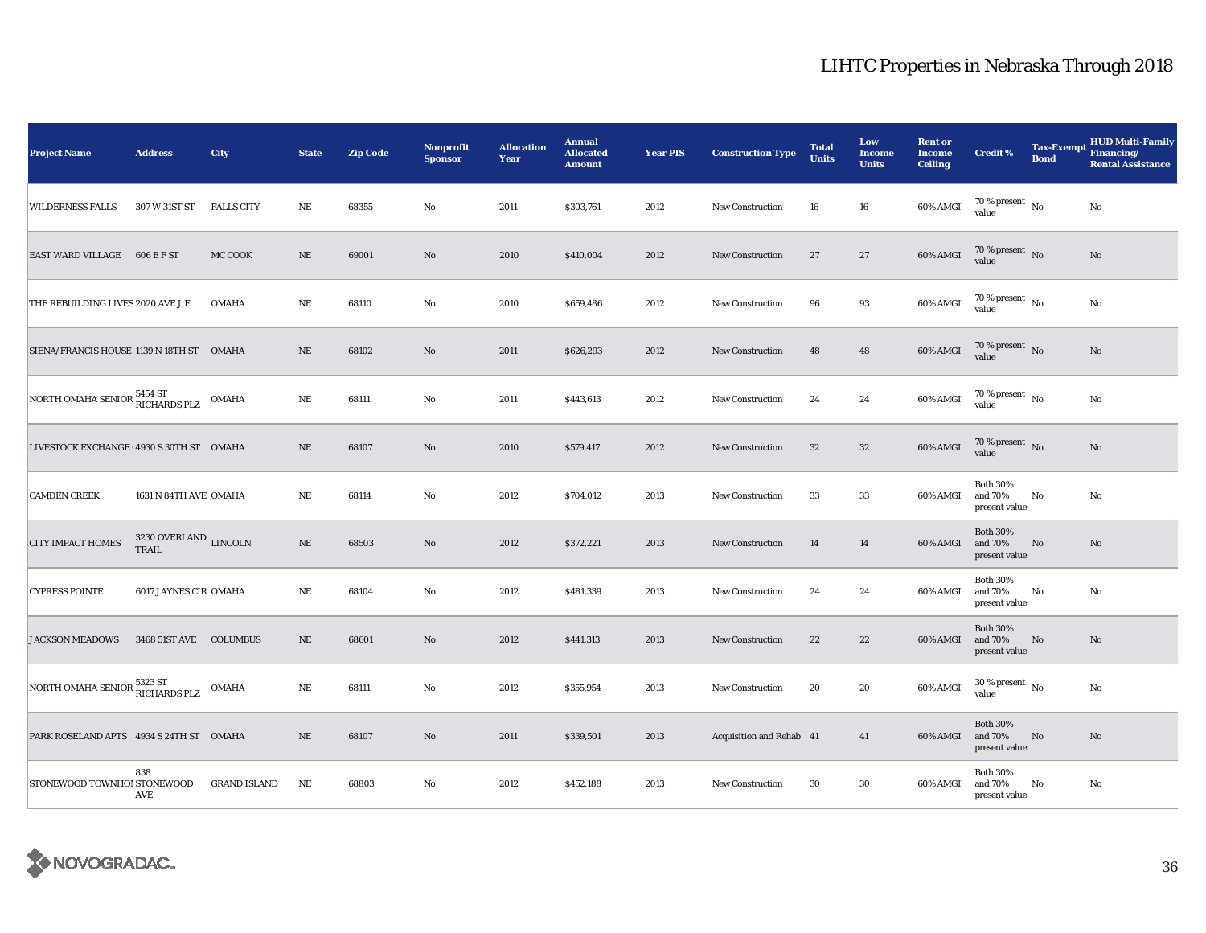| <b>Project Name</b>                       | <b>Address</b>                             | City                | <b>State</b> | <b>Zip Code</b> | <b>Nonprofit</b><br><b>Sponsor</b> | <b>Allocation</b><br>Year | <b>Annual</b><br><b>Allocated</b><br><b>Amount</b> | <b>Year PIS</b> | <b>Construction Type</b> | <b>Total</b><br><b>Units</b> | Low<br><b>Income</b><br><b>Units</b> | <b>Rent or</b><br><b>Income</b><br><b>Ceiling</b> | <b>Credit %</b>                             | <b>Tax-Exempt</b><br><b>Bond</b> | <b>HUD Multi-Family</b><br>Financing/<br><b>Rental Assistance</b> |
|-------------------------------------------|--------------------------------------------|---------------------|--------------|-----------------|------------------------------------|---------------------------|----------------------------------------------------|-----------------|--------------------------|------------------------------|--------------------------------------|---------------------------------------------------|---------------------------------------------|----------------------------------|-------------------------------------------------------------------|
| <b>WILDERNESS FALLS</b>                   | 307 W 31ST ST                              | <b>FALLS CITY</b>   | NE           | 68355           | No                                 | 2011                      | \$303,761                                          | 2012            | New Construction         | 16                           | 16                                   | 60% AMGI                                          | 70 % present $\hbox{~No}$<br>value          |                                  | No                                                                |
| EAST WARD VILLAGE 606 E F ST              |                                            | MC COOK             | $\rm NE$     | 69001           | No                                 | 2010                      | \$410,004                                          | 2012            | <b>New Construction</b>  | 27                           | 27                                   | 60% AMGI                                          | $70$ % present $\,$ No $\,$<br>value        |                                  | $\rm No$                                                          |
| THE REBUILDING LIVES 2020 AVE J E         |                                            | <b>OMAHA</b>        | $\rm NE$     | 68110           | No                                 | 2010                      | \$659,486                                          | 2012            | <b>New Construction</b>  | 96                           | 93                                   | 60% AMGI                                          | 70 % present $\hbox{~No}$<br>value          |                                  | No                                                                |
| SIENA/FRANCIS HOUSE 1139 N 18TH ST  OMAHA |                                            |                     | NE           | 68102           | No                                 | 2011                      | \$626,293                                          | 2012            | <b>New Construction</b>  | 48                           | 48                                   | 60% AMGI                                          | 70 % present $\hbox{~No}$<br>value          |                                  | No                                                                |
| NORTH OMAHA SENIOR 5454 ST                |                                            | <b>OMAHA</b>        | NE           | 68111           | No                                 | 2011                      | \$443,613                                          | 2012            | <b>New Construction</b>  | 24                           | 24                                   | 60% AMGI                                          | 70 % present $\hbox{~No}$<br>value          |                                  | No                                                                |
| LIVESTOCK EXCHANGE (4930 S 30TH ST OMAHA  |                                            |                     | NE           | 68107           | No                                 | 2010                      | \$579,417                                          | 2012            | New Construction         | 32                           | $32\,$                               | 60% AMGI                                          | 70 % present $\,$ No $\,$<br>value          |                                  | No                                                                |
| <b>CAMDEN CREEK</b>                       | 1631 N 84TH AVE OMAHA                      |                     | NE           | 68114           | No                                 | 2012                      | \$704,012                                          | 2013            | <b>New Construction</b>  | 33                           | 33                                   | 60% AMGI                                          | <b>Both 30%</b><br>and 70%<br>present value | No                               | No                                                                |
| <b>CITY IMPACT HOMES</b>                  | $3230$ OVERLAND $\,$ LINCOLN $\,$<br>TRAIL |                     | NE           | 68503           | $\mathbf{N}\mathbf{o}$             | 2012                      | \$372,221                                          | 2013            | <b>New Construction</b>  | 14                           | 14                                   | 60% AMGI                                          | <b>Both 30%</b><br>and 70%<br>present value | No                               | No                                                                |
| <b>CYPRESS POINTE</b>                     | 6017 JAYNES CIR OMAHA                      |                     | $\rm{NE}$    | 68104           | No                                 | 2012                      | \$481,339                                          | 2013            | <b>New Construction</b>  | 24                           | 24                                   | 60% AMGI                                          | <b>Both 30%</b><br>and 70%<br>present value | No                               | No                                                                |
| <b>JACKSON MEADOWS</b>                    | 3468 51ST AVE COLUMBUS                     |                     | $\rm NE$     | 68601           | No                                 | 2012                      | \$441,313                                          | 2013            | <b>New Construction</b>  | 22                           | 22                                   | 60% AMGI                                          | <b>Both 30%</b><br>and 70%<br>present value | No                               | No                                                                |
| NORTH OMAHA SENIOR 5323 ST                |                                            | OMAHA               | $\rm NE$     | 68111           | No                                 | 2012                      | \$355,954                                          | 2013            | <b>New Construction</b>  | 20                           | 20                                   | 60% AMGI                                          | $30$ % present $\,$ No $\,$<br>value        |                                  | No                                                                |
| PARK ROSELAND APTS 4934 S 24TH ST OMAHA   |                                            |                     | NE           | 68107           | No                                 | 2011                      | \$339,501                                          | 2013            | Acquisition and Rehab 41 |                              | 41                                   | 60% AMGI                                          | <b>Both 30%</b><br>and 70%<br>present value | No                               | No                                                                |
| STONEWOOD TOWNHO! STONEWOOD               | 838<br>AVE                                 | <b>GRAND ISLAND</b> | $\rm{NE}$    | 68803           | No                                 | 2012                      | \$452,188                                          | 2013            | <b>New Construction</b>  | 30                           | 30                                   | 60% AMGI                                          | <b>Both 30%</b><br>and 70%<br>present value | No                               | No                                                                |

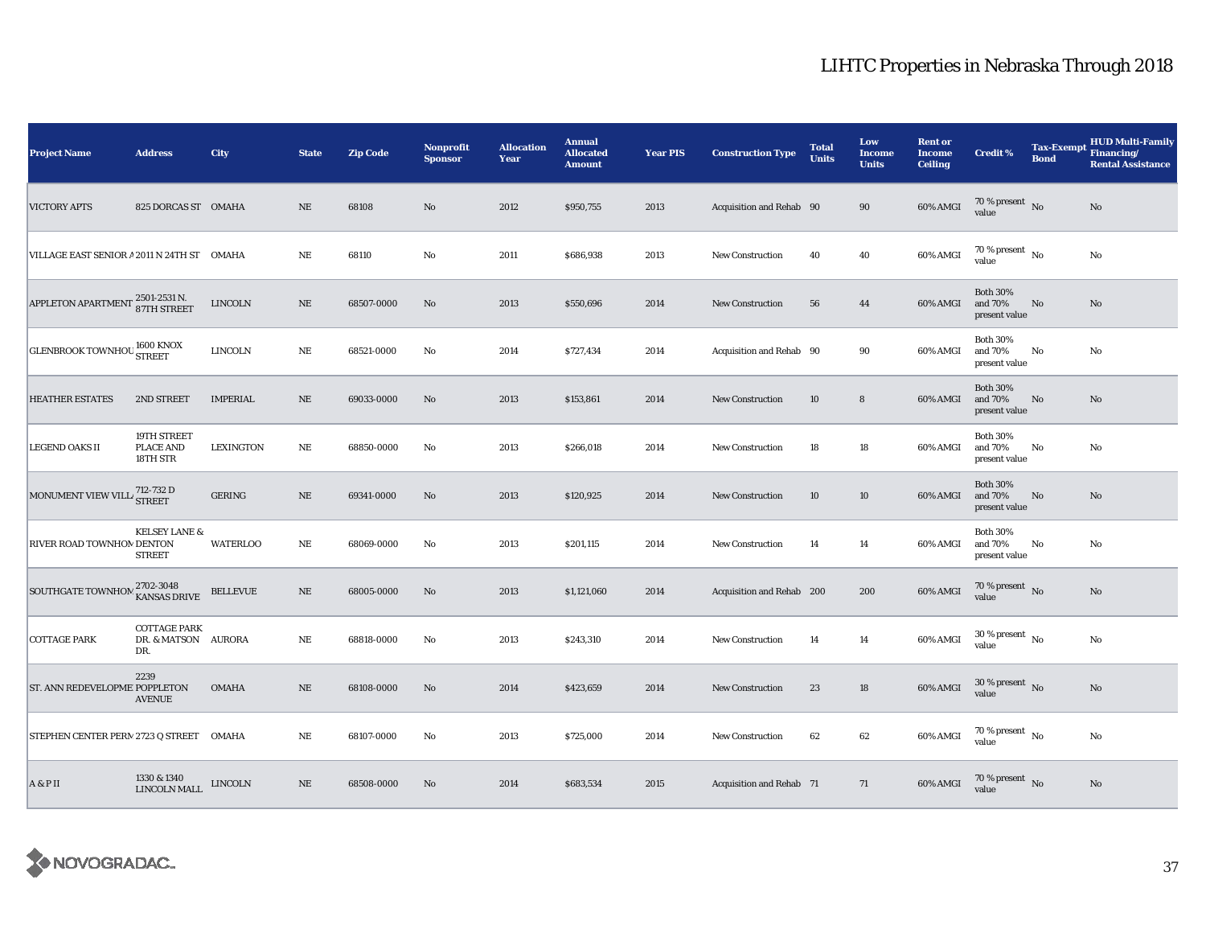| <b>Project Name</b>                               | <b>Address</b>                                    | City             | <b>State</b> | <b>Zip Code</b> | <b>Nonprofit</b><br><b>Sponsor</b> | <b>Allocation</b><br>Year | <b>Annual</b><br><b>Allocated</b><br><b>Amount</b> | <b>Year PIS</b> | <b>Construction Type</b>  | <b>Total</b><br><b>Units</b> | Low<br><b>Income</b><br><b>Units</b> | <b>Rent or</b><br><b>Income</b><br><b>Ceiling</b> | <b>Credit %</b>                             | <b>Tax-Exempt</b><br><b>Bond</b> | <b>HUD Multi-Family</b><br>Financing/<br><b>Rental Assistance</b> |
|---------------------------------------------------|---------------------------------------------------|------------------|--------------|-----------------|------------------------------------|---------------------------|----------------------------------------------------|-----------------|---------------------------|------------------------------|--------------------------------------|---------------------------------------------------|---------------------------------------------|----------------------------------|-------------------------------------------------------------------|
| <b>VICTORY APTS</b>                               | 825 DORCAS ST OMAHA                               |                  | <b>NE</b>    | 68108           | No                                 | 2012                      | \$950,755                                          | 2013            | Acquisition and Rehab 90  |                              | 90                                   | 60% AMGI                                          | 70 % present $\hbox{~No}$<br>value          |                                  | No                                                                |
| VILLAGE EAST SENIOR A 2011 N 24TH ST OMAHA        |                                                   |                  | $\rm NE$     | 68110           | No                                 | 2011                      | \$686,938                                          | 2013            | <b>New Construction</b>   | 40                           | 40                                   | 60% AMGI                                          | $70$ % present $\,$ No $\,$<br>value        |                                  | No                                                                |
| APPLETON APARTMENT 2501-2531 N.                   |                                                   | <b>LINCOLN</b>   | $\rm NE$     | 68507-0000      | No                                 | 2013                      | \$550,696                                          | 2014            | <b>New Construction</b>   | 56                           | 44                                   | 60% AMGI                                          | <b>Both 30%</b><br>and 70%<br>present value | No                               | No                                                                |
| <b>GLENBROOK TOWNHOU STREET</b>                   |                                                   | <b>LINCOLN</b>   | $\rm NE$     | 68521-0000      | No                                 | 2014                      | \$727,434                                          | 2014            | Acquisition and Rehab 90  |                              | 90                                   | 60% AMGI                                          | <b>Both 30%</b><br>and 70%<br>present value | $\mathbf{No}$                    | No                                                                |
| <b>HEATHER ESTATES</b>                            | 2ND STREET                                        | <b>IMPERIAL</b>  | NE           | 69033-0000      | No                                 | 2013                      | \$153,861                                          | 2014            | <b>New Construction</b>   | 10                           | $\bf8$                               | 60% AMGI                                          | <b>Both 30%</b><br>and 70%<br>present value | No                               | No                                                                |
| <b>LEGEND OAKS II</b>                             | 19TH STREET<br><b>PLACE AND</b><br>18TH STR       | <b>LEXINGTON</b> | $\rm NE$     | 68850-0000      | No                                 | 2013                      | \$266,018                                          | 2014            | New Construction          | 18                           | 18                                   | 60% AMGI                                          | <b>Both 30%</b><br>and 70%<br>present value | No                               | No                                                                |
| MONUMENT VIEW VILL <sup>712-732</sup> D<br>STREET |                                                   | GERING           | $\rm NE$     | 69341-0000      | No                                 | 2013                      | \$120,925                                          | 2014            | <b>New Construction</b>   | 10                           | 10                                   | 60% AMGI                                          | <b>Both 30%</b><br>and 70%<br>present value | No                               | No                                                                |
| RIVER ROAD TOWNHON DENTON                         | <b>KELSEY LANE &amp;</b><br><b>STREET</b>         | <b>WATERLOO</b>  | $\rm NE$     | 68069-0000      | No                                 | 2013                      | \$201,115                                          | 2014            | New Construction          | 14                           | 14                                   | 60% AMGI                                          | <b>Both 30%</b><br>and 70%<br>present value | No                               | No                                                                |
| SOUTHGATE TOWNHOM 2702-3048                       |                                                   | <b>BELLEVUE</b>  | $\rm NE$     | 68005-0000      | No                                 | 2013                      | \$1,121,060                                        | 2014            | Acquisition and Rehab 200 |                              | 200                                  | 60% AMGI                                          | $70\,\%$ present $${\rm No}$$ value         |                                  | No                                                                |
| <b>COTTAGE PARK</b>                               | <b>COTTAGE PARK</b><br>DR. & MATSON AURORA<br>DR. |                  | $\rm NE$     | 68818-0000      | No                                 | 2013                      | \$243,310                                          | 2014            | <b>New Construction</b>   | 14                           | 14                                   | 60% AMGI                                          | $30\,\%$ present $_{\, \rm No}$<br>value    |                                  | No                                                                |
| ST. ANN REDEVELOPME POPPLETON                     | 2239<br><b>AVENUE</b>                             | <b>OMAHA</b>     | NE           | 68108-0000      | No                                 | 2014                      | \$423,659                                          | 2014            | <b>New Construction</b>   | 23                           | 18                                   | 60% AMGI                                          | $30$ % present $\,$ No $\,$<br>value        |                                  | No                                                                |
| STEPHEN CENTER PERN 2723 Q STREET OMAHA           |                                                   |                  | $\rm NE$     | 68107-0000      | No                                 | 2013                      | \$725,000                                          | 2014            | <b>New Construction</b>   | 62                           | 62                                   | 60% AMGI                                          | 70 % present $\hbox{~No}$<br>value          |                                  | No                                                                |
| A & P II                                          | 1330 & 1340<br>LINCOLN MALL                       | <b>LINCOLN</b>   | $\rm NE$     | 68508-0000      | No                                 | 2014                      | \$683,534                                          | 2015            | Acquisition and Rehab 71  |                              | 71                                   | 60% AMGI                                          | 70 % present $\,$ No $\,$<br>value          |                                  | $\mathbf{No}$                                                     |

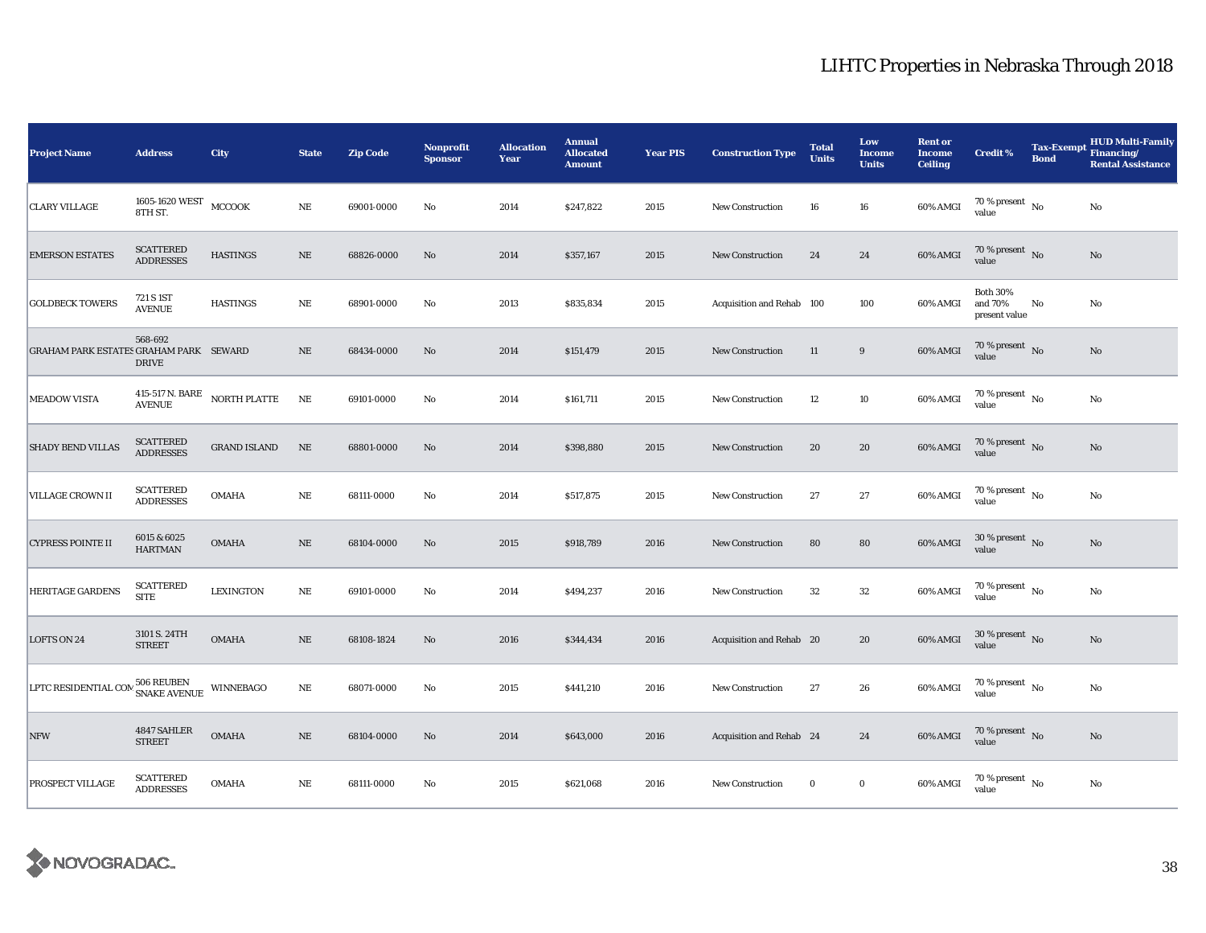| <b>Project Name</b>                           | <b>Address</b>                       | City                | <b>State</b> | <b>Zip Code</b> | Nonprofit<br><b>Sponsor</b> | <b>Allocation</b><br>Year | <b>Annual</b><br><b>Allocated</b><br><b>Amount</b> | <b>Year PIS</b> | <b>Construction Type</b>  | <b>Total</b><br><b>Units</b> | Low<br><b>Income</b><br><b>Units</b> | <b>Rent or</b><br><b>Income</b><br><b>Ceiling</b> | <b>Credit %</b>                             | <b>Tax-Exempt</b><br><b>Bond</b> | <b>HUD Multi-Family</b><br>Financing/<br><b>Rental Assistance</b> |
|-----------------------------------------------|--------------------------------------|---------------------|--------------|-----------------|-----------------------------|---------------------------|----------------------------------------------------|-----------------|---------------------------|------------------------------|--------------------------------------|---------------------------------------------------|---------------------------------------------|----------------------------------|-------------------------------------------------------------------|
| <b>CLARY VILLAGE</b>                          | 1605-1620 WEST<br>8TH ST.            | MCCOOK              | $\rm NE$     | 69001-0000      | No                          | 2014                      | \$247,822                                          | 2015            | <b>New Construction</b>   | 16                           | ${\bf 16}$                           | 60% AMGI                                          | 70 % present $\hbox{~No}$<br>value          |                                  | $\rm No$                                                          |
| <b>EMERSON ESTATES</b>                        | <b>SCATTERED</b><br><b>ADDRESSES</b> | <b>HASTINGS</b>     | $\rm NE$     | 68826-0000      | No                          | 2014                      | \$357,167                                          | 2015            | <b>New Construction</b>   | 24                           | 24                                   | 60% AMGI                                          | 70 % present $\,$ No $\,$<br>value          |                                  | $\mathbf{N}\mathbf{o}$                                            |
| <b>GOLDBECK TOWERS</b>                        | 721 S 1ST<br><b>AVENUE</b>           | <b>HASTINGS</b>     | $\rm NE$     | 68901-0000      | No                          | 2013                      | \$835,834                                          | 2015            | Acquisition and Rehab 100 |                              | 100                                  | 60% AMGI                                          | <b>Both 30%</b><br>and 70%<br>present value | No                               | No                                                                |
| <b>GRAHAM PARK ESTATES GRAHAM PARK SEWARD</b> | 568-692<br><b>DRIVE</b>              |                     | <b>NE</b>    | 68434-0000      | No                          | 2014                      | \$151,479                                          | 2015            | New Construction          | 11                           | 9                                    | 60% AMGI                                          | 70 % present $\hbox{~No}$<br>value          |                                  | No                                                                |
| <b>MEADOW VISTA</b>                           | 415-517 N. BARE<br><b>AVENUE</b>     | NORTH PLATTE        | NE           | 69101-0000      | No                          | 2014                      | \$161,711                                          | 2015            | <b>New Construction</b>   | 12                           | 10                                   | 60% AMGI                                          | 70 % present $\hbox{~No}$<br>value          |                                  | No                                                                |
| <b>SHADY BEND VILLAS</b>                      | <b>SCATTERED</b><br><b>ADDRESSES</b> | <b>GRAND ISLAND</b> | $\rm NE$     | 68801-0000      | No                          | 2014                      | \$398,880                                          | 2015            | New Construction          | 20                           | 20                                   | 60% AMGI                                          | $70\,\%$ present $$$ No value               |                                  | $\mathbf{N}\mathbf{o}$                                            |
| <b>VILLAGE CROWN II</b>                       | <b>SCATTERED</b><br><b>ADDRESSES</b> | <b>OMAHA</b>        | $\rm NE$     | 68111-0000      | No                          | 2014                      | \$517,875                                          | 2015            | <b>New Construction</b>   | 27                           | 27                                   | 60% AMGI                                          | 70 % present $\hbox{~No}$<br>value          |                                  | No                                                                |
| <b>CYPRESS POINTE II</b>                      | 6015 & 6025<br><b>HARTMAN</b>        | <b>OMAHA</b>        | $\rm NE$     | 68104-0000      | No                          | 2015                      | \$918,789                                          | 2016            | <b>New Construction</b>   | 80                           | ${\bf 80}$                           | 60% AMGI                                          | $30\,\%$ present $\,$ No $\,$<br>value      |                                  | No                                                                |
| <b>HERITAGE GARDENS</b>                       | <b>SCATTERED</b><br><b>SITE</b>      | <b>LEXINGTON</b>    | $\rm NE$     | 69101-0000      | No                          | 2014                      | \$494,237                                          | 2016            | New Construction          | 32                           | 32                                   | 60% AMGI                                          | $70$ % present $\,$ No $\,$<br>value        |                                  | No                                                                |
| LOFTS ON 24                                   | 3101 S. 24TH<br><b>STREET</b>        | <b>OMAHA</b>        | $\rm NE$     | 68108-1824      | No                          | 2016                      | \$344,434                                          | 2016            | Acquisition and Rehab 20  |                              | 20                                   | 60% AMGI                                          | $30$ % present $\,$ No $\,$<br>value        |                                  | No                                                                |
| LPTC RESIDENTIAL COM                          | 506 REUBEN<br>SNAKE AVENUE           | WINNEBAGO           | $\rm NE$     | 68071-0000      | No                          | 2015                      | \$441,210                                          | 2016            | New Construction          | 27                           | 26                                   | 60% AMGI                                          | 70 % present $\hbox{~No}$<br>value          |                                  | No                                                                |
| <b>NFW</b>                                    | 4847 SAHLER<br><b>STREET</b>         | OMAHA               | $\rm NE$     | 68104-0000      | No                          | 2014                      | \$643,000                                          | 2016            | Acquisition and Rehab 24  |                              | 24                                   | 60% AMGI                                          | $70\,\%$ present $\,$ No value              |                                  | $\mathbf{N}\mathbf{o}$                                            |
| PROSPECT VILLAGE                              | <b>SCATTERED</b><br><b>ADDRESSES</b> | <b>OMAHA</b>        | $\rm NE$     | 68111-0000      | No                          | 2015                      | \$621,068                                          | 2016            | <b>New Construction</b>   | $\bf{0}$                     | $\mathbf 0$                          | 60% AMGI                                          | $70$ % present $_{\, \rm No}$<br>value      |                                  | No                                                                |

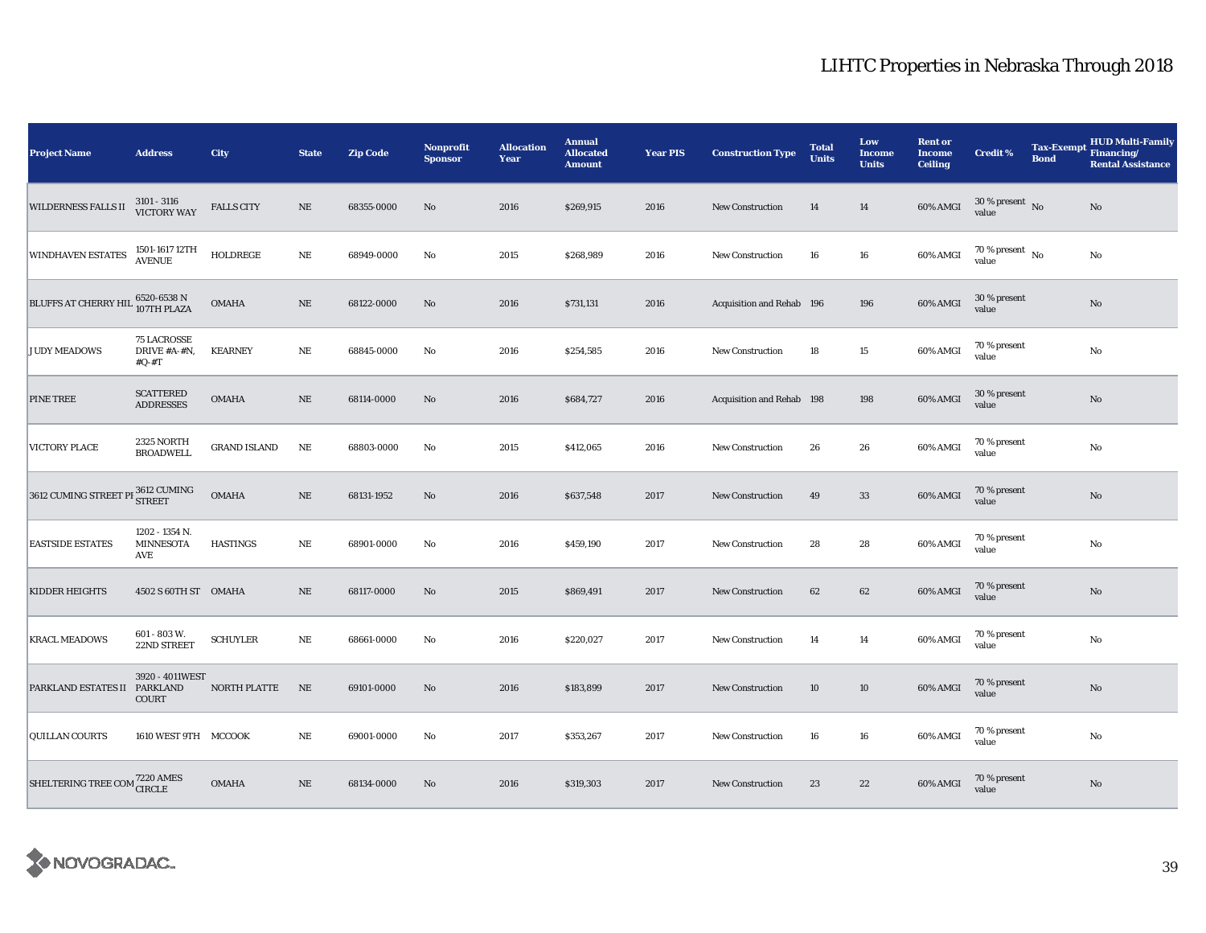| <b>Project Name</b>                             | <b>Address</b>                                | City                | <b>State</b> | <b>Zip Code</b> | Nonprofit<br><b>Sponsor</b> | <b>Allocation</b><br>Year | <b>Annual</b><br><b>Allocated</b><br><b>Amount</b> | <b>Year PIS</b> | <b>Construction Type</b>  | <b>Total</b><br><b>Units</b> | Low<br>Income<br><b>Units</b> | <b>Rent or</b><br><b>Income</b><br><b>Ceiling</b> | <b>Credit %</b>                      | <b>Tax-Exempt</b><br><b>Bond</b> | <b>HUD Multi-Family</b><br>Financing/<br><b>Rental Assistance</b> |
|-------------------------------------------------|-----------------------------------------------|---------------------|--------------|-----------------|-----------------------------|---------------------------|----------------------------------------------------|-----------------|---------------------------|------------------------------|-------------------------------|---------------------------------------------------|--------------------------------------|----------------------------------|-------------------------------------------------------------------|
| <b>WILDERNESS FALLS II</b>                      | $3101 - 3116$<br><b>VICTORY WAY</b>           | <b>FALLS CITY</b>   | $\rm NE$     | 68355-0000      | No                          | 2016                      | \$269,915                                          | 2016            | <b>New Construction</b>   | 14                           | 14                            | 60% AMGI                                          | $30$ % present $\,$ No $\,$<br>value |                                  | No                                                                |
| WINDHAVEN ESTATES                               | 1501-1617 12TH<br><b>AVENUE</b>               | HOLDREGE            | $\rm NE$     | 68949-0000      | No                          | 2015                      | \$268,989                                          | 2016            | <b>New Construction</b>   | 16                           | 16                            | 60% AMGI                                          | 70 % present $\,$ No $\,$<br>value   |                                  | No                                                                |
| BLUFFS AT CHERRY HIL 6520-6538 N<br>107TH PLAZA |                                               | <b>OMAHA</b>        | $\rm NE$     | 68122-0000      | $\mathbf{N}\mathbf{o}$      | 2016                      | \$731,131                                          | 2016            | Acquisition and Rehab 196 |                              | 196                           | 60% AMGI                                          | 30 % present<br>value                |                                  | No                                                                |
| <b>JUDY MEADOWS</b>                             | <b>75 LACROSSE</b><br>DRIVE #A-#N,<br>$#Q-#T$ | <b>KEARNEY</b>      | $\rm NE$     | 68845-0000      | No                          | 2016                      | \$254,585                                          | 2016            | <b>New Construction</b>   | 18                           | 15                            | 60% AMGI                                          | 70 % present<br>value                |                                  | No                                                                |
| PINE TREE                                       | <b>SCATTERED</b><br><b>ADDRESSES</b>          | <b>OMAHA</b>        | $\rm NE$     | 68114-0000      | No                          | 2016                      | \$684,727                                          | 2016            | Acquisition and Rehab 198 |                              | 198                           | 60% AMGI                                          | 30 % present<br>value                |                                  | No                                                                |
| VICTORY PLACE                                   | 2325 NORTH<br><b>BROADWELL</b>                | <b>GRAND ISLAND</b> | $\rm NE$     | 68803-0000      | No                          | 2015                      | \$412,065                                          | 2016            | New Construction          | 26                           | 26                            | 60% AMGI                                          | 70 % present<br>value                |                                  | $\rm No$                                                          |
| 3612 CUMING STREET PI 3612 CUMING               |                                               | <b>OMAHA</b>        | $\rm NE$     | 68131-1952      | No                          | 2016                      | \$637,548                                          | 2017            | <b>New Construction</b>   | 49                           | 33                            | 60% AMGI                                          | 70 % present<br>value                |                                  | $\rm No$                                                          |
| <b>EASTSIDE ESTATES</b>                         | 1202 - 1354 N.<br><b>MINNESOTA</b><br>AVE     | <b>HASTINGS</b>     | $\rm NE$     | 68901-0000      | No                          | 2016                      | \$459,190                                          | 2017            | <b>New Construction</b>   | 28                           | 28                            | 60% AMGI                                          | 70 % present<br>value                |                                  | No                                                                |
| <b>KIDDER HEIGHTS</b>                           | 4502 S 60TH ST OMAHA                          |                     | NE           | 68117-0000      | No                          | 2015                      | \$869,491                                          | 2017            | <b>New Construction</b>   | 62                           | 62                            | 60% AMGI                                          | 70 % present<br>value                |                                  | $\rm No$                                                          |
| <b>KRACL MEADOWS</b>                            | 601 - 803 W.<br>22ND STREET                   | <b>SCHUYLER</b>     | NE           | 68661-0000      | No                          | 2016                      | \$220,027                                          | 2017            | <b>New Construction</b>   | 14                           | 14                            | 60% AMGI                                          | 70 % present<br>value                |                                  | No                                                                |
| PARKLAND ESTATES II                             | 3920 - 4011WEST<br><b>PARKLAND</b><br>COURT   | NORTH PLATTE        | $\rm NE$     | 69101-0000      | No                          | 2016                      | \$183,899                                          | 2017            | New Construction          | 10                           | 10                            | 60% AMGI                                          | 70 % present<br>value                |                                  | No                                                                |
| QUILLAN COURTS                                  | 1610 WEST 9TH MCCOOK                          |                     | $\rm NE$     | 69001-0000      | No                          | 2017                      | \$353,267                                          | 2017            | <b>New Construction</b>   | 16                           | $16\,$                        | 60% AMGI                                          | 70 % present<br>value                |                                  | No                                                                |
| SHELTERING TREE COM <sup>7220</sup> AMES        |                                               | <b>OMAHA</b>        | $\rm NE$     | 68134-0000      | $\mathbf{N}\mathbf{o}$      | 2016                      | \$319,303                                          | 2017            | <b>New Construction</b>   | 23                           | 22                            | 60% AMGI                                          | 70 % present<br>value                |                                  | No                                                                |